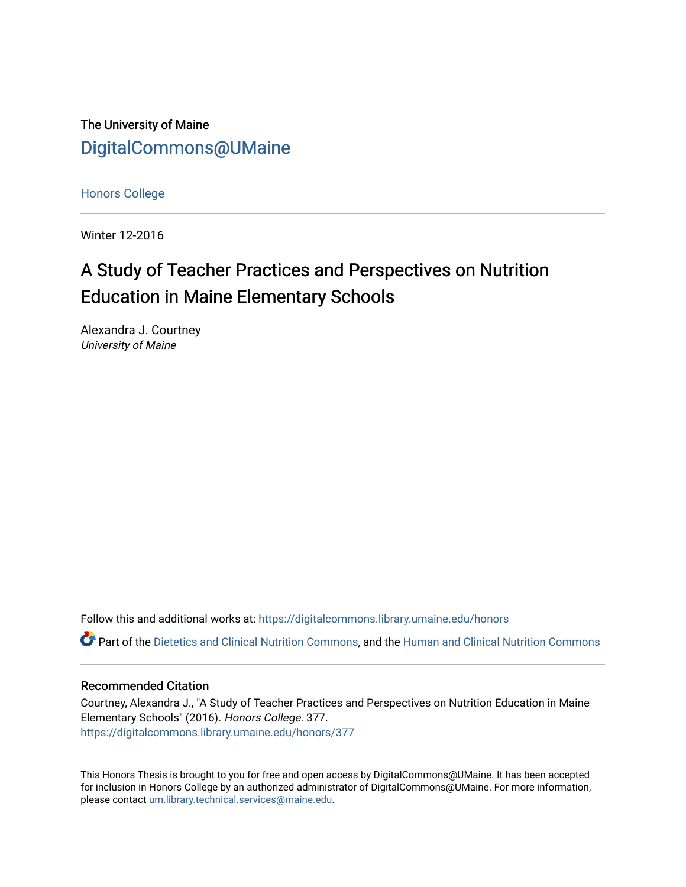The University of Maine [DigitalCommons@UMaine](https://digitalcommons.library.umaine.edu/)

[Honors College](https://digitalcommons.library.umaine.edu/honors)

Winter 12-2016

# A Study of Teacher Practices and Perspectives on Nutrition Education in Maine Elementary Schools

Alexandra J. Courtney University of Maine

Follow this and additional works at: [https://digitalcommons.library.umaine.edu/honors](https://digitalcommons.library.umaine.edu/honors?utm_source=digitalcommons.library.umaine.edu%2Fhonors%2F377&utm_medium=PDF&utm_campaign=PDFCoverPages) 

Part of the [Dietetics and Clinical Nutrition Commons,](http://network.bepress.com/hgg/discipline/662?utm_source=digitalcommons.library.umaine.edu%2Fhonors%2F377&utm_medium=PDF&utm_campaign=PDFCoverPages) and the Human and Clinical Nutrition Commons

#### Recommended Citation

Courtney, Alexandra J., "A Study of Teacher Practices and Perspectives on Nutrition Education in Maine Elementary Schools" (2016). Honors College. 377. [https://digitalcommons.library.umaine.edu/honors/377](https://digitalcommons.library.umaine.edu/honors/377?utm_source=digitalcommons.library.umaine.edu%2Fhonors%2F377&utm_medium=PDF&utm_campaign=PDFCoverPages) 

This Honors Thesis is brought to you for free and open access by DigitalCommons@UMaine. It has been accepted for inclusion in Honors College by an authorized administrator of DigitalCommons@UMaine. For more information, please contact [um.library.technical.services@maine.edu.](mailto:um.library.technical.services@maine.edu)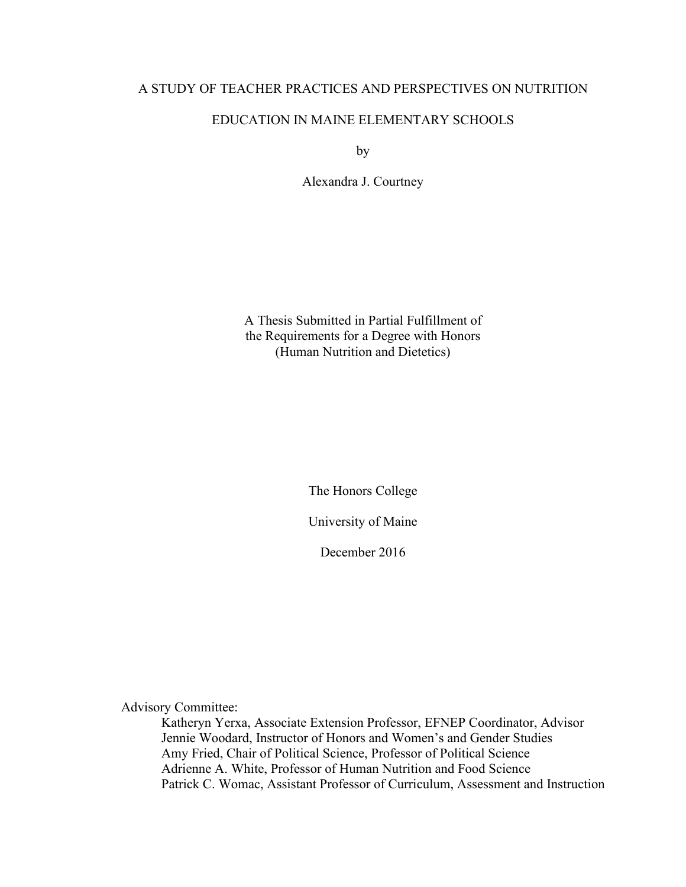## A STUDY OF TEACHER PRACTICES AND PERSPECTIVES ON NUTRITION

# EDUCATION IN MAINE ELEMENTARY SCHOOLS

by

Alexandra J. Courtney

A Thesis Submitted in Partial Fulfillment of the Requirements for a Degree with Honors (Human Nutrition and Dietetics)

The Honors College

University of Maine

December 2016

Advisory Committee:

Katheryn Yerxa, Associate Extension Professor, EFNEP Coordinator, Advisor Jennie Woodard, Instructor of Honors and Women's and Gender Studies Amy Fried, Chair of Political Science, Professor of Political Science Adrienne A. White, Professor of Human Nutrition and Food Science Patrick C. Womac, Assistant Professor of Curriculum, Assessment and Instruction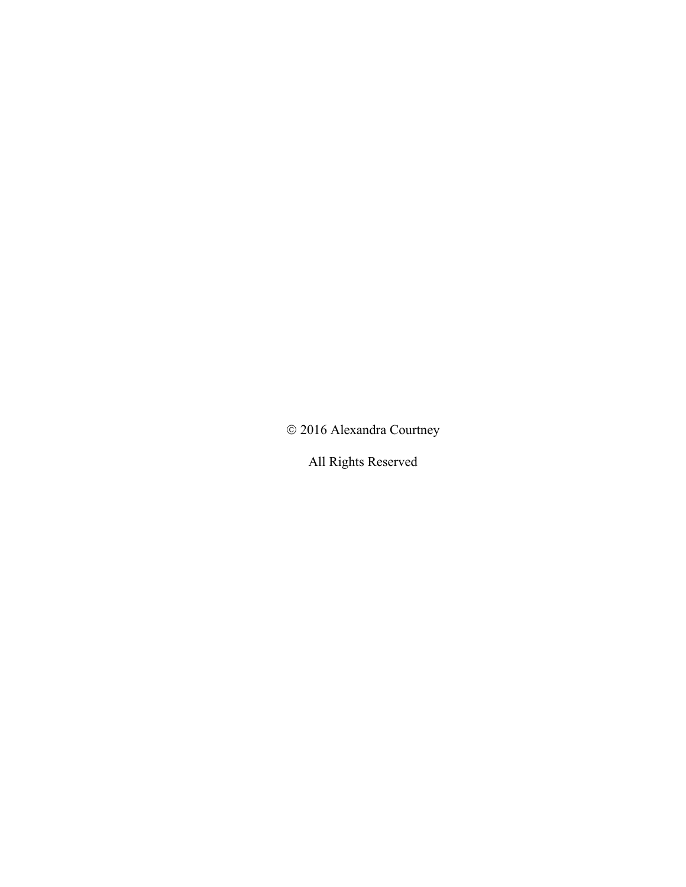ã 2016 Alexandra Courtney

All Rights Reserved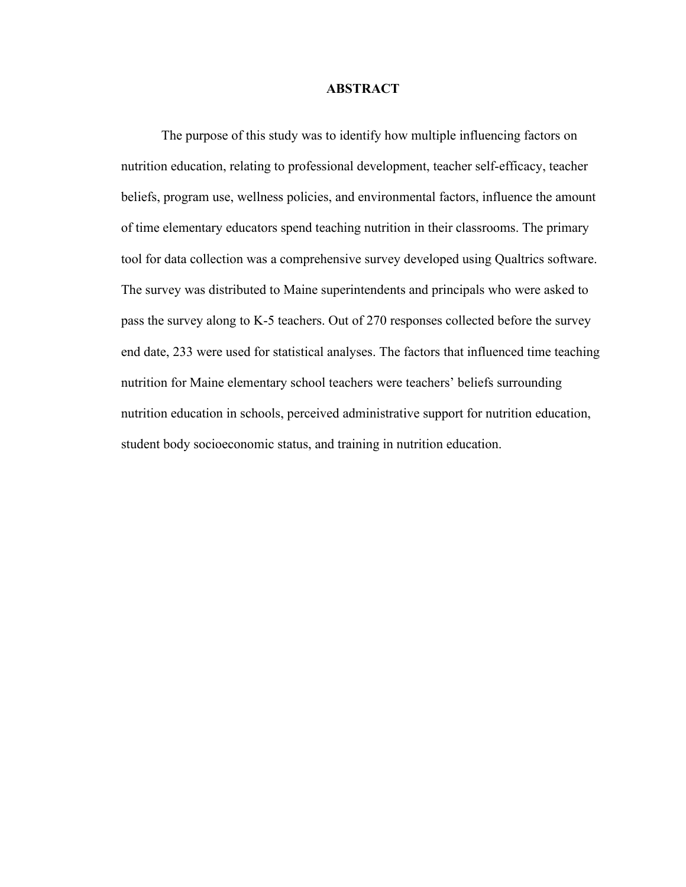#### **ABSTRACT**

The purpose of this study was to identify how multiple influencing factors on nutrition education, relating to professional development, teacher self-efficacy, teacher beliefs, program use, wellness policies, and environmental factors, influence the amount of time elementary educators spend teaching nutrition in their classrooms. The primary tool for data collection was a comprehensive survey developed using Qualtrics software. The survey was distributed to Maine superintendents and principals who were asked to pass the survey along to K-5 teachers. Out of 270 responses collected before the survey end date, 233 were used for statistical analyses. The factors that influenced time teaching nutrition for Maine elementary school teachers were teachers' beliefs surrounding nutrition education in schools, perceived administrative support for nutrition education, student body socioeconomic status, and training in nutrition education.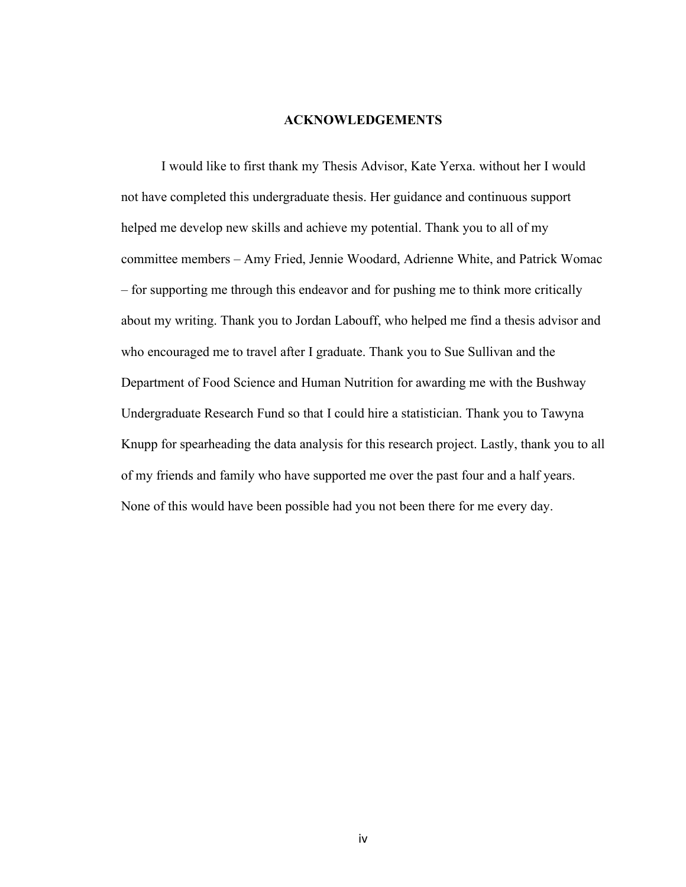### **ACKNOWLEDGEMENTS**

I would like to first thank my Thesis Advisor, Kate Yerxa. without her I would not have completed this undergraduate thesis. Her guidance and continuous support helped me develop new skills and achieve my potential. Thank you to all of my committee members – Amy Fried, Jennie Woodard, Adrienne White, and Patrick Womac – for supporting me through this endeavor and for pushing me to think more critically about my writing. Thank you to Jordan Labouff, who helped me find a thesis advisor and who encouraged me to travel after I graduate. Thank you to Sue Sullivan and the Department of Food Science and Human Nutrition for awarding me with the Bushway Undergraduate Research Fund so that I could hire a statistician. Thank you to Tawyna Knupp for spearheading the data analysis for this research project. Lastly, thank you to all of my friends and family who have supported me over the past four and a half years. None of this would have been possible had you not been there for me every day.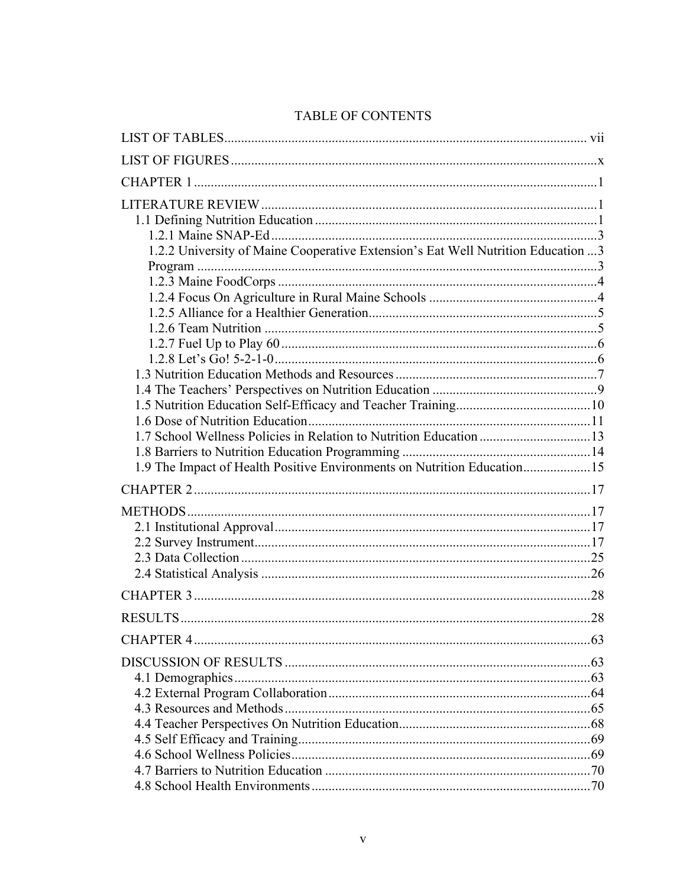| <b>TABLE OF CONTENTS</b> |  |
|--------------------------|--|
|--------------------------|--|

| 1.2.2 University of Maine Cooperative Extension's Eat Well Nutrition Education 3<br>1.9 The Impact of Health Positive Environments on Nutrition Education15 |  |
|-------------------------------------------------------------------------------------------------------------------------------------------------------------|--|
|                                                                                                                                                             |  |
|                                                                                                                                                             |  |
|                                                                                                                                                             |  |
|                                                                                                                                                             |  |
|                                                                                                                                                             |  |
|                                                                                                                                                             |  |
|                                                                                                                                                             |  |
|                                                                                                                                                             |  |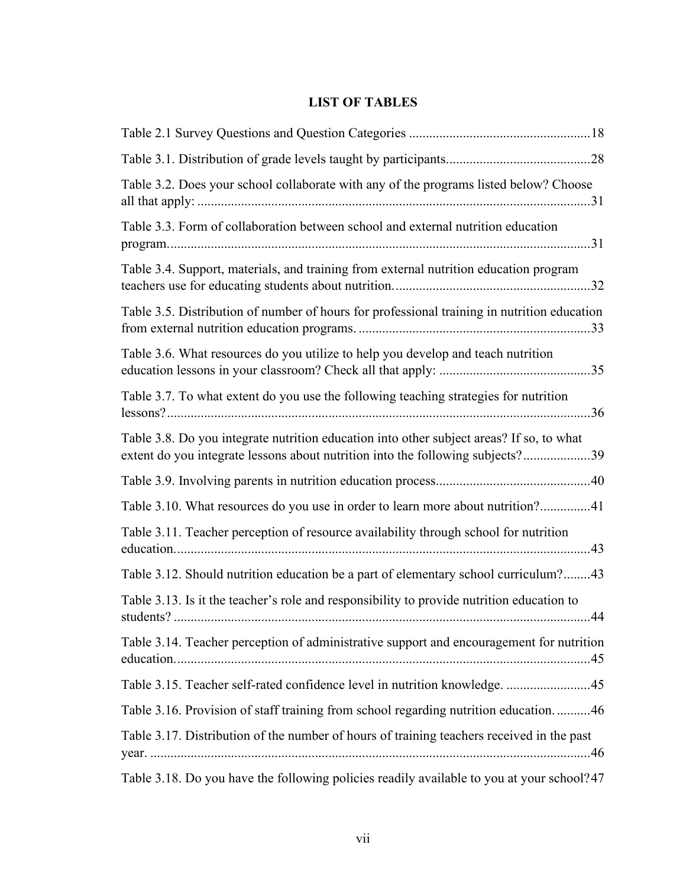# **LIST OF TABLES**

| Table 3.2. Does your school collaborate with any of the programs listed below? Choose                                                                                      |  |
|----------------------------------------------------------------------------------------------------------------------------------------------------------------------------|--|
| Table 3.3. Form of collaboration between school and external nutrition education                                                                                           |  |
| Table 3.4. Support, materials, and training from external nutrition education program                                                                                      |  |
| Table 3.5. Distribution of number of hours for professional training in nutrition education                                                                                |  |
| Table 3.6. What resources do you utilize to help you develop and teach nutrition                                                                                           |  |
| Table 3.7. To what extent do you use the following teaching strategies for nutrition                                                                                       |  |
| Table 3.8. Do you integrate nutrition education into other subject areas? If so, to what<br>extent do you integrate lessons about nutrition into the following subjects?39 |  |
|                                                                                                                                                                            |  |
| Table 3.10. What resources do you use in order to learn more about nutrition?41                                                                                            |  |
| Table 3.11. Teacher perception of resource availability through school for nutrition                                                                                       |  |
| Table 3.12. Should nutrition education be a part of elementary school curriculum?43                                                                                        |  |
| Table 3.13. Is it the teacher's role and responsibility to provide nutrition education to                                                                                  |  |
| Table 3.14. Teacher perception of administrative support and encouragement for nutrition                                                                                   |  |
| Table 3.15. Teacher self-rated confidence level in nutrition knowledge. 45                                                                                                 |  |
| Table 3.16. Provision of staff training from school regarding nutrition education46                                                                                        |  |
| Table 3.17. Distribution of the number of hours of training teachers received in the past                                                                                  |  |
| Table 2.18. De vou heve the following policies readily evailable to vou at your school? 47                                                                                 |  |

Table 3.18. Do you have the following policies readily available to you at your school?47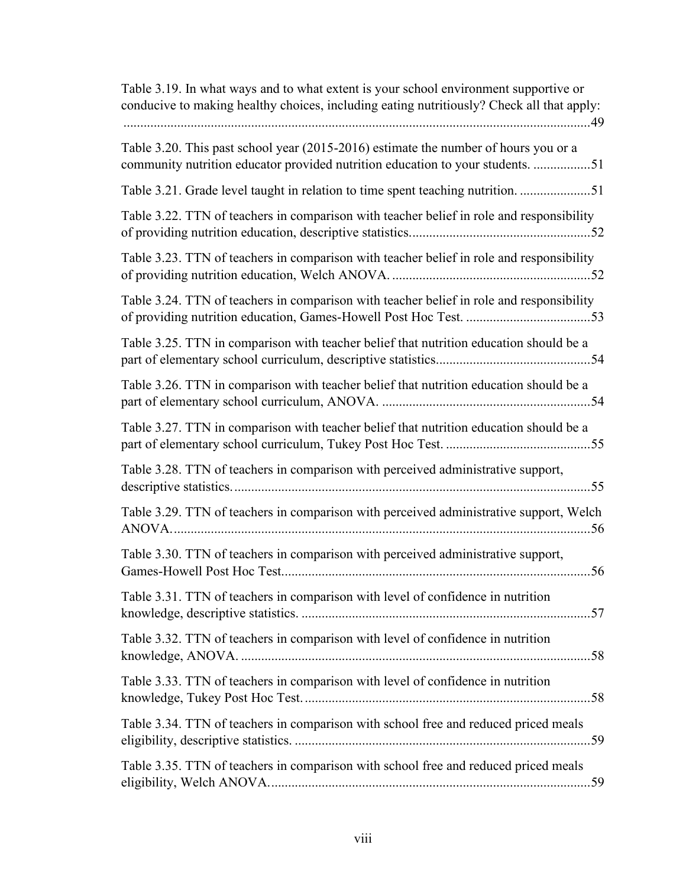| Table 3.19. In what ways and to what extent is your school environment supportive or<br>conducive to making healthy choices, including eating nutritiously? Check all that apply:<br>49 |
|-----------------------------------------------------------------------------------------------------------------------------------------------------------------------------------------|
| Table 3.20. This past school year (2015-2016) estimate the number of hours you or a<br>community nutrition educator provided nutrition education to your students. 51                   |
|                                                                                                                                                                                         |
| Table 3.22. TTN of teachers in comparison with teacher belief in role and responsibility                                                                                                |
| Table 3.23. TTN of teachers in comparison with teacher belief in role and responsibility                                                                                                |
| Table 3.24. TTN of teachers in comparison with teacher belief in role and responsibility                                                                                                |
| Table 3.25. TTN in comparison with teacher belief that nutrition education should be a                                                                                                  |
| Table 3.26. TTN in comparison with teacher belief that nutrition education should be a                                                                                                  |
| Table 3.27. TTN in comparison with teacher belief that nutrition education should be a                                                                                                  |
| Table 3.28. TTN of teachers in comparison with perceived administrative support,                                                                                                        |
| Table 3.29. TTN of teachers in comparison with perceived administrative support, Welch<br>ANOVA                                                                                         |
| Table 3.30. TTN of teachers in comparison with perceived administrative support,                                                                                                        |
| Table 3.31. TTN of teachers in comparison with level of confidence in nutrition                                                                                                         |
| Table 3.32. TTN of teachers in comparison with level of confidence in nutrition                                                                                                         |
| Table 3.33. TTN of teachers in comparison with level of confidence in nutrition                                                                                                         |
| Table 3.34. TTN of teachers in comparison with school free and reduced priced meals                                                                                                     |
| Table 3.35. TTN of teachers in comparison with school free and reduced priced meals                                                                                                     |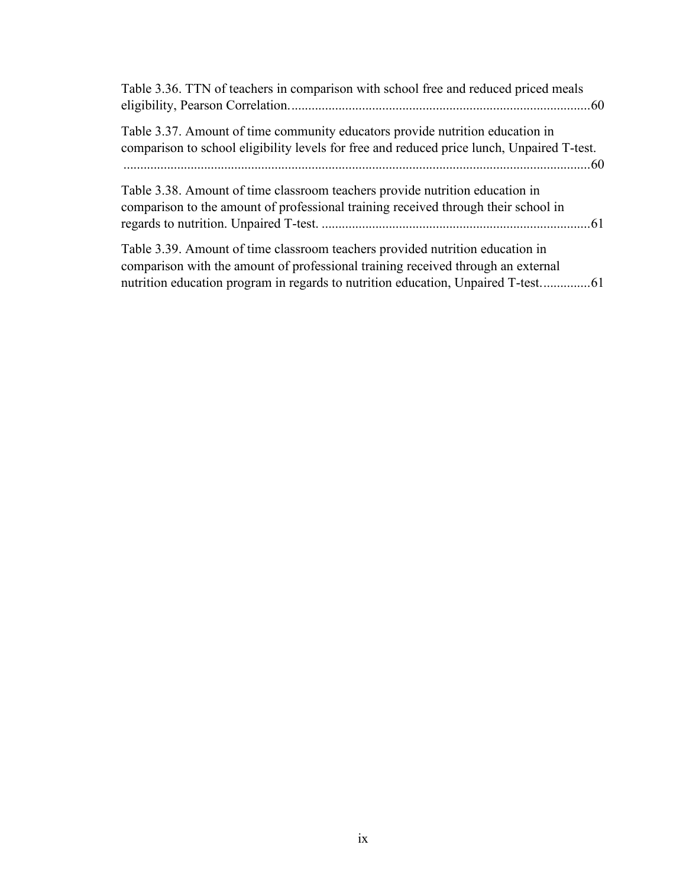| Table 3.36. TTN of teachers in comparison with school free and reduced priced meals                                                                                               |
|-----------------------------------------------------------------------------------------------------------------------------------------------------------------------------------|
| Table 3.37. Amount of time community educators provide nutrition education in<br>comparison to school eligibility levels for free and reduced price lunch, Unpaired T-test.<br>60 |
| Table 3.38. Amount of time classroom teachers provide nutrition education in<br>comparison to the amount of professional training received through their school in                |
| Table 3.39. Amount of time classroom teachers provided nutrition education in<br>comparison with the amount of professional training received through an external                 |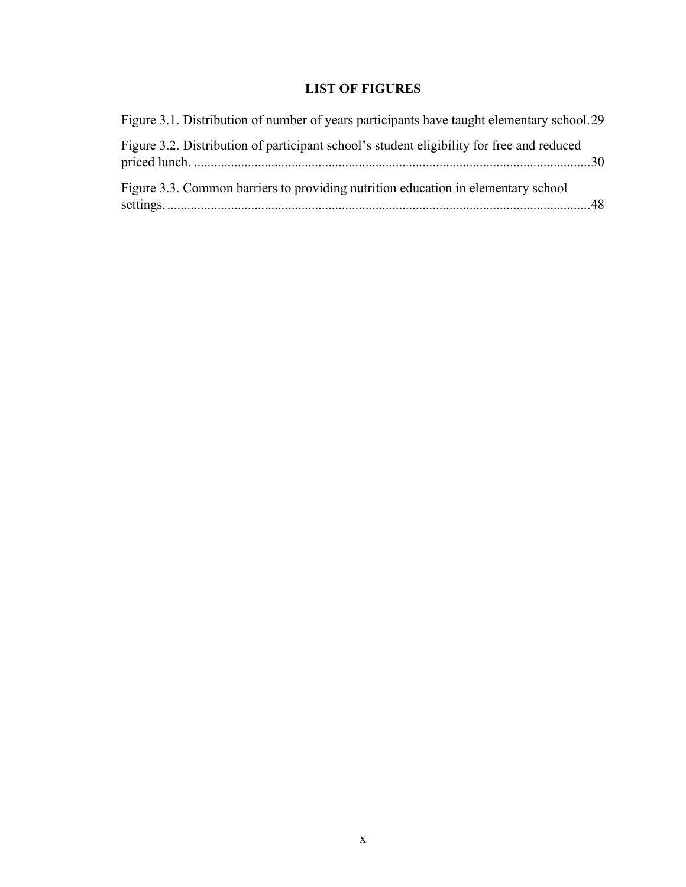# **LIST OF FIGURES**

| Figure 3.1. Distribution of number of years participants have taught elementary school.29 |  |
|-------------------------------------------------------------------------------------------|--|
| Figure 3.2. Distribution of participant school's student eligibility for free and reduced |  |
| Figure 3.3. Common barriers to providing nutrition education in elementary school         |  |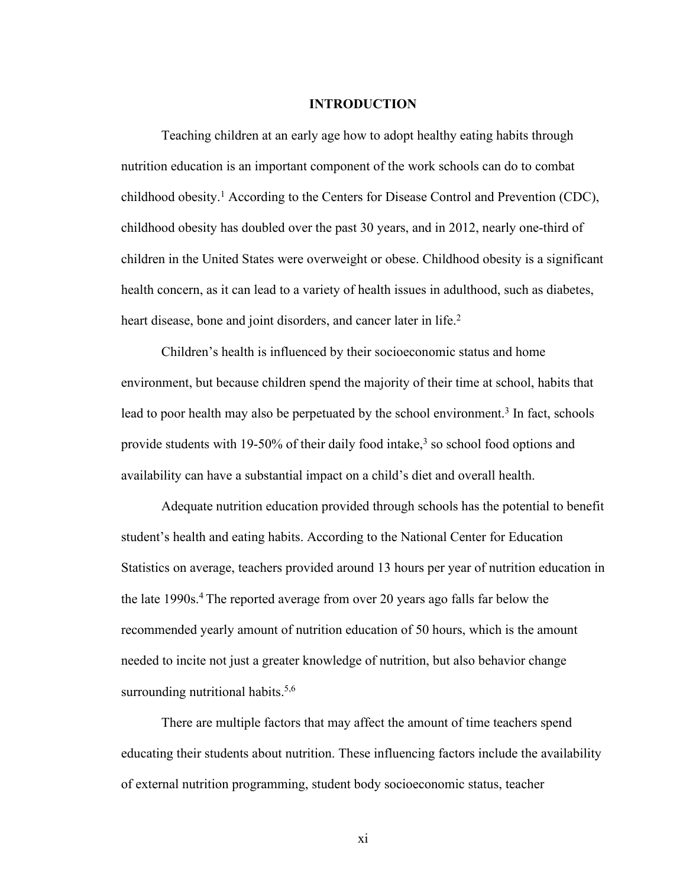#### **INTRODUCTION**

Teaching children at an early age how to adopt healthy eating habits through nutrition education is an important component of the work schools can do to combat childhood obesity. <sup>1</sup> According to the Centers for Disease Control and Prevention (CDC), childhood obesity has doubled over the past 30 years, and in 2012, nearly one-third of children in the United States were overweight or obese. Childhood obesity is a significant health concern, as it can lead to a variety of health issues in adulthood, such as diabetes, heart disease, bone and joint disorders, and cancer later in life. 2

Children's health is influenced by their socioeconomic status and home environment, but because children spend the majority of their time at school, habits that lead to poor health may also be perpetuated by the school environment.<sup>3</sup> In fact, schools provide students with 19-50% of their daily food intake,<sup>3</sup> so school food options and availability can have a substantial impact on a child's diet and overall health.

Adequate nutrition education provided through schools has the potential to benefit student's health and eating habits. According to the National Center for Education Statistics on average, teachers provided around 13 hours per year of nutrition education in the late 1990s. <sup>4</sup> The reported average from over 20 years ago falls far below the recommended yearly amount of nutrition education of 50 hours, which is the amount needed to incite not just a greater knowledge of nutrition, but also behavior change surrounding nutritional habits.<sup>5,6</sup>

There are multiple factors that may affect the amount of time teachers spend educating their students about nutrition. These influencing factors include the availability of external nutrition programming, student body socioeconomic status, teacher

xi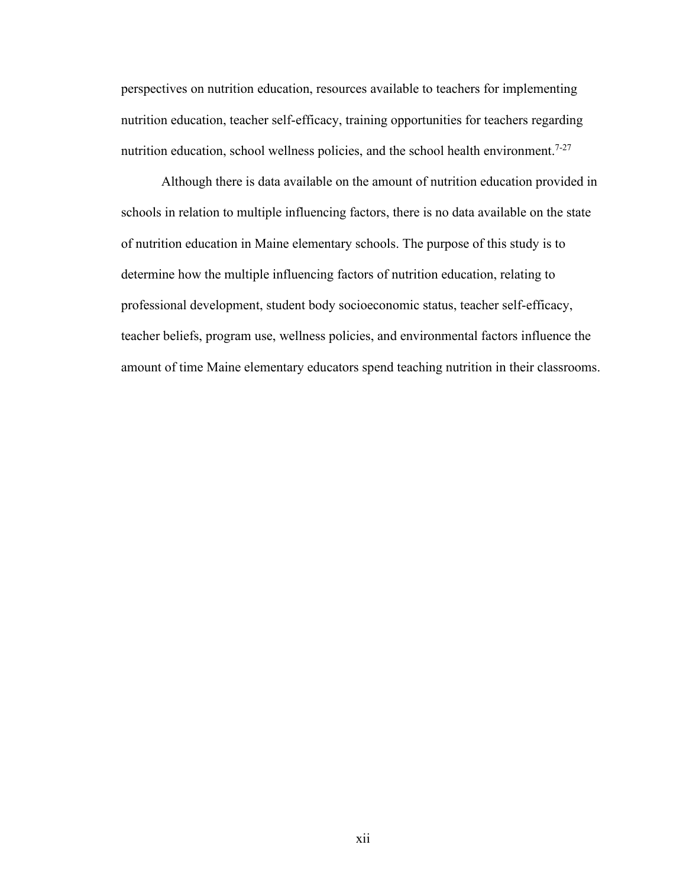perspectives on nutrition education, resources available to teachers for implementing nutrition education, teacher self-efficacy, training opportunities for teachers regarding nutrition education, school wellness policies, and the school health environment.<sup>7-27</sup>

Although there is data available on the amount of nutrition education provided in schools in relation to multiple influencing factors, there is no data available on the state of nutrition education in Maine elementary schools. The purpose of this study is to determine how the multiple influencing factors of nutrition education, relating to professional development, student body socioeconomic status, teacher self-efficacy, teacher beliefs, program use, wellness policies, and environmental factors influence the amount of time Maine elementary educators spend teaching nutrition in their classrooms.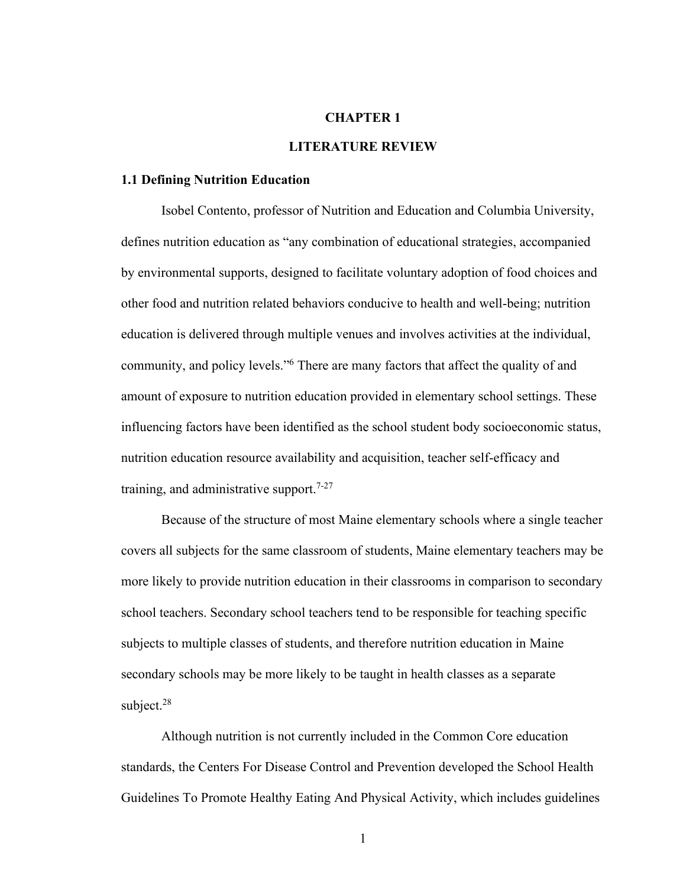#### **CHAPTER 1**

#### **LITERATURE REVIEW**

#### **1.1 Defining Nutrition Education**

Isobel Contento, professor of Nutrition and Education and Columbia University, defines nutrition education as "any combination of educational strategies, accompanied by environmental supports, designed to facilitate voluntary adoption of food choices and other food and nutrition related behaviors conducive to health and well-being; nutrition education is delivered through multiple venues and involves activities at the individual, community, and policy levels."6 There are many factors that affect the quality of and amount of exposure to nutrition education provided in elementary school settings. These influencing factors have been identified as the school student body socioeconomic status, nutrition education resource availability and acquisition, teacher self-efficacy and training, and administrative support.<sup>7-27</sup>

Because of the structure of most Maine elementary schools where a single teacher covers all subjects for the same classroom of students, Maine elementary teachers may be more likely to provide nutrition education in their classrooms in comparison to secondary school teachers. Secondary school teachers tend to be responsible for teaching specific subjects to multiple classes of students, and therefore nutrition education in Maine secondary schools may be more likely to be taught in health classes as a separate subject.<sup>28</sup>

Although nutrition is not currently included in the Common Core education standards, the Centers For Disease Control and Prevention developed the School Health Guidelines To Promote Healthy Eating And Physical Activity, which includes guidelines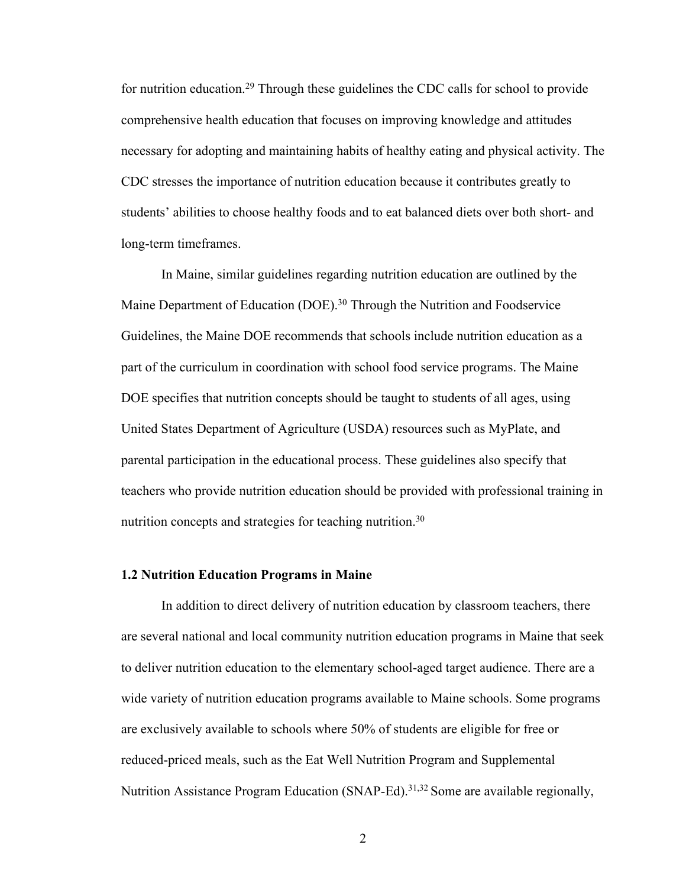for nutrition education.29 Through these guidelines the CDC calls for school to provide comprehensive health education that focuses on improving knowledge and attitudes necessary for adopting and maintaining habits of healthy eating and physical activity. The CDC stresses the importance of nutrition education because it contributes greatly to students' abilities to choose healthy foods and to eat balanced diets over both short- and long-term timeframes.

In Maine, similar guidelines regarding nutrition education are outlined by the Maine Department of Education (DOE).<sup>30</sup> Through the Nutrition and Foodservice Guidelines, the Maine DOE recommends that schools include nutrition education as a part of the curriculum in coordination with school food service programs. The Maine DOE specifies that nutrition concepts should be taught to students of all ages, using United States Department of Agriculture (USDA) resources such as MyPlate, and parental participation in the educational process. These guidelines also specify that teachers who provide nutrition education should be provided with professional training in nutrition concepts and strategies for teaching nutrition.<sup>30</sup>

#### **1.2 Nutrition Education Programs in Maine**

In addition to direct delivery of nutrition education by classroom teachers, there are several national and local community nutrition education programs in Maine that seek to deliver nutrition education to the elementary school-aged target audience. There are a wide variety of nutrition education programs available to Maine schools. Some programs are exclusively available to schools where 50% of students are eligible for free or reduced-priced meals, such as the Eat Well Nutrition Program and Supplemental Nutrition Assistance Program Education (SNAP-Ed).<sup>31,32</sup> Some are available regionally,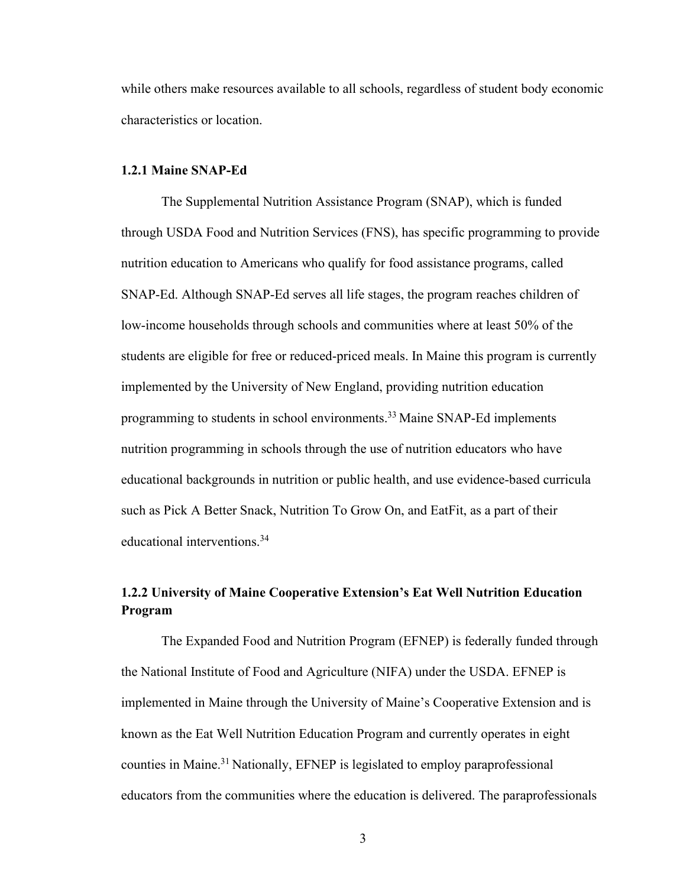while others make resources available to all schools, regardless of student body economic characteristics or location.

#### **1.2.1 Maine SNAP-Ed**

The Supplemental Nutrition Assistance Program (SNAP), which is funded through USDA Food and Nutrition Services (FNS), has specific programming to provide nutrition education to Americans who qualify for food assistance programs, called SNAP-Ed. Although SNAP-Ed serves all life stages, the program reaches children of low-income households through schools and communities where at least 50% of the students are eligible for free or reduced-priced meals. In Maine this program is currently implemented by the University of New England, providing nutrition education programming to students in school environments. <sup>33</sup> Maine SNAP-Ed implements nutrition programming in schools through the use of nutrition educators who have educational backgrounds in nutrition or public health, and use evidence-based curricula such as Pick A Better Snack, Nutrition To Grow On, and EatFit, as a part of their educational interventions. 34

# **1.2.2 University of Maine Cooperative Extension's Eat Well Nutrition Education Program**

The Expanded Food and Nutrition Program (EFNEP) is federally funded through the National Institute of Food and Agriculture (NIFA) under the USDA. EFNEP is implemented in Maine through the University of Maine's Cooperative Extension and is known as the Eat Well Nutrition Education Program and currently operates in eight counties in Maine. <sup>31</sup> Nationally, EFNEP is legislated to employ paraprofessional educators from the communities where the education is delivered. The paraprofessionals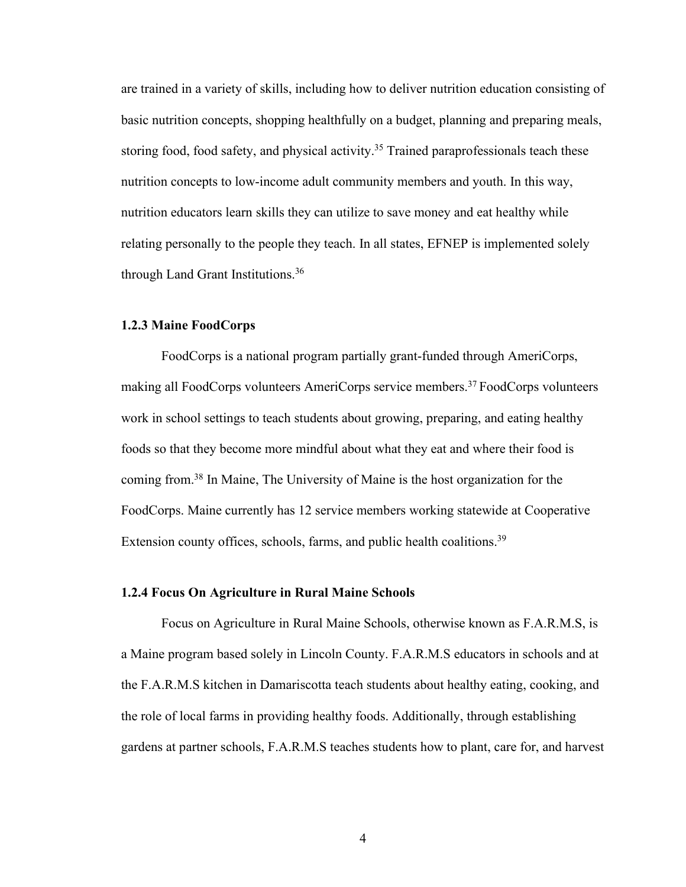are trained in a variety of skills, including how to deliver nutrition education consisting of basic nutrition concepts, shopping healthfully on a budget, planning and preparing meals, storing food, food safety, and physical activity.<sup>35</sup> Trained paraprofessionals teach these nutrition concepts to low-income adult community members and youth. In this way, nutrition educators learn skills they can utilize to save money and eat healthy while relating personally to the people they teach. In all states, EFNEP is implemented solely through Land Grant Institutions.36

#### **1.2.3 Maine FoodCorps**

FoodCorps is a national program partially grant-funded through AmeriCorps, making all FoodCorps volunteers AmeriCorps service members. <sup>37</sup> FoodCorps volunteers work in school settings to teach students about growing, preparing, and eating healthy foods so that they become more mindful about what they eat and where their food is coming from.38 In Maine, The University of Maine is the host organization for the FoodCorps. Maine currently has 12 service members working statewide at Cooperative Extension county offices, schools, farms, and public health coalitions.<sup>39</sup>

#### **1.2.4 Focus On Agriculture in Rural Maine Schools**

Focus on Agriculture in Rural Maine Schools, otherwise known as F.A.R.M.S, is a Maine program based solely in Lincoln County. F.A.R.M.S educators in schools and at the F.A.R.M.S kitchen in Damariscotta teach students about healthy eating, cooking, and the role of local farms in providing healthy foods. Additionally, through establishing gardens at partner schools, F.A.R.M.S teaches students how to plant, care for, and harvest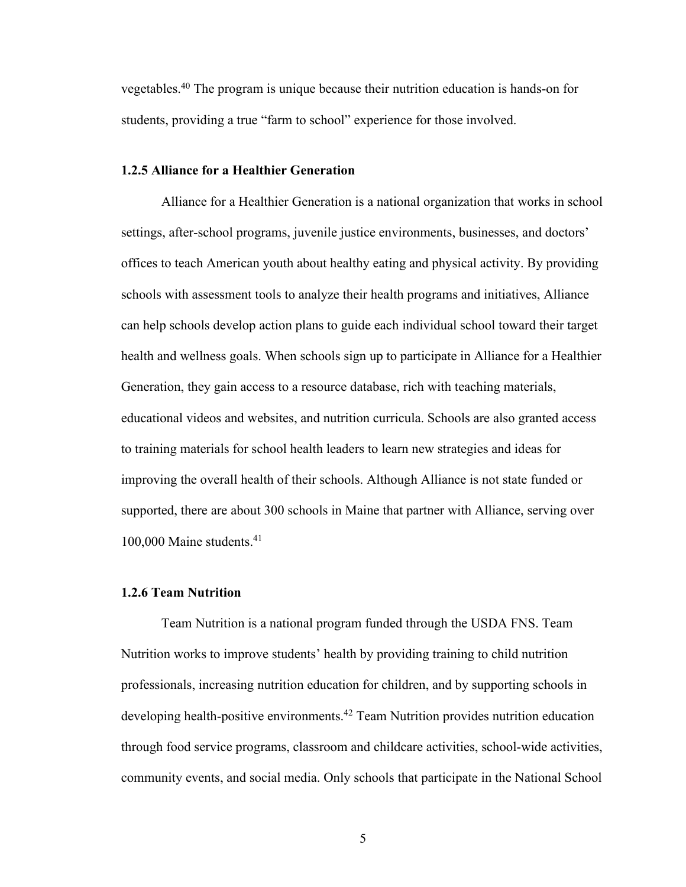vegetables.40 The program is unique because their nutrition education is hands-on for students, providing a true "farm to school" experience for those involved.

#### **1.2.5 Alliance for a Healthier Generation**

Alliance for a Healthier Generation is a national organization that works in school settings, after-school programs, juvenile justice environments, businesses, and doctors' offices to teach American youth about healthy eating and physical activity. By providing schools with assessment tools to analyze their health programs and initiatives, Alliance can help schools develop action plans to guide each individual school toward their target health and wellness goals. When schools sign up to participate in Alliance for a Healthier Generation, they gain access to a resource database, rich with teaching materials, educational videos and websites, and nutrition curricula. Schools are also granted access to training materials for school health leaders to learn new strategies and ideas for improving the overall health of their schools. Although Alliance is not state funded or supported, there are about 300 schools in Maine that partner with Alliance, serving over  $100,000$  Maine students.<sup>41</sup>

# **1.2.6 Team Nutrition**

Team Nutrition is a national program funded through the USDA FNS. Team Nutrition works to improve students' health by providing training to child nutrition professionals, increasing nutrition education for children, and by supporting schools in developing health-positive environments.42 Team Nutrition provides nutrition education through food service programs, classroom and childcare activities, school-wide activities, community events, and social media. Only schools that participate in the National School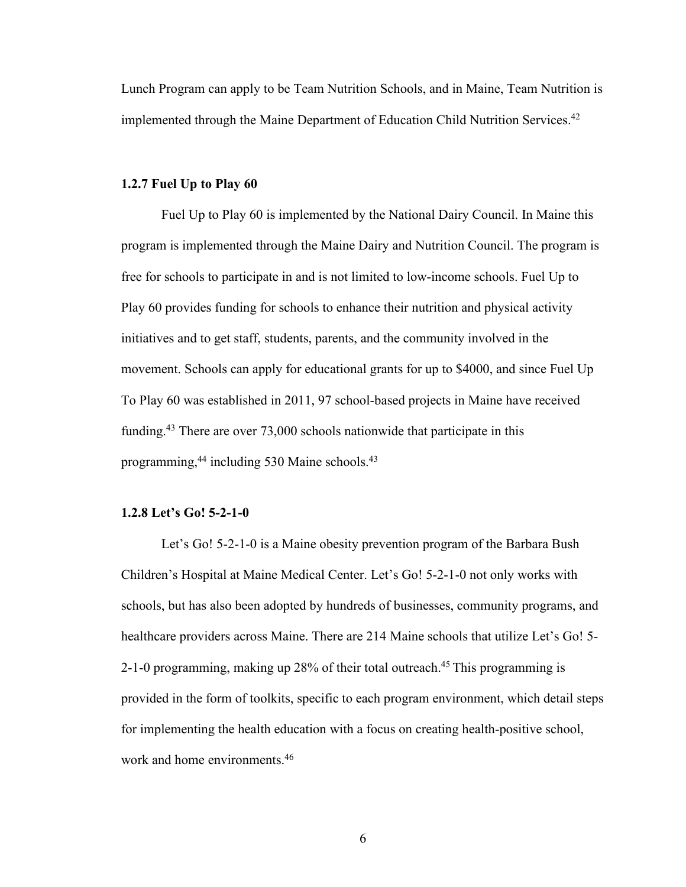Lunch Program can apply to be Team Nutrition Schools, and in Maine, Team Nutrition is implemented through the Maine Department of Education Child Nutrition Services.<sup>42</sup>

#### **1.2.7 Fuel Up to Play 60**

Fuel Up to Play 60 is implemented by the National Dairy Council. In Maine this program is implemented through the Maine Dairy and Nutrition Council. The program is free for schools to participate in and is not limited to low-income schools. Fuel Up to Play 60 provides funding for schools to enhance their nutrition and physical activity initiatives and to get staff, students, parents, and the community involved in the movement. Schools can apply for educational grants for up to \$4000, and since Fuel Up To Play 60 was established in 2011, 97 school-based projects in Maine have received funding. <sup>43</sup> There are over 73,000 schools nationwide that participate in this programming, <sup>44</sup> including 530 Maine schools. 43

## **1.2.8 Let's Go! 5-2-1-0**

Let's Go! 5-2-1-0 is a Maine obesity prevention program of the Barbara Bush Children's Hospital at Maine Medical Center. Let's Go! 5-2-1-0 not only works with schools, but has also been adopted by hundreds of businesses, community programs, and healthcare providers across Maine. There are 214 Maine schools that utilize Let's Go! 5- 2-1-0 programming, making up 28% of their total outreach. <sup>45</sup> This programming is provided in the form of toolkits, specific to each program environment, which detail steps for implementing the health education with a focus on creating health-positive school, work and home environments.<sup>46</sup>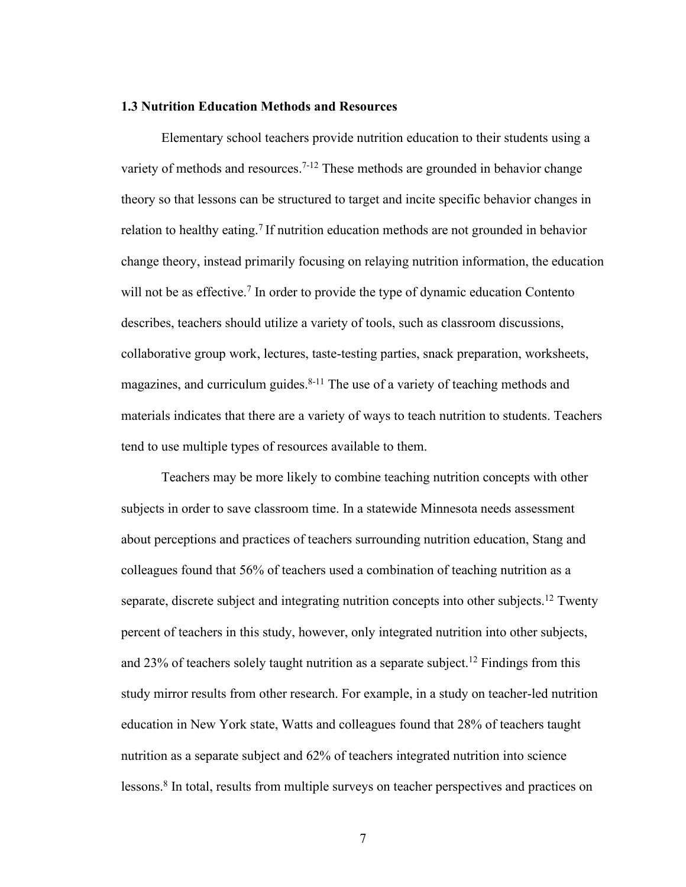#### **1.3 Nutrition Education Methods and Resources**

Elementary school teachers provide nutrition education to their students using a variety of methods and resources.<sup>7-12</sup> These methods are grounded in behavior change theory so that lessons can be structured to target and incite specific behavior changes in relation to healthy eating. <sup>7</sup> If nutrition education methods are not grounded in behavior change theory, instead primarily focusing on relaying nutrition information, the education will not be as effective.<sup>7</sup> In order to provide the type of dynamic education Contento describes, teachers should utilize a variety of tools, such as classroom discussions, collaborative group work, lectures, taste-testing parties, snack preparation, worksheets, magazines, and curriculum guides.<sup>8-11</sup> The use of a variety of teaching methods and materials indicates that there are a variety of ways to teach nutrition to students. Teachers tend to use multiple types of resources available to them.

Teachers may be more likely to combine teaching nutrition concepts with other subjects in order to save classroom time. In a statewide Minnesota needs assessment about perceptions and practices of teachers surrounding nutrition education, Stang and colleagues found that 56% of teachers used a combination of teaching nutrition as a separate, discrete subject and integrating nutrition concepts into other subjects.<sup>12</sup> Twenty percent of teachers in this study, however, only integrated nutrition into other subjects, and 23% of teachers solely taught nutrition as a separate subject. <sup>12</sup> Findings from this study mirror results from other research. For example, in a study on teacher-led nutrition education in New York state, Watts and colleagues found that 28% of teachers taught nutrition as a separate subject and 62% of teachers integrated nutrition into science lessons. <sup>8</sup> In total, results from multiple surveys on teacher perspectives and practices on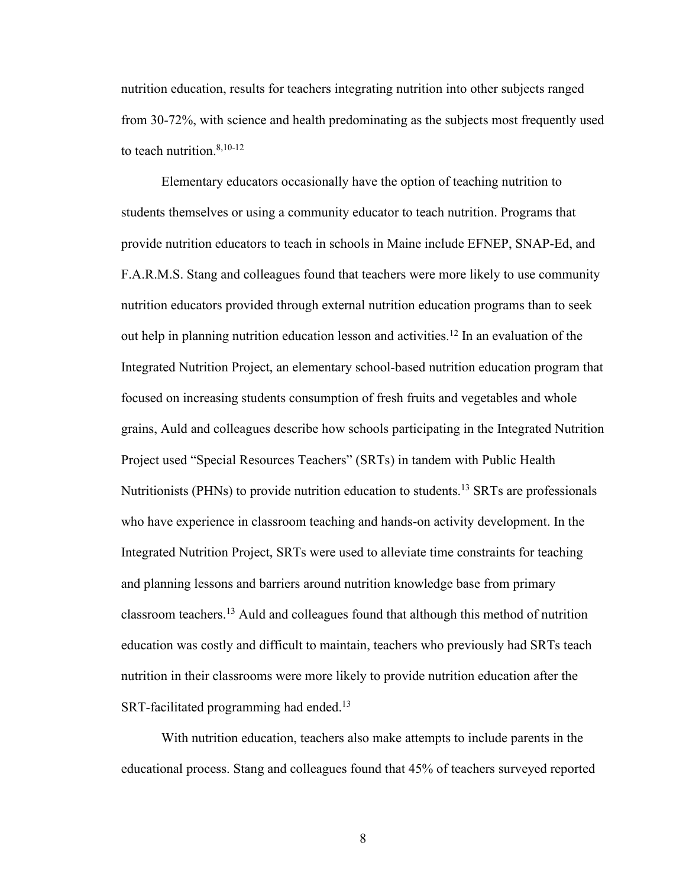nutrition education, results for teachers integrating nutrition into other subjects ranged from 30-72%, with science and health predominating as the subjects most frequently used to teach nutrition. 8,10-12

Elementary educators occasionally have the option of teaching nutrition to students themselves or using a community educator to teach nutrition. Programs that provide nutrition educators to teach in schools in Maine include EFNEP, SNAP-Ed, and F.A.R.M.S. Stang and colleagues found that teachers were more likely to use community nutrition educators provided through external nutrition education programs than to seek out help in planning nutrition education lesson and activities. <sup>12</sup> In an evaluation of the Integrated Nutrition Project, an elementary school-based nutrition education program that focused on increasing students consumption of fresh fruits and vegetables and whole grains, Auld and colleagues describe how schools participating in the Integrated Nutrition Project used "Special Resources Teachers" (SRTs) in tandem with Public Health Nutritionists (PHNs) to provide nutrition education to students.<sup>13</sup> SRTs are professionals who have experience in classroom teaching and hands-on activity development. In the Integrated Nutrition Project, SRTs were used to alleviate time constraints for teaching and planning lessons and barriers around nutrition knowledge base from primary classroom teachers. <sup>13</sup> Auld and colleagues found that although this method of nutrition education was costly and difficult to maintain, teachers who previously had SRTs teach nutrition in their classrooms were more likely to provide nutrition education after the SRT-facilitated programming had ended.<sup>13</sup>

With nutrition education, teachers also make attempts to include parents in the educational process. Stang and colleagues found that 45% of teachers surveyed reported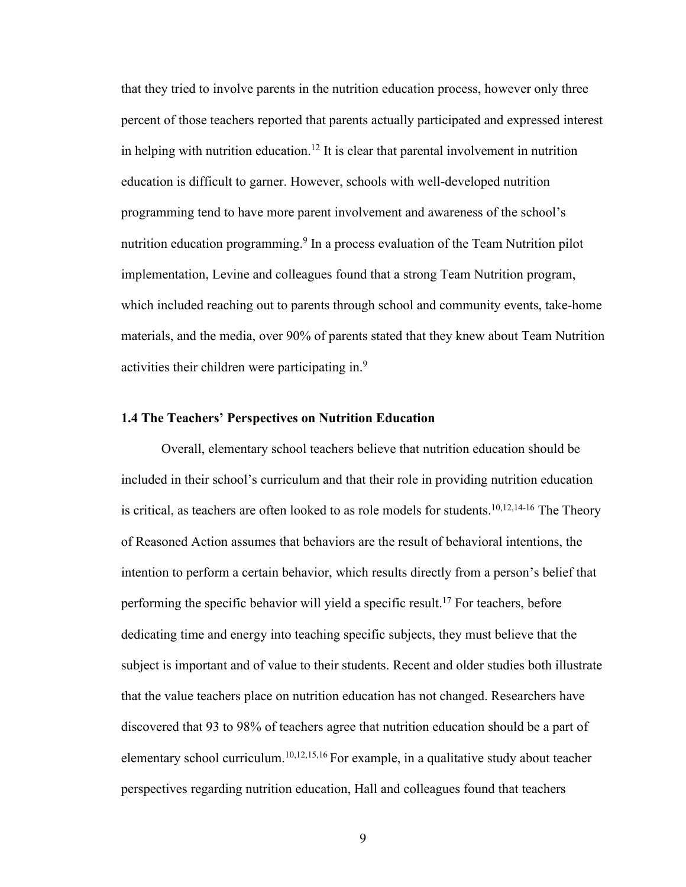that they tried to involve parents in the nutrition education process, however only three percent of those teachers reported that parents actually participated and expressed interest in helping with nutrition education. <sup>12</sup> It is clear that parental involvement in nutrition education is difficult to garner. However, schools with well-developed nutrition programming tend to have more parent involvement and awareness of the school's nutrition education programming.<sup>9</sup> In a process evaluation of the Team Nutrition pilot implementation, Levine and colleagues found that a strong Team Nutrition program, which included reaching out to parents through school and community events, take-home materials, and the media, over 90% of parents stated that they knew about Team Nutrition activities their children were participating in.<sup>9</sup>

#### **1.4 The Teachers' Perspectives on Nutrition Education**

Overall, elementary school teachers believe that nutrition education should be included in their school's curriculum and that their role in providing nutrition education is critical, as teachers are often looked to as role models for students.<sup>10,12,14-16</sup> The Theory of Reasoned Action assumes that behaviors are the result of behavioral intentions, the intention to perform a certain behavior, which results directly from a person's belief that performing the specific behavior will yield a specific result. <sup>17</sup> For teachers, before dedicating time and energy into teaching specific subjects, they must believe that the subject is important and of value to their students. Recent and older studies both illustrate that the value teachers place on nutrition education has not changed. Researchers have discovered that 93 to 98% of teachers agree that nutrition education should be a part of elementary school curriculum. 10,12,15,16 For example, in a qualitative study about teacher perspectives regarding nutrition education, Hall and colleagues found that teachers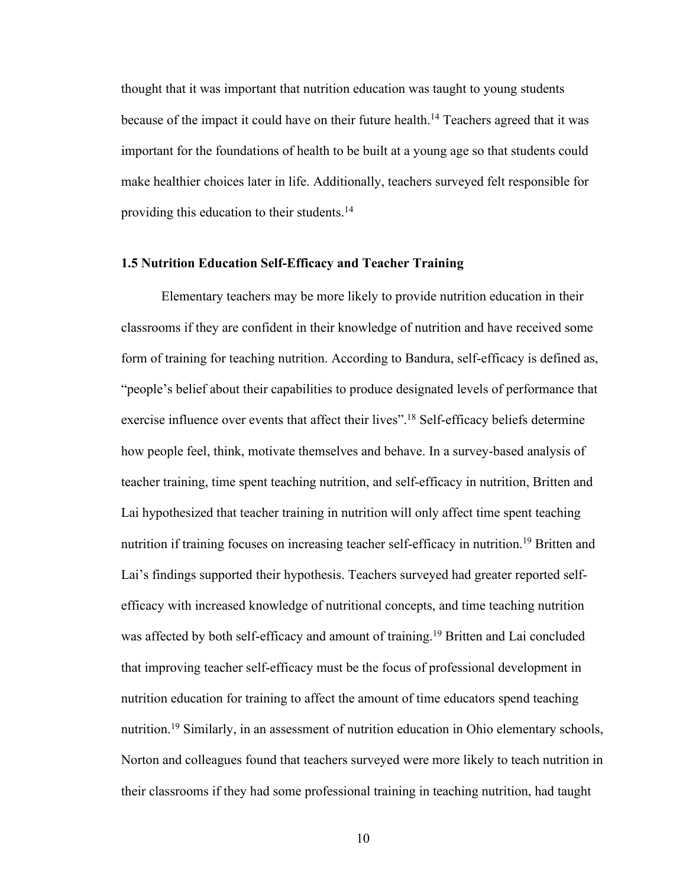thought that it was important that nutrition education was taught to young students because of the impact it could have on their future health.<sup>14</sup> Teachers agreed that it was important for the foundations of health to be built at a young age so that students could make healthier choices later in life. Additionally, teachers surveyed felt responsible for providing this education to their students.<sup>14</sup>

#### **1.5 Nutrition Education Self-Efficacy and Teacher Training**

Elementary teachers may be more likely to provide nutrition education in their classrooms if they are confident in their knowledge of nutrition and have received some form of training for teaching nutrition. According to Bandura, self-efficacy is defined as, "people's belief about their capabilities to produce designated levels of performance that exercise influence over events that affect their lives".<sup>18</sup> Self-efficacy beliefs determine how people feel, think, motivate themselves and behave. In a survey-based analysis of teacher training, time spent teaching nutrition, and self-efficacy in nutrition, Britten and Lai hypothesized that teacher training in nutrition will only affect time spent teaching nutrition if training focuses on increasing teacher self-efficacy in nutrition.<sup>19</sup> Britten and Lai's findings supported their hypothesis. Teachers surveyed had greater reported selfefficacy with increased knowledge of nutritional concepts, and time teaching nutrition was affected by both self-efficacy and amount of training. <sup>19</sup> Britten and Lai concluded that improving teacher self-efficacy must be the focus of professional development in nutrition education for training to affect the amount of time educators spend teaching nutrition.<sup>19</sup> Similarly, in an assessment of nutrition education in Ohio elementary schools, Norton and colleagues found that teachers surveyed were more likely to teach nutrition in their classrooms if they had some professional training in teaching nutrition, had taught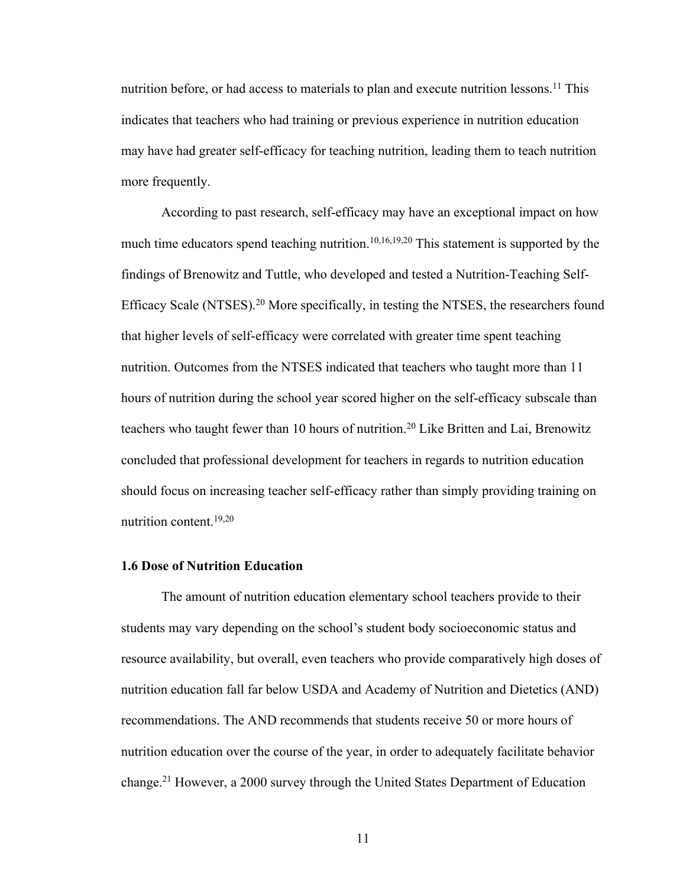nutrition before, or had access to materials to plan and execute nutrition lessons.<sup>11</sup> This indicates that teachers who had training or previous experience in nutrition education may have had greater self-efficacy for teaching nutrition, leading them to teach nutrition more frequently.

According to past research, self-efficacy may have an exceptional impact on how much time educators spend teaching nutrition.<sup>10,16,19,20</sup> This statement is supported by the findings of Brenowitz and Tuttle, who developed and tested a Nutrition-Teaching Self-Efficacy Scale (NTSES).<sup>20</sup> More specifically, in testing the NTSES, the researchers found that higher levels of self-efficacy were correlated with greater time spent teaching nutrition. Outcomes from the NTSES indicated that teachers who taught more than 11 hours of nutrition during the school year scored higher on the self-efficacy subscale than teachers who taught fewer than 10 hours of nutrition. <sup>20</sup> Like Britten and Lai, Brenowitz concluded that professional development for teachers in regards to nutrition education should focus on increasing teacher self-efficacy rather than simply providing training on nutrition content. 19,20

### **1.6 Dose of Nutrition Education**

The amount of nutrition education elementary school teachers provide to their students may vary depending on the school's student body socioeconomic status and resource availability, but overall, even teachers who provide comparatively high doses of nutrition education fall far below USDA and Academy of Nutrition and Dietetics (AND) recommendations. The AND recommends that students receive 50 or more hours of nutrition education over the course of the year, in order to adequately facilitate behavior change. <sup>21</sup> However, a 2000 survey through the United States Department of Education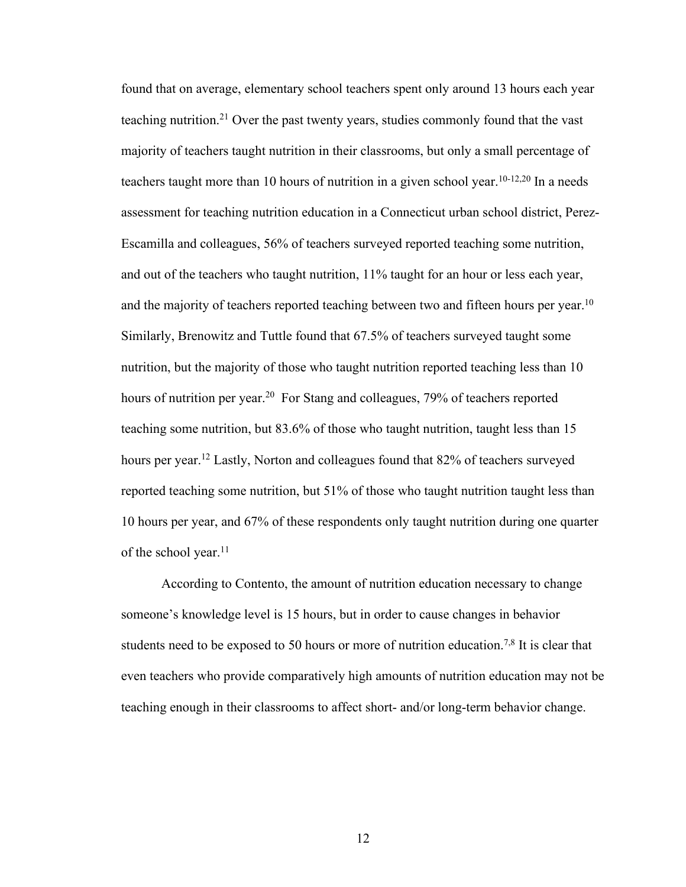found that on average, elementary school teachers spent only around 13 hours each year teaching nutrition. <sup>21</sup> Over the past twenty years, studies commonly found that the vast majority of teachers taught nutrition in their classrooms, but only a small percentage of teachers taught more than 10 hours of nutrition in a given school year.<sup>10-12,20</sup> In a needs assessment for teaching nutrition education in a Connecticut urban school district, Perez-Escamilla and colleagues, 56% of teachers surveyed reported teaching some nutrition, and out of the teachers who taught nutrition, 11% taught for an hour or less each year, and the majority of teachers reported teaching between two and fifteen hours per year.<sup>10</sup> Similarly, Brenowitz and Tuttle found that 67.5% of teachers surveyed taught some nutrition, but the majority of those who taught nutrition reported teaching less than 10 hours of nutrition per year.<sup>20</sup> For Stang and colleagues, 79% of teachers reported teaching some nutrition, but 83.6% of those who taught nutrition, taught less than 15 hours per year. <sup>12</sup> Lastly, Norton and colleagues found that 82% of teachers surveyed reported teaching some nutrition, but 51% of those who taught nutrition taught less than 10 hours per year, and 67% of these respondents only taught nutrition during one quarter of the school year.<sup>11</sup>

According to Contento, the amount of nutrition education necessary to change someone's knowledge level is 15 hours, but in order to cause changes in behavior students need to be exposed to 50 hours or more of nutrition education.<sup>7,8</sup> It is clear that even teachers who provide comparatively high amounts of nutrition education may not be teaching enough in their classrooms to affect short- and/or long-term behavior change.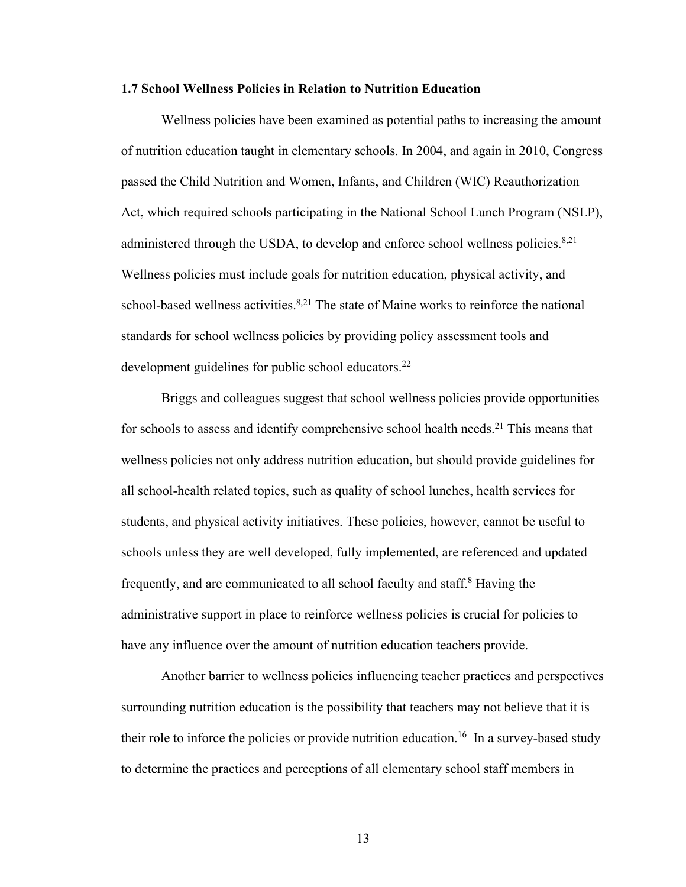#### **1.7 School Wellness Policies in Relation to Nutrition Education**

Wellness policies have been examined as potential paths to increasing the amount of nutrition education taught in elementary schools. In 2004, and again in 2010, Congress passed the Child Nutrition and Women, Infants, and Children (WIC) Reauthorization Act, which required schools participating in the National School Lunch Program (NSLP), administered through the USDA, to develop and enforce school wellness policies. $8,21$ Wellness policies must include goals for nutrition education, physical activity, and school-based wellness activities.<sup>8,21</sup> The state of Maine works to reinforce the national standards for school wellness policies by providing policy assessment tools and development guidelines for public school educators.<sup>22</sup>

Briggs and colleagues suggest that school wellness policies provide opportunities for schools to assess and identify comprehensive school health needs.<sup>21</sup> This means that wellness policies not only address nutrition education, but should provide guidelines for all school-health related topics, such as quality of school lunches, health services for students, and physical activity initiatives. These policies, however, cannot be useful to schools unless they are well developed, fully implemented, are referenced and updated frequently, and are communicated to all school faculty and staff. <sup>8</sup> Having the administrative support in place to reinforce wellness policies is crucial for policies to have any influence over the amount of nutrition education teachers provide.

Another barrier to wellness policies influencing teacher practices and perspectives surrounding nutrition education is the possibility that teachers may not believe that it is their role to inforce the policies or provide nutrition education.<sup>16</sup> In a survey-based study to determine the practices and perceptions of all elementary school staff members in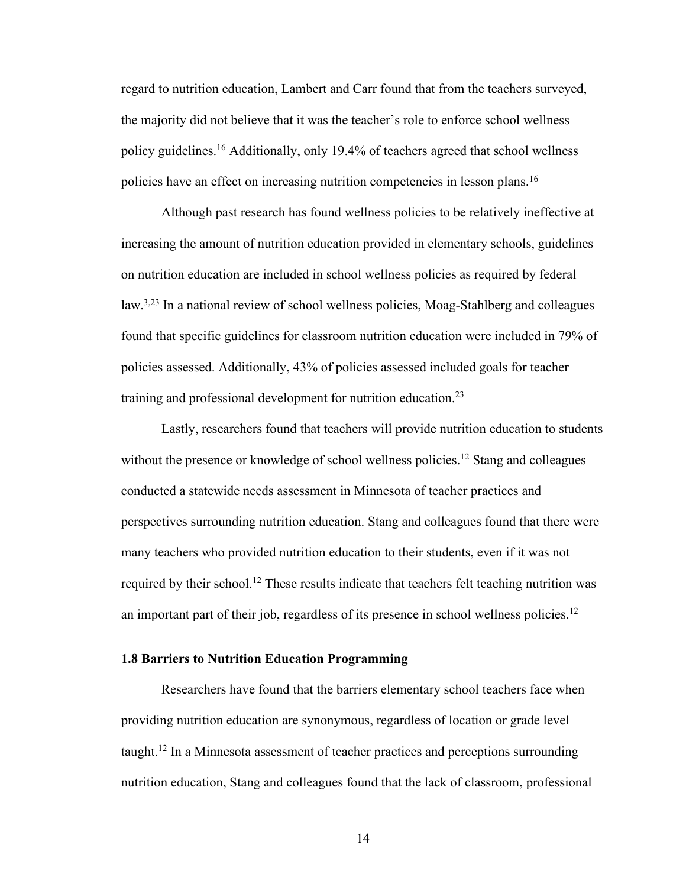regard to nutrition education, Lambert and Carr found that from the teachers surveyed, the majority did not believe that it was the teacher's role to enforce school wellness policy guidelines. <sup>16</sup> Additionally, only 19.4% of teachers agreed that school wellness policies have an effect on increasing nutrition competencies in lesson plans. 16

Although past research has found wellness policies to be relatively ineffective at increasing the amount of nutrition education provided in elementary schools, guidelines on nutrition education are included in school wellness policies as required by federal law.<sup>3,23</sup> In a national review of school wellness policies, Moag-Stahlberg and colleagues found that specific guidelines for classroom nutrition education were included in 79% of policies assessed. Additionally, 43% of policies assessed included goals for teacher training and professional development for nutrition education. 23

Lastly, researchers found that teachers will provide nutrition education to students without the presence or knowledge of school wellness policies.<sup>12</sup> Stang and colleagues conducted a statewide needs assessment in Minnesota of teacher practices and perspectives surrounding nutrition education. Stang and colleagues found that there were many teachers who provided nutrition education to their students, even if it was not required by their school.<sup>12</sup> These results indicate that teachers felt teaching nutrition was an important part of their job, regardless of its presence in school wellness policies. 12

### **1.8 Barriers to Nutrition Education Programming**

Researchers have found that the barriers elementary school teachers face when providing nutrition education are synonymous, regardless of location or grade level taught.12 In a Minnesota assessment of teacher practices and perceptions surrounding nutrition education, Stang and colleagues found that the lack of classroom, professional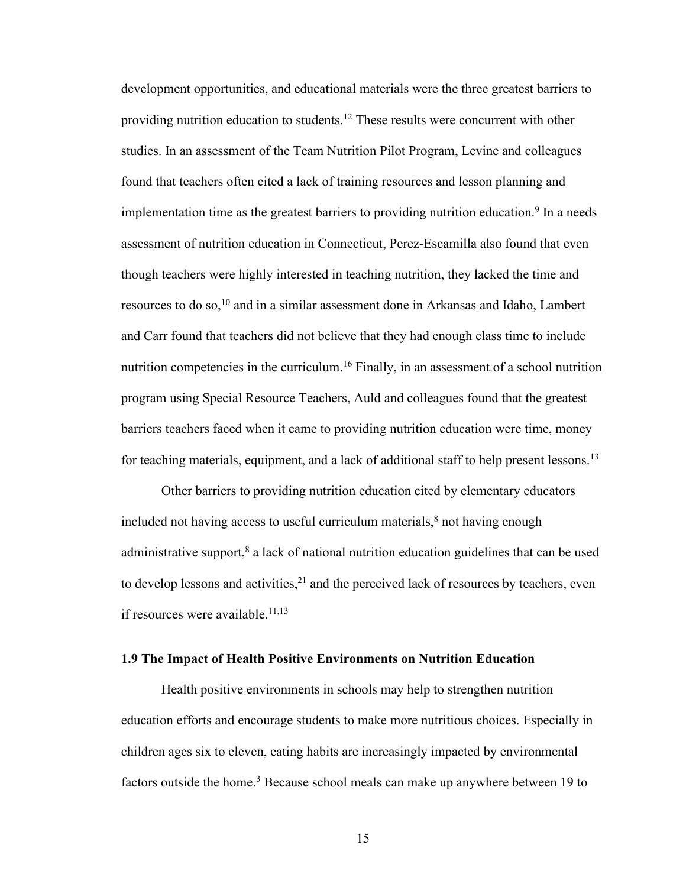development opportunities, and educational materials were the three greatest barriers to providing nutrition education to students.12 These results were concurrent with other studies. In an assessment of the Team Nutrition Pilot Program, Levine and colleagues found that teachers often cited a lack of training resources and lesson planning and implementation time as the greatest barriers to providing nutrition education. <sup>9</sup> In a needs assessment of nutrition education in Connecticut, Perez-Escamilla also found that even though teachers were highly interested in teaching nutrition, they lacked the time and resources to do so, <sup>10</sup> and in a similar assessment done in Arkansas and Idaho, Lambert and Carr found that teachers did not believe that they had enough class time to include nutrition competencies in the curriculum.<sup>16</sup> Finally, in an assessment of a school nutrition program using Special Resource Teachers, Auld and colleagues found that the greatest barriers teachers faced when it came to providing nutrition education were time, money for teaching materials, equipment, and a lack of additional staff to help present lessons.<sup>13</sup>

Other barriers to providing nutrition education cited by elementary educators included not having access to useful curriculum materials, <sup>8</sup> not having enough administrative support, <sup>8</sup> a lack of national nutrition education guidelines that can be used to develop lessons and activities,  $2<sup>1</sup>$  and the perceived lack of resources by teachers, even if resources were available. 11,13

#### **1.9 The Impact of Health Positive Environments on Nutrition Education**

Health positive environments in schools may help to strengthen nutrition education efforts and encourage students to make more nutritious choices. Especially in children ages six to eleven, eating habits are increasingly impacted by environmental factors outside the home. <sup>3</sup> Because school meals can make up anywhere between 19 to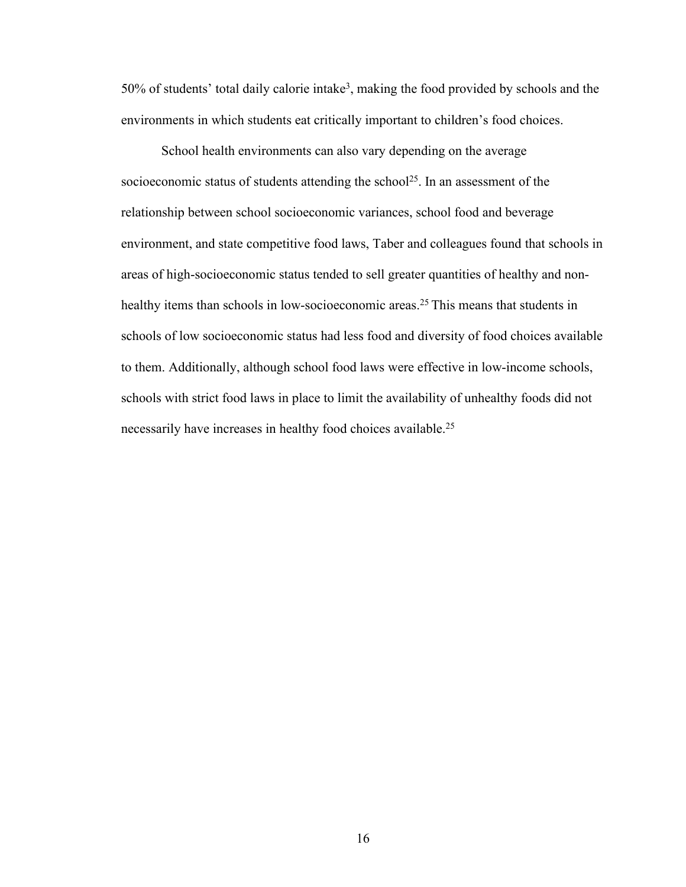50% of students' total daily calorie intake3, making the food provided by schools and the environments in which students eat critically important to children's food choices.

School health environments can also vary depending on the average socioeconomic status of students attending the school<sup>25</sup>. In an assessment of the relationship between school socioeconomic variances, school food and beverage environment, and state competitive food laws, Taber and colleagues found that schools in areas of high-socioeconomic status tended to sell greater quantities of healthy and nonhealthy items than schools in low-socioeconomic areas.<sup>25</sup> This means that students in schools of low socioeconomic status had less food and diversity of food choices available to them. Additionally, although school food laws were effective in low-income schools, schools with strict food laws in place to limit the availability of unhealthy foods did not necessarily have increases in healthy food choices available.<sup>25</sup>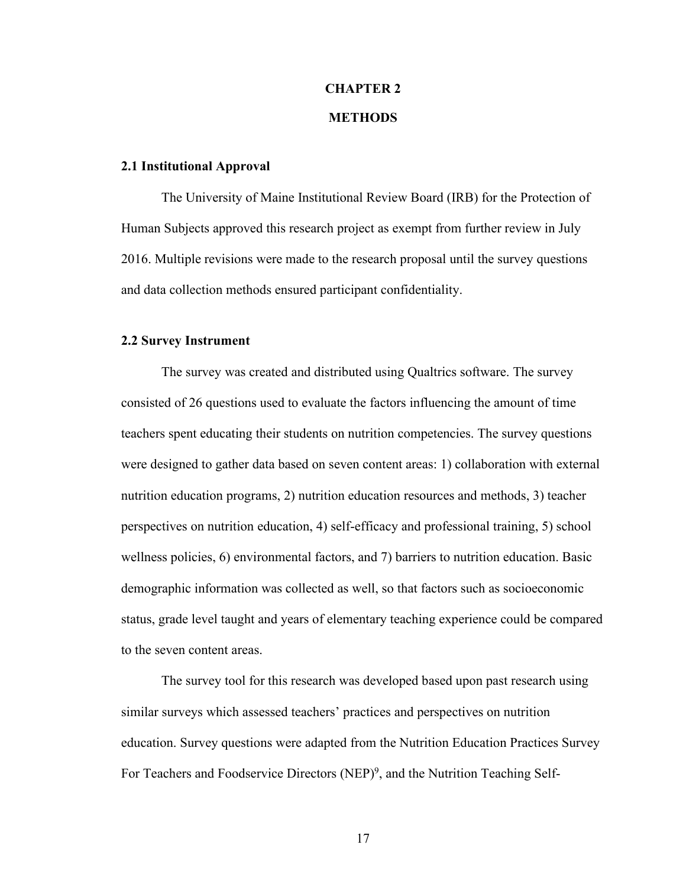# **CHAPTER 2 METHODS**

#### **2.1 Institutional Approval**

The University of Maine Institutional Review Board (IRB) for the Protection of Human Subjects approved this research project as exempt from further review in July 2016. Multiple revisions were made to the research proposal until the survey questions and data collection methods ensured participant confidentiality.

#### **2.2 Survey Instrument**

The survey was created and distributed using Qualtrics software. The survey consisted of 26 questions used to evaluate the factors influencing the amount of time teachers spent educating their students on nutrition competencies. The survey questions were designed to gather data based on seven content areas: 1) collaboration with external nutrition education programs, 2) nutrition education resources and methods, 3) teacher perspectives on nutrition education, 4) self-efficacy and professional training, 5) school wellness policies, 6) environmental factors, and 7) barriers to nutrition education. Basic demographic information was collected as well, so that factors such as socioeconomic status, grade level taught and years of elementary teaching experience could be compared to the seven content areas.

The survey tool for this research was developed based upon past research using similar surveys which assessed teachers' practices and perspectives on nutrition education. Survey questions were adapted from the Nutrition Education Practices Survey For Teachers and Foodservice Directors (NEP)<sup>9</sup>, and the Nutrition Teaching Self-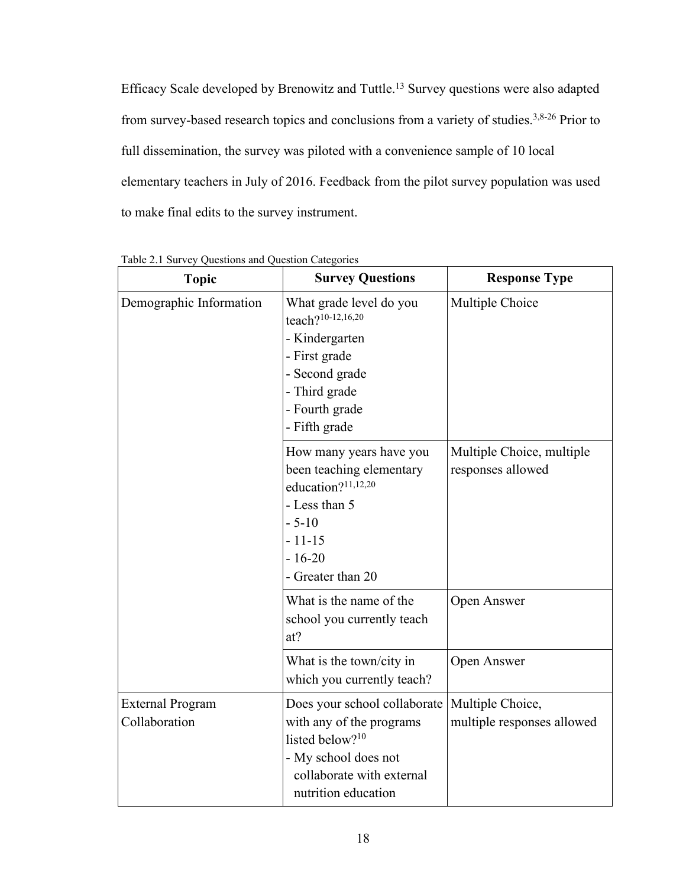Efficacy Scale developed by Brenowitz and Tuttle. <sup>13</sup> Survey questions were also adapted from survey-based research topics and conclusions from a variety of studies.<sup>3,8-26</sup> Prior to full dissemination, the survey was piloted with a convenience sample of 10 local elementary teachers in July of 2016. Feedback from the pilot survey population was used to make final edits to the survey instrument.

| <b>Topic</b>                             | <b>Survey Questions</b>                                                                                                                                             | <b>Response Type</b>                           |
|------------------------------------------|---------------------------------------------------------------------------------------------------------------------------------------------------------------------|------------------------------------------------|
| Demographic Information                  | What grade level do you<br>teach?10-12,16,20<br>- Kindergarten<br>- First grade<br>- Second grade<br>- Third grade<br>- Fourth grade<br>- Fifth grade               | Multiple Choice                                |
|                                          | How many years have you<br>been teaching elementary<br>education? <sup>11,12,20</sup><br>- Less than 5<br>$-5-10$<br>$-11-15$<br>$-16-20$<br>- Greater than 20      | Multiple Choice, multiple<br>responses allowed |
|                                          | What is the name of the<br>school you currently teach<br>at?                                                                                                        | Open Answer                                    |
|                                          | What is the town/city in<br>which you currently teach?                                                                                                              | Open Answer                                    |
| <b>External Program</b><br>Collaboration | Does your school collaborate<br>with any of the programs<br>listed below? <sup>10</sup><br>- My school does not<br>collaborate with external<br>nutrition education | Multiple Choice,<br>multiple responses allowed |

Table 2.1 Survey Questions and Question Categories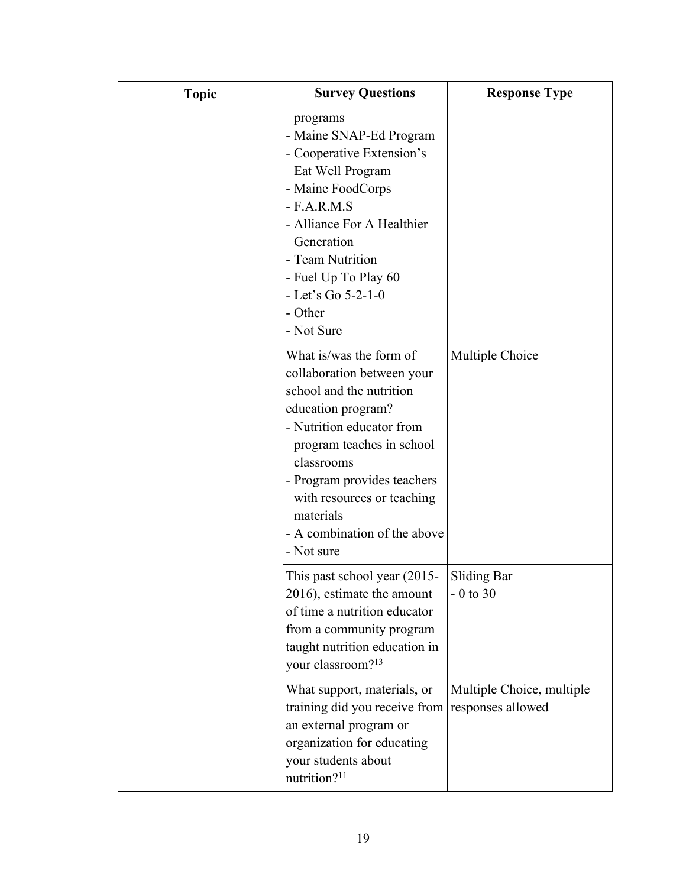| <b>Topic</b> | <b>Survey Questions</b>                                                                                                                                                                                                                                                                                 | <b>Response Type</b>                           |
|--------------|---------------------------------------------------------------------------------------------------------------------------------------------------------------------------------------------------------------------------------------------------------------------------------------------------------|------------------------------------------------|
|              | programs<br>- Maine SNAP-Ed Program<br>- Cooperative Extension's<br>Eat Well Program<br>- Maine FoodCorps<br>$-$ F.A.R.M.S<br>- Alliance For A Healthier<br>Generation<br>- Team Nutrition<br>- Fuel Up To Play 60<br>- Let's Go 5-2-1-0<br>- Other<br>- Not Sure                                       |                                                |
|              | What is/was the form of<br>collaboration between your<br>school and the nutrition<br>education program?<br>- Nutrition educator from<br>program teaches in school<br>classrooms<br>- Program provides teachers<br>with resources or teaching<br>materials<br>- A combination of the above<br>- Not sure | Multiple Choice                                |
|              | This past school year (2015-<br>2016), estimate the amount<br>of time a nutrition educator<br>from a community program<br>taught nutrition education in<br>your classroom? <sup>13</sup>                                                                                                                | Sliding Bar<br>$-0$ to 30                      |
|              | What support, materials, or<br>training did you receive from<br>an external program or<br>organization for educating<br>your students about<br>nutrition? <sup>11</sup>                                                                                                                                 | Multiple Choice, multiple<br>responses allowed |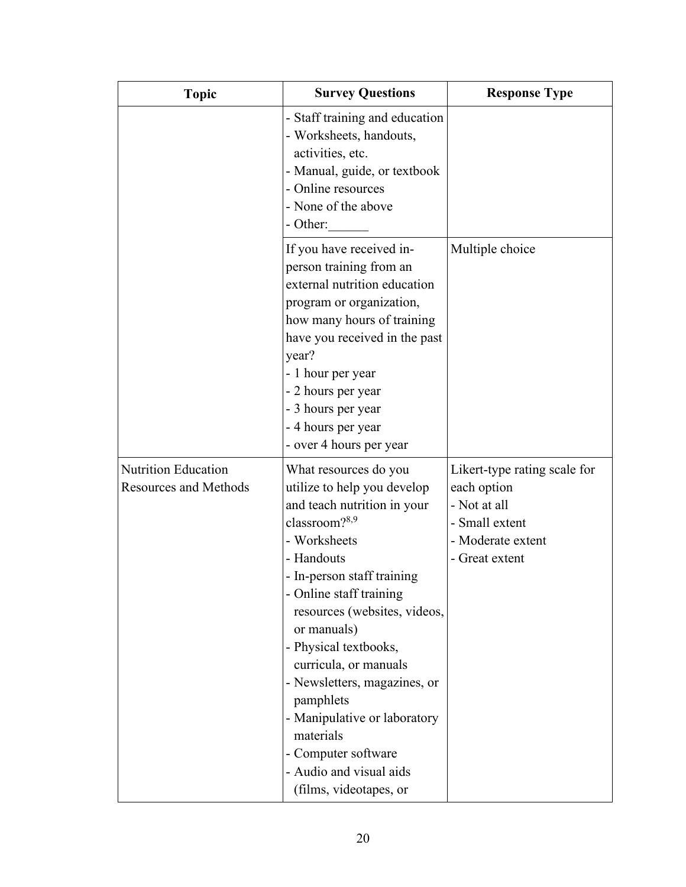| <b>Topic</b>                                        | <b>Survey Questions</b>                                                                                                                                                                                                                                                                                                                                                                                                                     | <b>Response Type</b>                                                                                                 |
|-----------------------------------------------------|---------------------------------------------------------------------------------------------------------------------------------------------------------------------------------------------------------------------------------------------------------------------------------------------------------------------------------------------------------------------------------------------------------------------------------------------|----------------------------------------------------------------------------------------------------------------------|
|                                                     | - Staff training and education<br>- Worksheets, handouts,<br>activities, etc.<br>- Manual, guide, or textbook<br>- Online resources<br>- None of the above<br>- Other:                                                                                                                                                                                                                                                                      |                                                                                                                      |
|                                                     | If you have received in-<br>person training from an<br>external nutrition education<br>program or organization,<br>how many hours of training<br>have you received in the past<br>year?<br>- 1 hour per year<br>- 2 hours per year<br>- 3 hours per year<br>- 4 hours per year<br>- over 4 hours per year                                                                                                                                   | Multiple choice                                                                                                      |
| Nutrition Education<br><b>Resources and Methods</b> | What resources do you<br>utilize to help you develop<br>and teach nutrition in your<br>classroom? $8,9$<br>- Worksheets<br>- Handouts<br>- In-person staff training<br>- Online staff training<br>resources (websites, videos,<br>or manuals)<br>- Physical textbooks,<br>curricula, or manuals<br>- Newsletters, magazines, or<br>pamphlets<br>- Manipulative or laboratory<br>materials<br>- Computer software<br>- Audio and visual aids | Likert-type rating scale for<br>each option<br>- Not at all<br>- Small extent<br>- Moderate extent<br>- Great extent |
|                                                     | (films, videotapes, or                                                                                                                                                                                                                                                                                                                                                                                                                      |                                                                                                                      |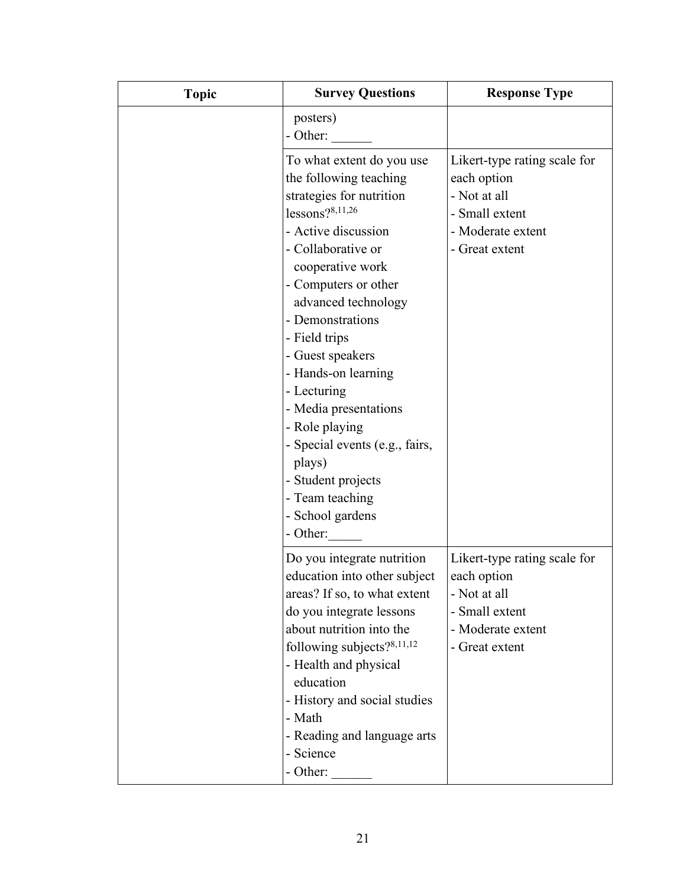| <b>Topic</b> | <b>Survey Questions</b>                                                                                                                                                                                                                                                                                                                                                                                                                              | <b>Response Type</b>                                                                                                 |
|--------------|------------------------------------------------------------------------------------------------------------------------------------------------------------------------------------------------------------------------------------------------------------------------------------------------------------------------------------------------------------------------------------------------------------------------------------------------------|----------------------------------------------------------------------------------------------------------------------|
|              | posters)<br>- Other:                                                                                                                                                                                                                                                                                                                                                                                                                                 |                                                                                                                      |
|              | To what extent do you use<br>the following teaching<br>strategies for nutrition<br>lessons? $8,11,26$<br>- Active discussion<br>- Collaborative or<br>cooperative work<br>- Computers or other<br>advanced technology<br>- Demonstrations<br>- Field trips<br>- Guest speakers<br>- Hands-on learning<br>- Lecturing<br>- Media presentations<br>- Role playing<br>- Special events (e.g., fairs,<br>plays)<br>- Student projects<br>- Team teaching | Likert-type rating scale for<br>each option<br>- Not at all<br>- Small extent<br>- Moderate extent<br>- Great extent |
|              | - School gardens<br>- Other:                                                                                                                                                                                                                                                                                                                                                                                                                         |                                                                                                                      |
|              | Do you integrate nutrition<br>education into other subject<br>areas? If so, to what extent<br>do you integrate lessons<br>about nutrition into the<br>following subjects? $8,11,12$<br>- Health and physical<br>education<br>- History and social studies<br>- Math<br>- Reading and language arts<br>- Science<br>- Other:                                                                                                                          | Likert-type rating scale for<br>each option<br>- Not at all<br>- Small extent<br>- Moderate extent<br>- Great extent |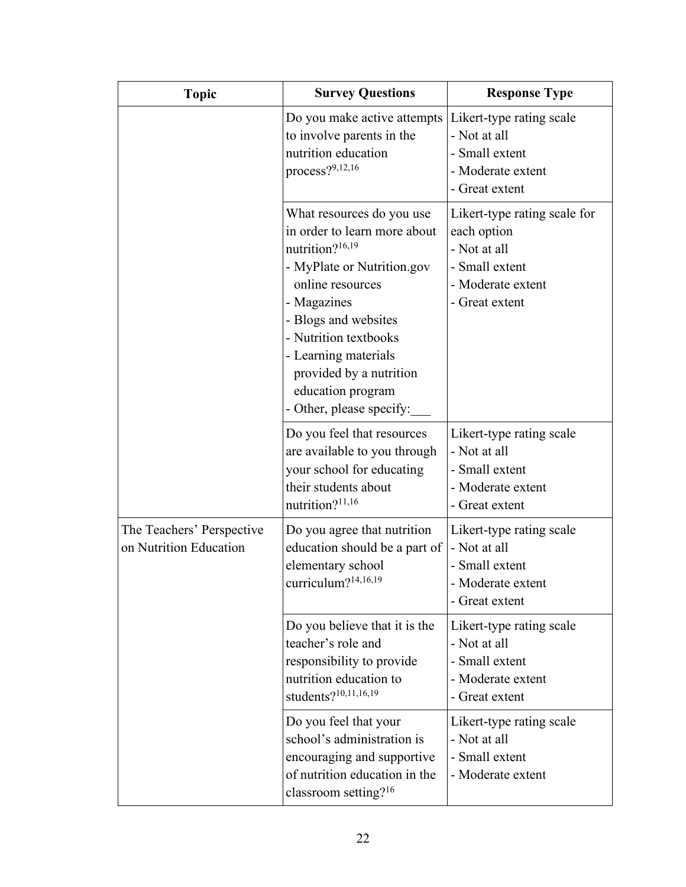| <b>Topic</b>                                        | <b>Survey Questions</b>                                                                                                                                                                                                                                                                                        | <b>Response Type</b>                                                                                                 |
|-----------------------------------------------------|----------------------------------------------------------------------------------------------------------------------------------------------------------------------------------------------------------------------------------------------------------------------------------------------------------------|----------------------------------------------------------------------------------------------------------------------|
|                                                     | Do you make active attempts<br>to involve parents in the<br>nutrition education<br>process?9,12,16                                                                                                                                                                                                             | Likert-type rating scale<br>- Not at all<br>- Small extent<br>- Moderate extent<br>- Great extent                    |
|                                                     | What resources do you use<br>in order to learn more about<br>nutrition? <sup>16,19</sup><br>- MyPlate or Nutrition.gov<br>online resources<br>- Magazines<br>- Blogs and websites<br>- Nutrition textbooks<br>- Learning materials<br>provided by a nutrition<br>education program<br>- Other, please specify: | Likert-type rating scale for<br>each option<br>- Not at all<br>- Small extent<br>- Moderate extent<br>- Great extent |
|                                                     | Do you feel that resources<br>are available to you through<br>your school for educating<br>their students about<br>nutrition? <sup>11,16</sup>                                                                                                                                                                 | Likert-type rating scale<br>- Not at all<br>- Small extent<br>- Moderate extent<br>- Great extent                    |
| The Teachers' Perspective<br>on Nutrition Education | Do you agree that nutrition<br>education should be a part of<br>elementary school<br>curriculum? $14,16,19$                                                                                                                                                                                                    | Likert-type rating scale<br>- Not at all<br>- Small extent<br>Moderate extent<br>- Great extent                      |
|                                                     | Do you believe that it is the<br>teacher's role and<br>responsibility to provide<br>nutrition education to<br>students?10,11,16,19                                                                                                                                                                             | Likert-type rating scale<br>- Not at all<br>- Small extent<br>- Moderate extent<br>- Great extent                    |
|                                                     | Do you feel that your<br>school's administration is<br>encouraging and supportive<br>of nutrition education in the<br>classroom setting? <sup>16</sup>                                                                                                                                                         | Likert-type rating scale<br>- Not at all<br>- Small extent<br>- Moderate extent                                      |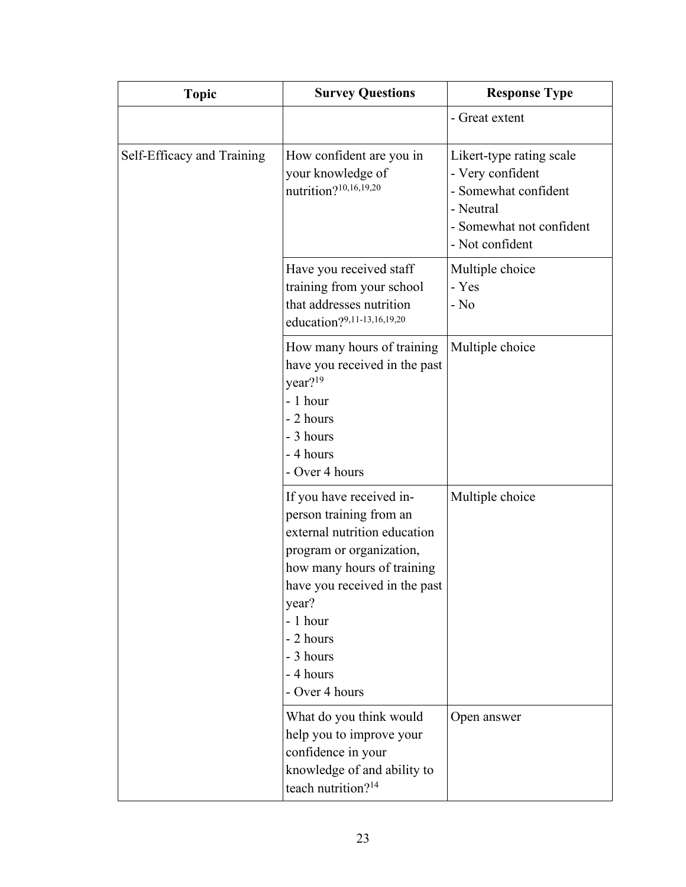| <b>Topic</b>               | <b>Survey Questions</b>                                                                                                                                                                                                                                      | <b>Response Type</b>                                                                                                             |
|----------------------------|--------------------------------------------------------------------------------------------------------------------------------------------------------------------------------------------------------------------------------------------------------------|----------------------------------------------------------------------------------------------------------------------------------|
|                            |                                                                                                                                                                                                                                                              | - Great extent                                                                                                                   |
| Self-Efficacy and Training | How confident are you in<br>your knowledge of<br>nutrition?10,16,19,20                                                                                                                                                                                       | Likert-type rating scale<br>- Very confident<br>- Somewhat confident<br>- Neutral<br>- Somewhat not confident<br>- Not confident |
|                            | Have you received staff<br>training from your school<br>that addresses nutrition<br>education?9,11-13,16,19,20                                                                                                                                               | Multiple choice<br>- Yes<br>$-$ No                                                                                               |
|                            | How many hours of training<br>have you received in the past<br>year? <sup>19</sup><br>- 1 hour<br>- 2 hours<br>- 3 hours<br>- 4 hours<br>- Over 4 hours                                                                                                      | Multiple choice                                                                                                                  |
|                            | If you have received in-<br>person training from an<br>external nutrition education<br>program or organization,<br>how many hours of training<br>have you received in the past<br>year?<br>- 1 hour<br>- 2 hours<br>- 3 hours<br>- 4 hours<br>- Over 4 hours | Multiple choice                                                                                                                  |
|                            | What do you think would<br>help you to improve your<br>confidence in your<br>knowledge of and ability to<br>teach nutrition? <sup>14</sup>                                                                                                                   | Open answer                                                                                                                      |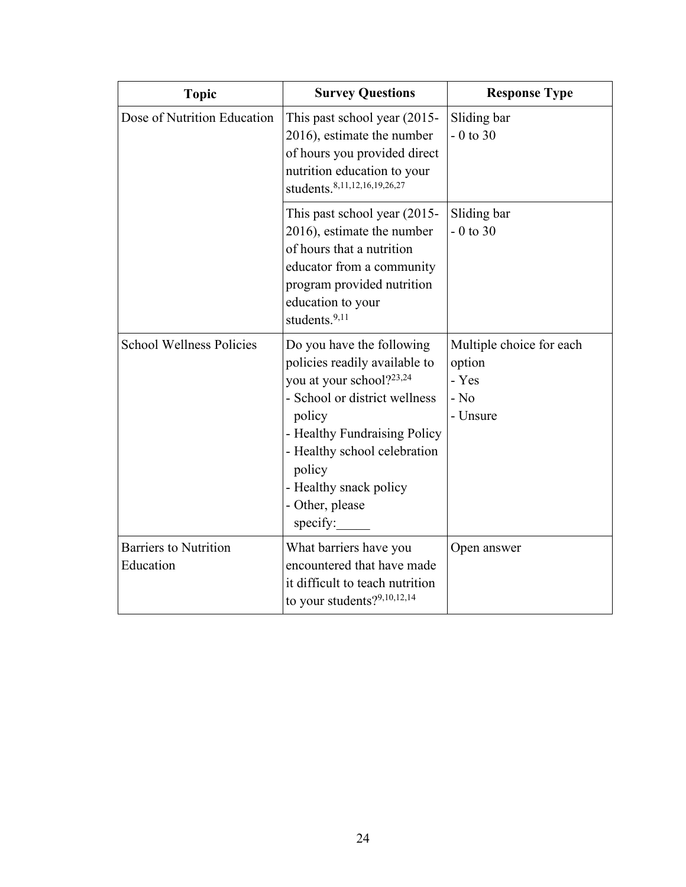| <b>Topic</b>                              | <b>Survey Questions</b>                                                                                                                                                                                                                                              | <b>Response Type</b>                                              |
|-------------------------------------------|----------------------------------------------------------------------------------------------------------------------------------------------------------------------------------------------------------------------------------------------------------------------|-------------------------------------------------------------------|
| Dose of Nutrition Education               | This past school year (2015-<br>2016), estimate the number<br>of hours you provided direct<br>nutrition education to your<br>students. 8,11,12,16,19,26,27                                                                                                           | Sliding bar<br>$-0$ to 30                                         |
|                                           | This past school year (2015-<br>2016), estimate the number<br>of hours that a nutrition<br>educator from a community<br>program provided nutrition<br>education to your<br>students. <sup>9,11</sup>                                                                 | Sliding bar<br>$-0$ to 30                                         |
| <b>School Wellness Policies</b>           | Do you have the following<br>policies readily available to<br>you at your school?23,24<br>- School or district wellness<br>policy<br>- Healthy Fundraising Policy<br>- Healthy school celebration<br>policy<br>- Healthy snack policy<br>- Other, please<br>specify: | Multiple choice for each<br>option<br>- Yes<br>$-$ No<br>- Unsure |
| <b>Barriers to Nutrition</b><br>Education | What barriers have you<br>encountered that have made<br>it difficult to teach nutrition<br>to your students?9,10,12,14                                                                                                                                               | Open answer                                                       |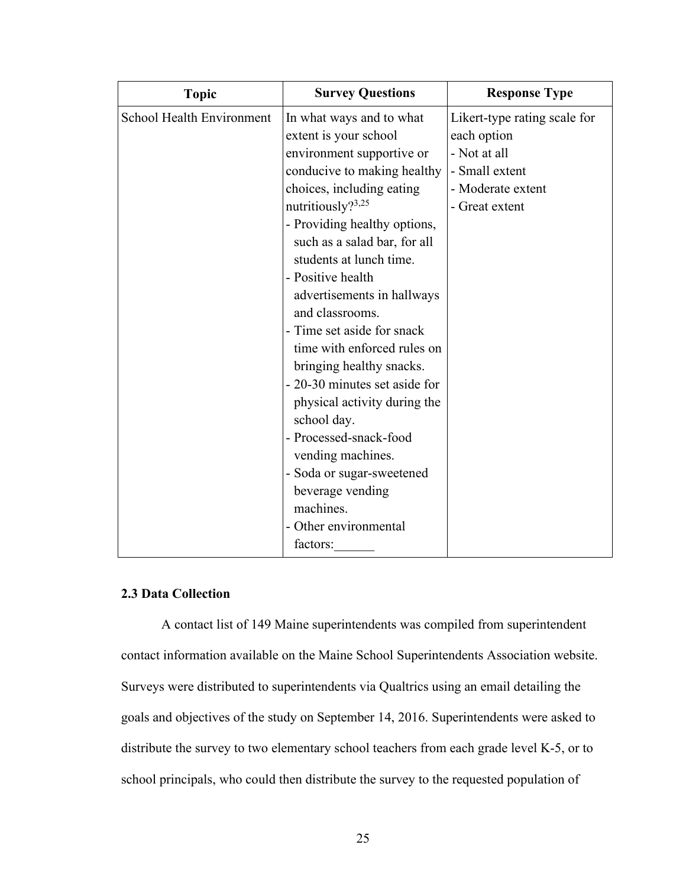| <b>Topic</b>              | <b>Survey Questions</b>       | <b>Response Type</b>         |
|---------------------------|-------------------------------|------------------------------|
| School Health Environment | In what ways and to what      | Likert-type rating scale for |
|                           | extent is your school         | each option                  |
|                           | environment supportive or     | - Not at all                 |
|                           | conducive to making healthy   | - Small extent               |
|                           | choices, including eating     | - Moderate extent            |
|                           | nutritiously? $3,25$          | - Great extent               |
|                           | - Providing healthy options,  |                              |
|                           | such as a salad bar, for all  |                              |
|                           | students at lunch time.       |                              |
|                           | - Positive health             |                              |
|                           | advertisements in hallways    |                              |
|                           | and classrooms.               |                              |
|                           | - Time set aside for snack    |                              |
|                           | time with enforced rules on   |                              |
|                           | bringing healthy snacks.      |                              |
|                           | - 20-30 minutes set aside for |                              |
|                           | physical activity during the  |                              |
|                           | school day.                   |                              |
|                           | - Processed-snack-food        |                              |
|                           | vending machines.             |                              |
|                           | - Soda or sugar-sweetened     |                              |
|                           | beverage vending              |                              |
|                           | machines.                     |                              |
|                           | - Other environmental         |                              |
|                           | factors:                      |                              |

# **2.3 Data Collection**

A contact list of 149 Maine superintendents was compiled from superintendent contact information available on the Maine School Superintendents Association website. Surveys were distributed to superintendents via Qualtrics using an email detailing the goals and objectives of the study on September 14, 2016. Superintendents were asked to distribute the survey to two elementary school teachers from each grade level K-5, or to school principals, who could then distribute the survey to the requested population of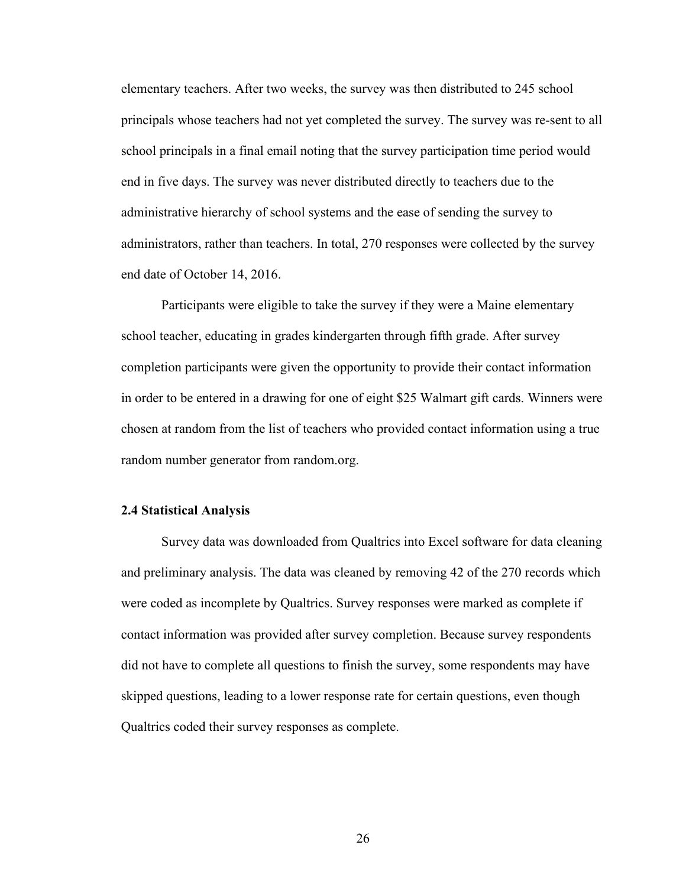elementary teachers. After two weeks, the survey was then distributed to 245 school principals whose teachers had not yet completed the survey. The survey was re-sent to all school principals in a final email noting that the survey participation time period would end in five days. The survey was never distributed directly to teachers due to the administrative hierarchy of school systems and the ease of sending the survey to administrators, rather than teachers. In total, 270 responses were collected by the survey end date of October 14, 2016.

Participants were eligible to take the survey if they were a Maine elementary school teacher, educating in grades kindergarten through fifth grade. After survey completion participants were given the opportunity to provide their contact information in order to be entered in a drawing for one of eight \$25 Walmart gift cards. Winners were chosen at random from the list of teachers who provided contact information using a true random number generator from random.org.

#### **2.4 Statistical Analysis**

Survey data was downloaded from Qualtrics into Excel software for data cleaning and preliminary analysis. The data was cleaned by removing 42 of the 270 records which were coded as incomplete by Qualtrics. Survey responses were marked as complete if contact information was provided after survey completion. Because survey respondents did not have to complete all questions to finish the survey, some respondents may have skipped questions, leading to a lower response rate for certain questions, even though Qualtrics coded their survey responses as complete.

26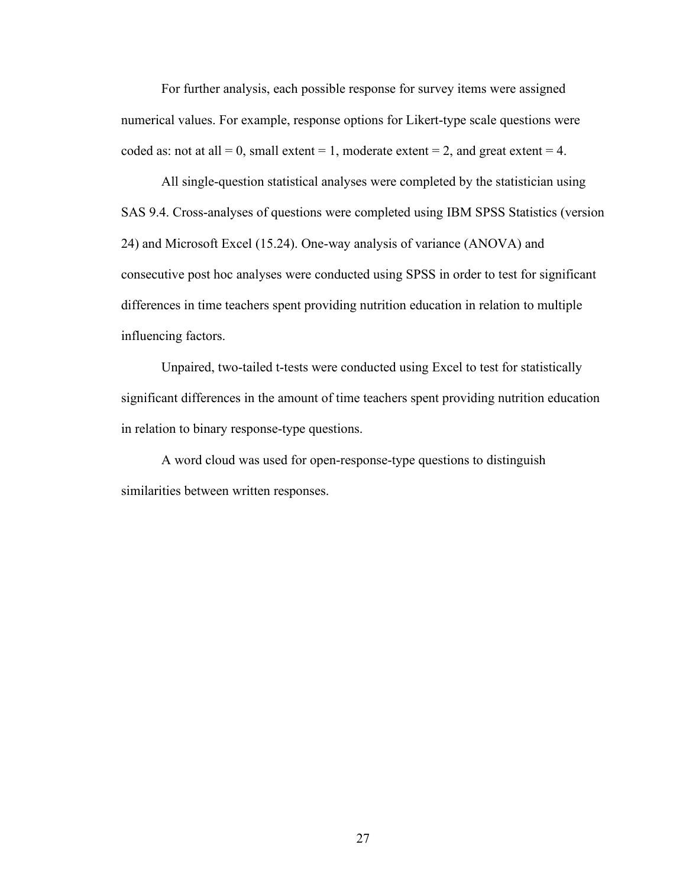For further analysis, each possible response for survey items were assigned numerical values. For example, response options for Likert-type scale questions were coded as: not at all = 0, small extent = 1, moderate extent = 2, and great extent = 4.

All single-question statistical analyses were completed by the statistician using SAS 9.4. Cross-analyses of questions were completed using IBM SPSS Statistics (version 24) and Microsoft Excel (15.24). One-way analysis of variance (ANOVA) and consecutive post hoc analyses were conducted using SPSS in order to test for significant differences in time teachers spent providing nutrition education in relation to multiple influencing factors.

Unpaired, two-tailed t-tests were conducted using Excel to test for statistically significant differences in the amount of time teachers spent providing nutrition education in relation to binary response-type questions.

A word cloud was used for open-response-type questions to distinguish similarities between written responses.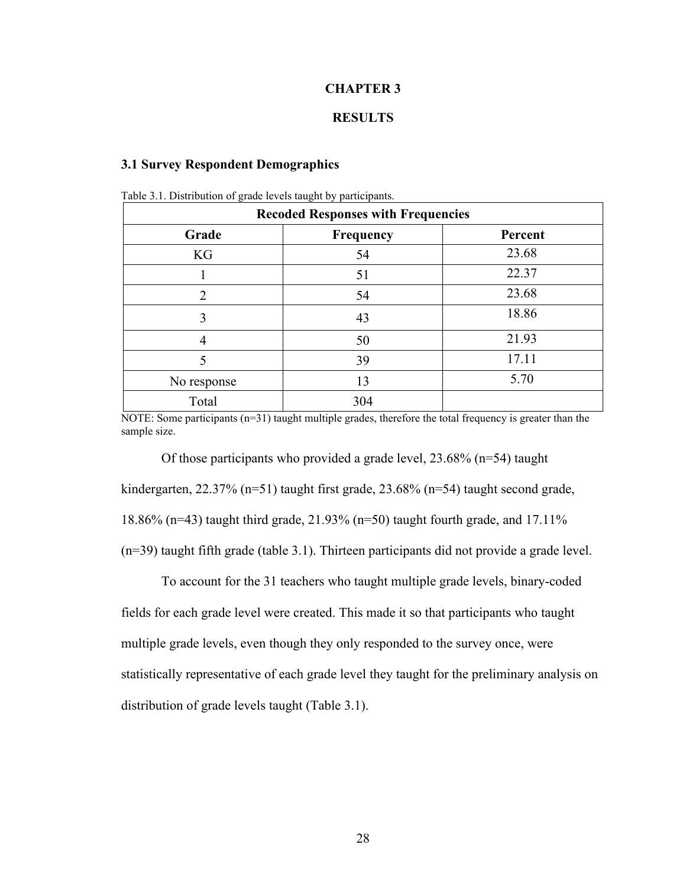### **CHAPTER 3**

## **RESULTS**

#### **3.1 Survey Respondent Demographics**

|                | <b>Recoded Responses with Frequencies</b> |         |
|----------------|-------------------------------------------|---------|
| Grade          | Frequency                                 | Percent |
| KG             | 54                                        | 23.68   |
|                | 51                                        | 22.37   |
| $\mathfrak{D}$ | 54                                        | 23.68   |
| 3              | 43                                        | 18.86   |
| 4              | 50                                        | 21.93   |
| 5              | 39                                        | 17.11   |
| No response    | 13                                        | 5.70    |
| Total          | 304                                       |         |

Table 3.1. Distribution of grade levels taught by participants.

NOTE: Some participants (n=31) taught multiple grades, therefore the total frequency is greater than the sample size.

Of those participants who provided a grade level, 23.68% (n=54) taught kindergarten, 22.37% (n=51) taught first grade, 23.68% (n=54) taught second grade, 18.86% (n=43) taught third grade, 21.93% (n=50) taught fourth grade, and 17.11% (n=39) taught fifth grade (table 3.1). Thirteen participants did not provide a grade level.

To account for the 31 teachers who taught multiple grade levels, binary-coded fields for each grade level were created. This made it so that participants who taught multiple grade levels, even though they only responded to the survey once, were statistically representative of each grade level they taught for the preliminary analysis on distribution of grade levels taught (Table 3.1).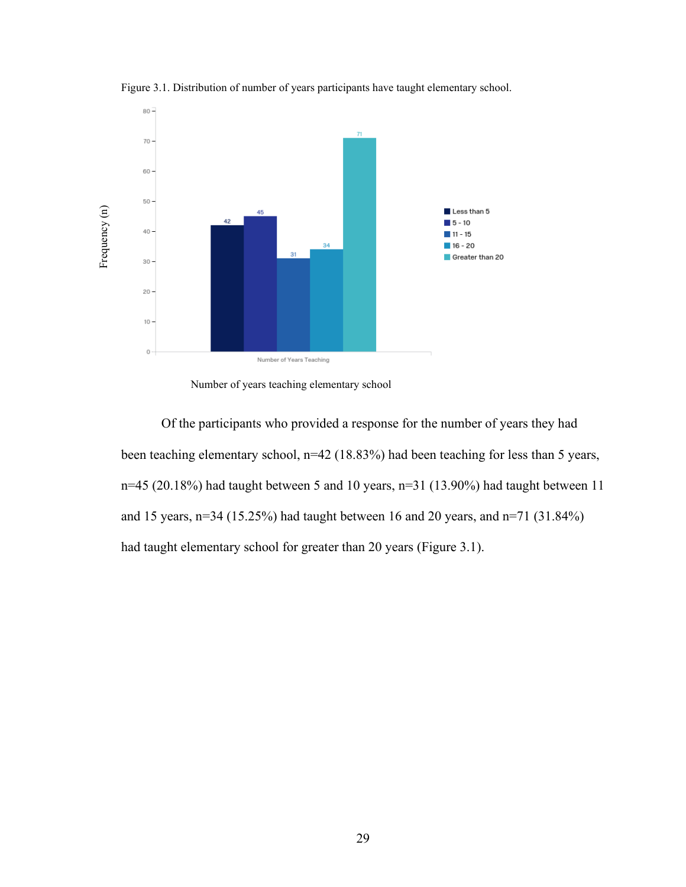

Figure 3.1. Distribution of number of years participants have taught elementary school.

Of the participants who provided a response for the number of years they had been teaching elementary school, n=42 (18.83%) had been teaching for less than 5 years, n=45 (20.18%) had taught between 5 and 10 years, n=31 (13.90%) had taught between 11 and 15 years, n=34 (15.25%) had taught between 16 and 20 years, and n=71 (31.84%) had taught elementary school for greater than 20 years (Figure 3.1).

Number of years teaching elementary school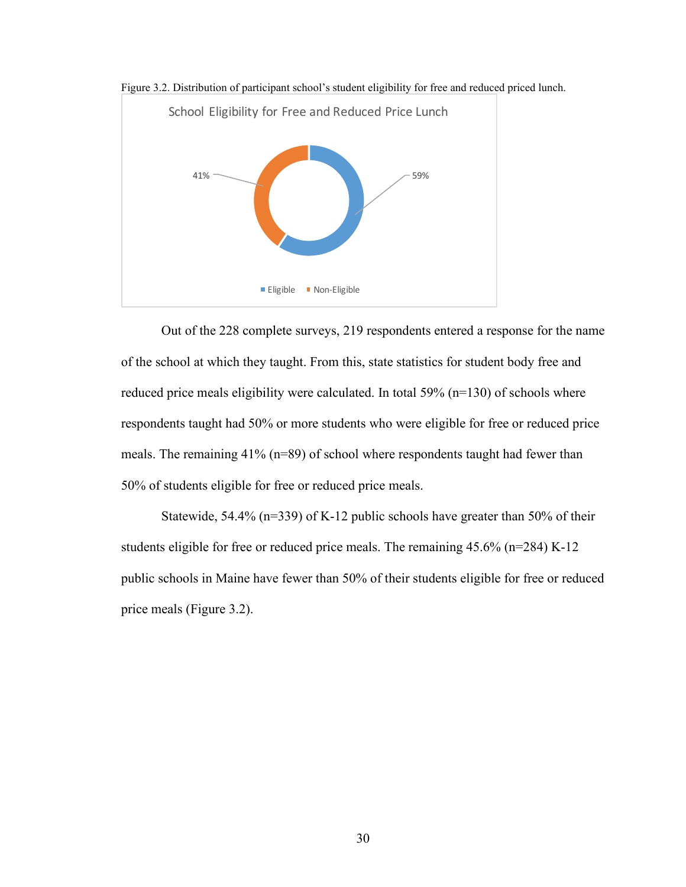

Figure 3.2. Distribution of participant school's student eligibility for free and reduced priced lunch.

Out of the 228 complete surveys, 219 respondents entered a response for the name of the school at which they taught. From this, state statistics for student body free and reduced price meals eligibility were calculated. In total 59% (n=130) of schools where respondents taught had 50% or more students who were eligible for free or reduced price meals. The remaining 41% (n=89) of school where respondents taught had fewer than 50% of students eligible for free or reduced price meals.

Statewide, 54.4% (n=339) of K-12 public schools have greater than 50% of their students eligible for free or reduced price meals. The remaining 45.6% (n=284) K-12 public schools in Maine have fewer than 50% of their students eligible for free or reduced price meals (Figure 3.2).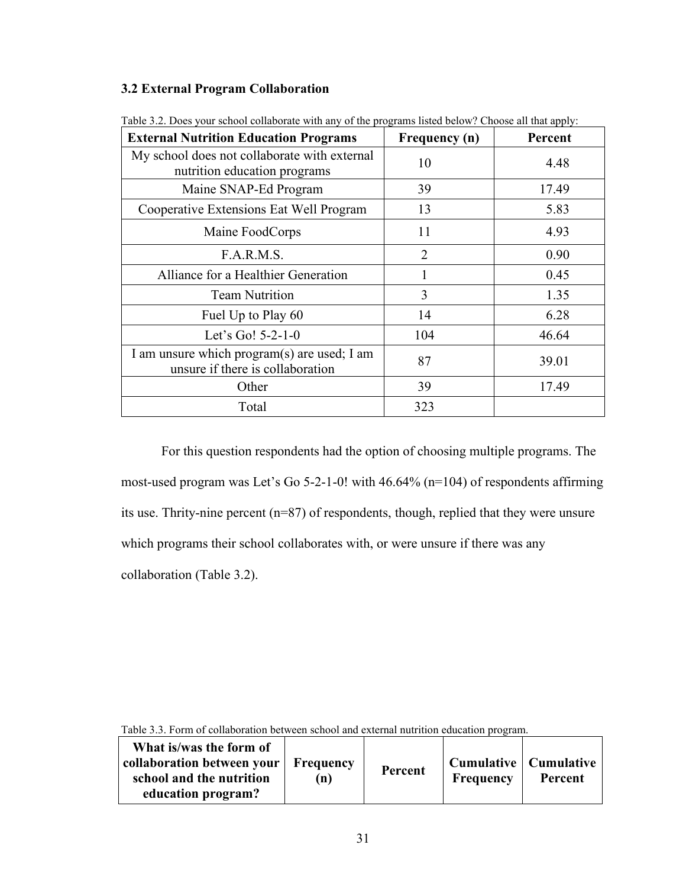# **3.2 External Program Collaboration**

| <b>External Nutrition Education Programs</b>                                    | Frequency (n)  | Percent |
|---------------------------------------------------------------------------------|----------------|---------|
| My school does not collaborate with external<br>nutrition education programs    | 10             | 4.48    |
| Maine SNAP-Ed Program                                                           | 39             | 17.49   |
| Cooperative Extensions Eat Well Program<br>13                                   |                | 5.83    |
| Maine FoodCorps                                                                 | 11<br>4.93     |         |
| F.A.R.M.S.                                                                      | $\overline{2}$ | 0.90    |
| Alliance for a Healthier Generation                                             |                | 0.45    |
| <b>Team Nutrition</b>                                                           | 3              | 1.35    |
| Fuel Up to Play 60                                                              | 14             | 6.28    |
| Let's Go! $5-2-1-0$                                                             | 104            | 46.64   |
| I am unsure which program(s) are used; I am<br>unsure if there is collaboration | 87             | 39.01   |
| Other                                                                           | 39             | 17.49   |
| Total                                                                           | 323            |         |

Table 3.2. Does your school collaborate with any of the programs listed below? Choose all that apply:

For this question respondents had the option of choosing multiple programs. The most-used program was Let's Go 5-2-1-0! with 46.64% (n=104) of respondents affirming its use. Thrity-nine percent (n=87) of respondents, though, replied that they were unsure which programs their school collaborates with, or were unsure if there was any collaboration (Table 3.2).

| Table 9.9. Form of conabolation between school and external humition culcation brogram.                 |                  |         |                                             |         |
|---------------------------------------------------------------------------------------------------------|------------------|---------|---------------------------------------------|---------|
| What is/was the form of<br>collaboration between your<br>school and the nutrition<br>education program? | Frequency<br>(n) | Percent | Cumulative   Cumulative<br><b>Frequency</b> | Percent |

Table 3.3. Form of collaboration between school and external nutrition education program.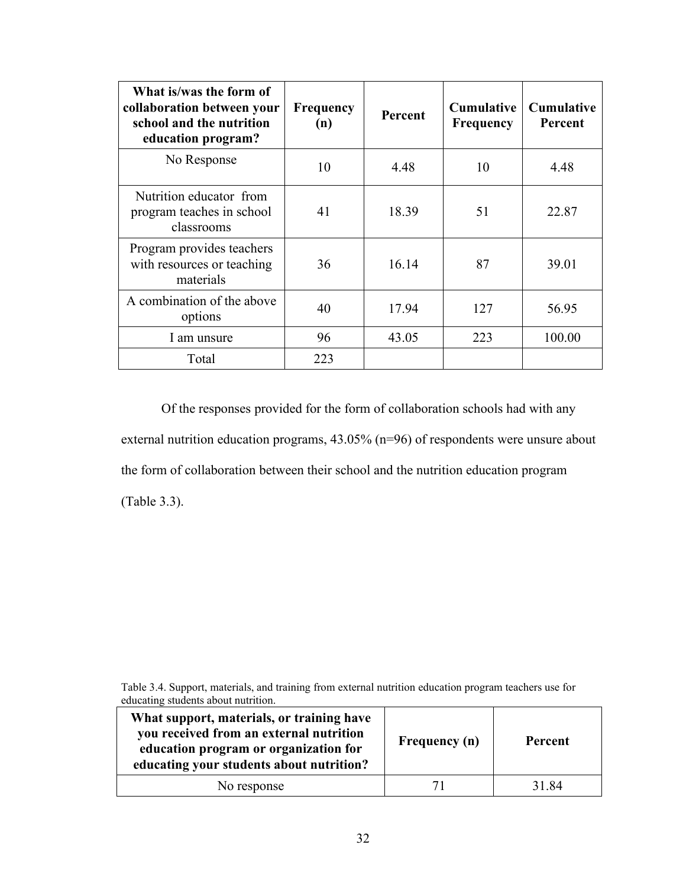| What is/was the form of<br>collaboration between your<br>school and the nutrition<br>education program? | <b>Frequency</b><br>(n) | Percent | <b>Cumulative</b><br><b>Frequency</b> | <b>Cumulative</b><br>Percent |
|---------------------------------------------------------------------------------------------------------|-------------------------|---------|---------------------------------------|------------------------------|
| No Response                                                                                             | 10                      | 4.48    | 10                                    | 4.48                         |
| Nutrition educator from<br>program teaches in school<br>classrooms                                      | 41                      | 18.39   | 51                                    | 22.87                        |
| Program provides teachers<br>with resources or teaching<br>materials                                    | 36                      | 16.14   | 87                                    | 39.01                        |
| A combination of the above<br>options                                                                   | 40                      | 17.94   | 127                                   | 56.95                        |
| I am unsure                                                                                             | 96                      | 43.05   | 223                                   | 100.00                       |
| Total                                                                                                   | 223                     |         |                                       |                              |

 Of the responses provided for the form of collaboration schools had with any external nutrition education programs, 43.05% (n=96) of respondents were unsure about the form of collaboration between their school and the nutrition education program (Table 3.3).

Table 3.4. Support, materials, and training from external nutrition education program teachers use for educating students about nutrition.

| What support, materials, or training have<br>you received from an external nutrition<br>education program or organization for<br>educating your students about nutrition? | <b>Frequency</b> (n) | <b>Percent</b> |
|---------------------------------------------------------------------------------------------------------------------------------------------------------------------------|----------------------|----------------|
| No response                                                                                                                                                               |                      | 31.84          |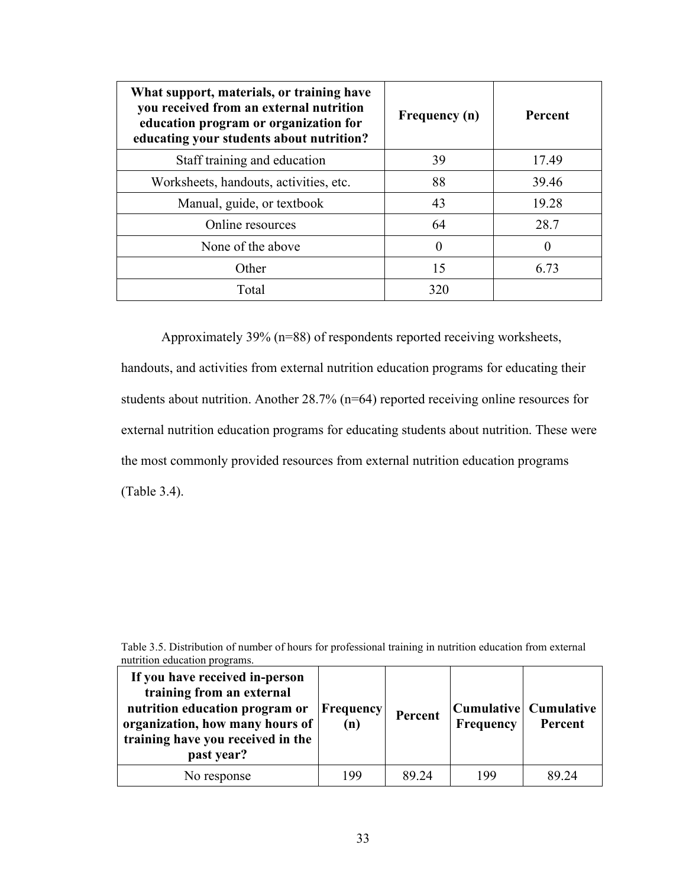| What support, materials, or training have<br>you received from an external nutrition<br>education program or organization for<br>educating your students about nutrition? | Frequency (n) | Percent |
|---------------------------------------------------------------------------------------------------------------------------------------------------------------------------|---------------|---------|
| Staff training and education                                                                                                                                              | 39            | 17.49   |
| Worksheets, handouts, activities, etc.                                                                                                                                    | 88            | 39.46   |
| Manual, guide, or textbook                                                                                                                                                | 43            | 19.28   |
| Online resources                                                                                                                                                          | 64            | 28.7    |
| None of the above                                                                                                                                                         | $\Omega$      | 0       |
| Other                                                                                                                                                                     | 15            | 6.73    |
| Total                                                                                                                                                                     | 320           |         |

Approximately 39% (n=88) of respondents reported receiving worksheets, handouts, and activities from external nutrition education programs for educating their students about nutrition. Another 28.7% (n=64) reported receiving online resources for external nutrition education programs for educating students about nutrition. These were the most commonly provided resources from external nutrition education programs (Table 3.4).

Table 3.5. Distribution of number of hours for professional training in nutrition education from external nutrition education programs.

| If you have received in-person<br>training from an external<br>nutrition education program or<br>organization, how many hours of<br>training have you received in the<br>past year? | Frequency<br>(n) | Percent | Frequency | Cumulative   Cumulative<br>Percent |
|-------------------------------------------------------------------------------------------------------------------------------------------------------------------------------------|------------------|---------|-----------|------------------------------------|
| No response                                                                                                                                                                         | 199              | 89.24   | 199       | 89.24                              |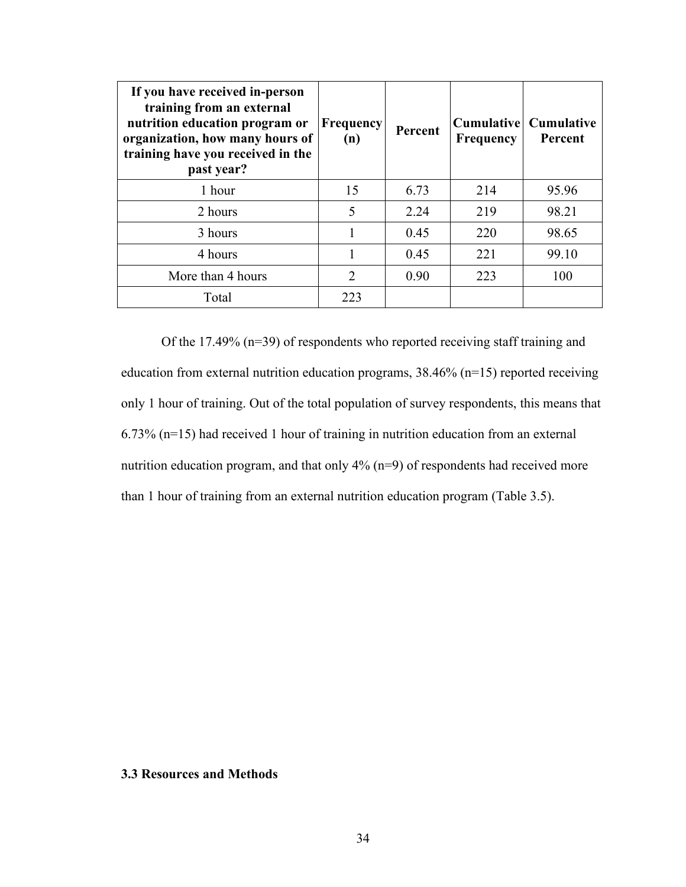| If you have received in-person<br>training from an external<br>nutrition education program or<br>organization, how many hours of<br>training have you received in the<br>past year? | <b>Frequency</b><br>(n)     | Percent | <b>Frequency</b> | <b>Cumulative</b> Cumulative<br>Percent |
|-------------------------------------------------------------------------------------------------------------------------------------------------------------------------------------|-----------------------------|---------|------------------|-----------------------------------------|
| 1 hour                                                                                                                                                                              | 15                          | 6.73    | 214              | 95.96                                   |
| 2 hours                                                                                                                                                                             | 5                           | 2.24    | 219              | 98.21                                   |
| 3 hours                                                                                                                                                                             |                             | 0.45    | 220              | 98.65                                   |
| 4 hours                                                                                                                                                                             |                             | 0.45    | 221              | 99.10                                   |
| More than 4 hours                                                                                                                                                                   | $\mathcal{D}_{\mathcal{L}}$ | 0.90    | 223              | 100                                     |
| Total                                                                                                                                                                               | 223                         |         |                  |                                         |

Of the 17.49% (n=39) of respondents who reported receiving staff training and education from external nutrition education programs, 38.46% (n=15) reported receiving only 1 hour of training. Out of the total population of survey respondents, this means that 6.73% (n=15) had received 1 hour of training in nutrition education from an external nutrition education program, and that only 4% (n=9) of respondents had received more than 1 hour of training from an external nutrition education program (Table 3.5).

#### **3.3 Resources and Methods**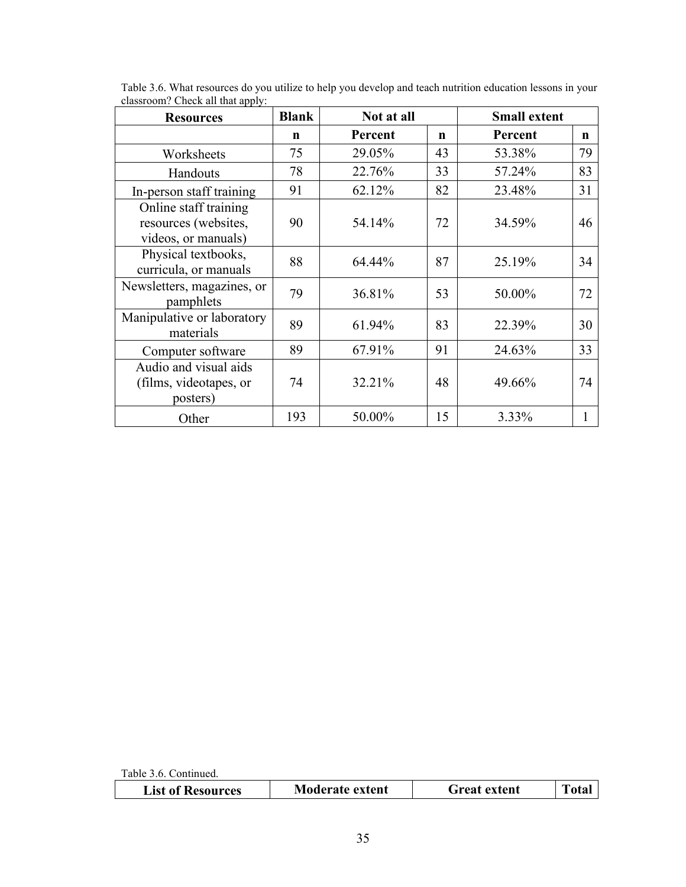| <b>Resources</b>                                                     | <b>Blank</b> | Not at all   |    | <b>Small extent</b> |    |
|----------------------------------------------------------------------|--------------|--------------|----|---------------------|----|
|                                                                      | n            | Percent      | n  | Percent             | n  |
| Worksheets                                                           | 75           | 29.05%       | 43 | 53.38%              | 79 |
| Handouts                                                             | 78           | 22.76%       | 33 | 57.24%              | 83 |
| In-person staff training                                             | 91           | 62.12%       | 82 | 23.48%              | 31 |
| Online staff training<br>resources (websites,<br>videos, or manuals) | 90           | 54.14%       | 72 | 34.59%              | 46 |
| Physical textbooks,<br>curricula, or manuals                         | 88           | 64.44%       | 87 | 25.19%              | 34 |
| Newsletters, magazines, or<br>pamphlets                              | 79           | 36.81%       | 53 | 50.00%              | 72 |
| Manipulative or laboratory<br>materials                              | 89           | 61.94%       | 83 | 22.39%              | 30 |
| Computer software                                                    | 89           | 91<br>67.91% |    | 24.63%              | 33 |
| Audio and visual aids<br>(films, videotapes, or<br>posters)          | 74           | 32.21%       | 48 | 49.66%              | 74 |
| Other                                                                | 193          | 50.00%       | 15 | 3.33%               |    |

Table 3.6. What resources do you utilize to help you develop and teach nutrition education lessons in your classroom? Check all that apply:

Table 3.6. Continued.

| <b>Moderate extent</b><br><b>List of Resources</b><br>Freat extent |
|--------------------------------------------------------------------|
|--------------------------------------------------------------------|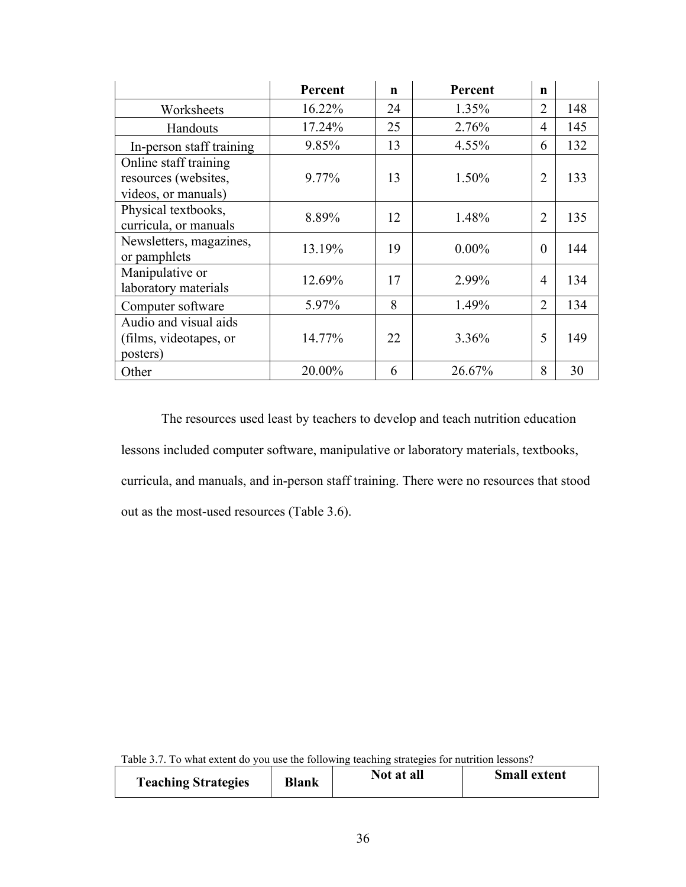|                                                                      | Percent | $\mathbf n$ | Percent  | n              |     |
|----------------------------------------------------------------------|---------|-------------|----------|----------------|-----|
| Worksheets                                                           | 16.22%  | 24          | 1.35%    | $\overline{2}$ | 148 |
| Handouts                                                             | 17.24%  | 25          | 2.76%    | 4              | 145 |
| In-person staff training                                             | 9.85%   | 13          | 4.55%    | 6              | 132 |
| Online staff training<br>resources (websites,<br>videos, or manuals) | 9.77%   | 13          | 1.50%    | $\overline{2}$ | 133 |
| Physical textbooks,<br>curricula, or manuals                         | 8.89%   | 12          | 1.48%    | $\overline{2}$ | 135 |
| Newsletters, magazines,<br>or pamphlets                              | 13.19%  | 19          | $0.00\%$ | $\theta$       | 144 |
| Manipulative or<br>laboratory materials                              | 12.69%  | 17          | 2.99%    | 4              | 134 |
| Computer software                                                    | 5.97%   | 8           | 1.49%    | $\overline{2}$ | 134 |
| Audio and visual aids<br>(films, videotapes, or<br>posters)          | 14.77%  | 22          | 3.36%    | 5              | 149 |
| Other                                                                | 20.00%  | 6           | 26.67%   | 8              | 30  |

The resources used least by teachers to develop and teach nutrition education lessons included computer software, manipulative or laboratory materials, textbooks, curricula, and manuals, and in-person staff training. There were no resources that stood out as the most-used resources (Table 3.6).

Table 3.7. To what extent do you use the following teaching strategies for nutrition lessons?

| <b>Teaching Strategies</b> | <b>Blank</b> | Not at all | <b>Small extent</b> |
|----------------------------|--------------|------------|---------------------|
|----------------------------|--------------|------------|---------------------|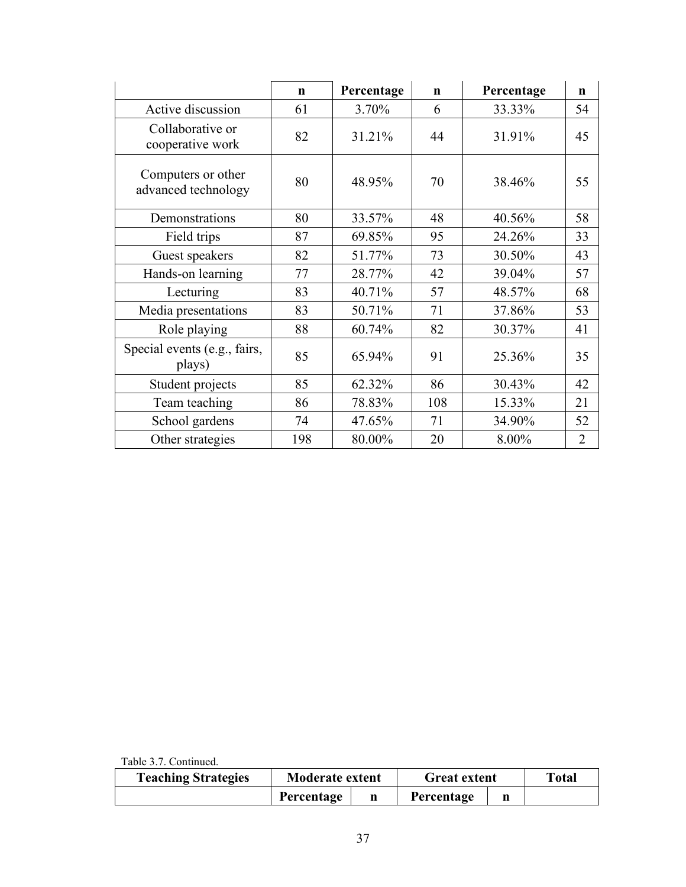|                                           | $\mathbf n$ | Percentage | $\mathbf n$ | Percentage | $\mathbf n$    |
|-------------------------------------------|-------------|------------|-------------|------------|----------------|
| Active discussion                         | 61          | 3.70%      | 6           | 33.33%     | 54             |
| Collaborative or<br>cooperative work      | 82          | 31.21%     | 44          | 31.91%     | 45             |
| Computers or other<br>advanced technology | 80          | 48.95%     | 70          | 38.46%     | 55             |
| Demonstrations                            | 80          | 33.57%     | 48          | 40.56%     | 58             |
| Field trips                               | 87          | 69.85%     | 95          | 24.26%     | 33             |
| Guest speakers                            | 82          | 51.77%     | 73          | 30.50%     | 43             |
| Hands-on learning                         | 77          | 28.77%     | 42          | 39.04%     | 57             |
| Lecturing                                 | 83          | 40.71%     | 57          | 48.57%     | 68             |
| Media presentations                       | 83          | 50.71%     | 71          | 37.86%     | 53             |
| Role playing                              | 88          | 60.74%     | 82          | 30.37%     | 41             |
| Special events (e.g., fairs,<br>plays)    | 85          | 65.94%     | 91          | 25.36%     | 35             |
| Student projects                          | 85          | 62.32%     | 86          | 30.43%     | 42             |
| Team teaching                             | 86          | 78.83%     | 108         | 15.33%     | 21             |
| School gardens                            | 74          | 47.65%     | 71          | 34.90%     | 52             |
| Other strategies                          | 198         | 80.00%     | 20          | 8.00%      | $\overline{2}$ |

Table 3.7. Continued.

| <b>Teaching Strategies</b> | <b>Moderate extent</b> |  | <b>Great extent</b> |  | Total |
|----------------------------|------------------------|--|---------------------|--|-------|
|                            | Percentage             |  | Percentage          |  |       |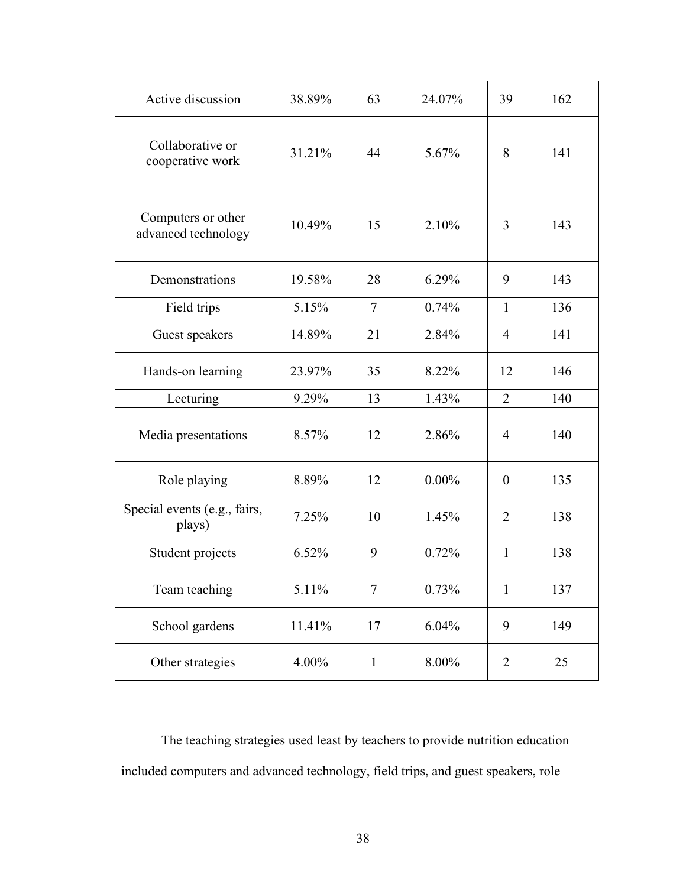| Active discussion                         | 38.89% | 63             | 24.07%   | 39             | 162 |
|-------------------------------------------|--------|----------------|----------|----------------|-----|
| Collaborative or<br>cooperative work      | 31.21% | 44             | 5.67%    | 8              | 141 |
| Computers or other<br>advanced technology | 10.49% | 15             | 2.10%    | 3              | 143 |
| Demonstrations                            | 19.58% | 28             | 6.29%    | 9              | 143 |
| Field trips                               | 5.15%  | $\tau$         | 0.74%    | 1              | 136 |
| Guest speakers                            | 14.89% | 21             | 2.84%    | $\overline{4}$ | 141 |
| Hands-on learning                         | 23.97% | 35             | 8.22%    | 12             | 146 |
| Lecturing                                 | 9.29%  | 13             | 1.43%    | $\overline{2}$ | 140 |
| Media presentations                       | 8.57%  | 12             | 2.86%    | $\overline{4}$ | 140 |
| Role playing                              | 8.89%  | 12             | $0.00\%$ | $\theta$       | 135 |
| Special events (e.g., fairs,<br>plays)    | 7.25%  | 10             | 1.45%    | $\overline{2}$ | 138 |
| Student projects                          | 6.52%  | 9              | 0.72%    | 1              | 138 |
| Team teaching                             | 5.11%  | $\overline{7}$ | 0.73%    | 1              | 137 |
| School gardens                            | 11.41% | 17             | 6.04%    | 9              | 149 |
| Other strategies                          | 4.00%  | $\mathbf{1}$   | 8.00%    | $\overline{2}$ | 25  |

The teaching strategies used least by teachers to provide nutrition education included computers and advanced technology, field trips, and guest speakers, role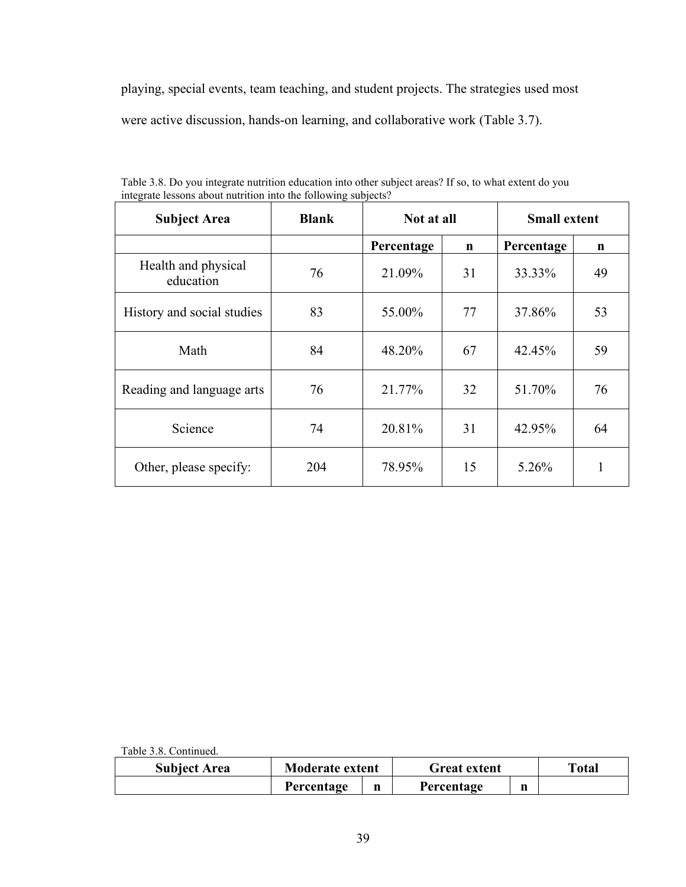playing, special events, team teaching, and student projects. The strategies used most were active discussion, hands-on learning, and collaborative work (Table 3.7).

| <b>Subject Area</b>              | <b>Blank</b> | Not at all |             | <b>Small extent</b> |    |
|----------------------------------|--------------|------------|-------------|---------------------|----|
|                                  |              | Percentage | $\mathbf n$ | Percentage          | n  |
| Health and physical<br>education | 76           | 21.09%     | 31          | 33.33%              | 49 |
| History and social studies       | 83           | 55.00%     | 77          | 37.86%              | 53 |
| Math                             | 84           | 48.20%     | 67          | 42.45%              | 59 |
| Reading and language arts        | 76           | 21.77%     | 32          | 51.70%              | 76 |
| Science                          | 74           | 20.81%     | 31          | 42.95%              | 64 |
| Other, please specify:           | 204          | 78.95%     | 15          | 5.26%               | 1  |

Table 3.8. Do you integrate nutrition education into other subject areas? If so, to what extent do you integrate lessons about nutrition into the following subjects?

Table 3.8. Continued.

| <b>Subject Area</b> | <b>Moderate extent</b> |   | <b>Great extent</b> |   | <b>Total</b> |
|---------------------|------------------------|---|---------------------|---|--------------|
|                     | Percentage             | n | Percentage          | n |              |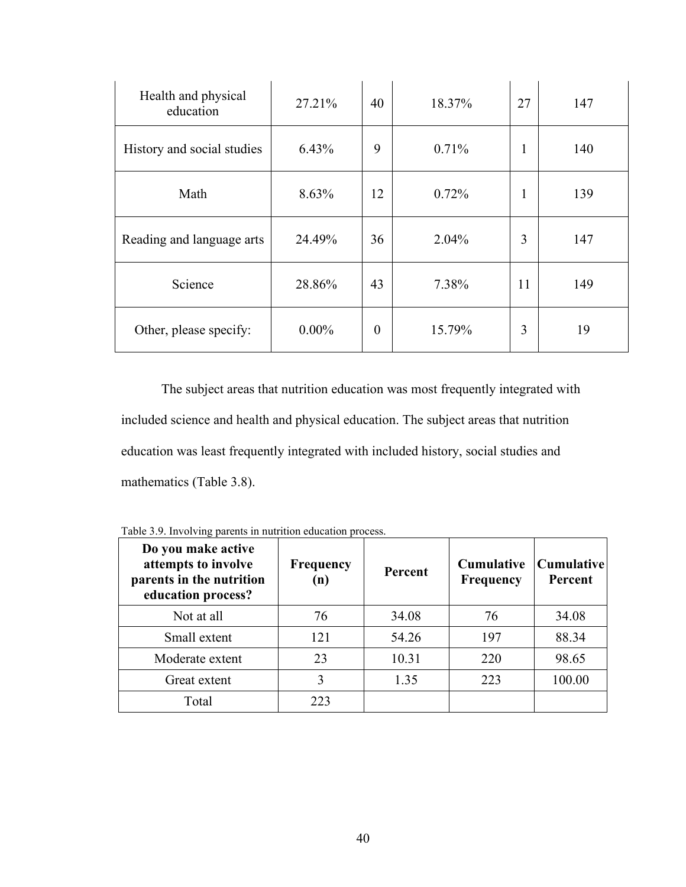| Health and physical<br>education | 27.21%   | 40               | 18.37% | 27 | 147 |
|----------------------------------|----------|------------------|--------|----|-----|
| History and social studies       | 6.43%    | 9                | 0.71%  | -1 | 140 |
| Math                             | 8.63%    | 12               | 0.72%  | 1  | 139 |
| Reading and language arts        | 24.49%   | 36               | 2.04%  | 3  | 147 |
| Science                          | 28.86%   | 43               | 7.38%  | 11 | 149 |
| Other, please specify:           | $0.00\%$ | $\boldsymbol{0}$ | 15.79% | 3  | 19  |

The subject areas that nutrition education was most frequently integrated with included science and health and physical education. The subject areas that nutrition education was least frequently integrated with included history, social studies and mathematics (Table 3.8).

| Do you make active<br>attempts to involve<br>parents in the nutrition<br>education process? | Frequency<br>(n) | Percent | <b>Cumulative</b><br><b>Frequency</b> | <b>Cumulative</b><br>Percent |
|---------------------------------------------------------------------------------------------|------------------|---------|---------------------------------------|------------------------------|
| Not at all                                                                                  | 76               | 34.08   | 76                                    | 34.08                        |
| Small extent                                                                                | 121              | 54.26   | 197                                   | 88.34                        |
| Moderate extent                                                                             | 23               | 10.31   | 220                                   | 98.65                        |
| Great extent                                                                                | 3                | 1.35    | 223                                   | 100.00                       |
| Total                                                                                       | 223              |         |                                       |                              |

Table 3.9. Involving parents in nutrition education process.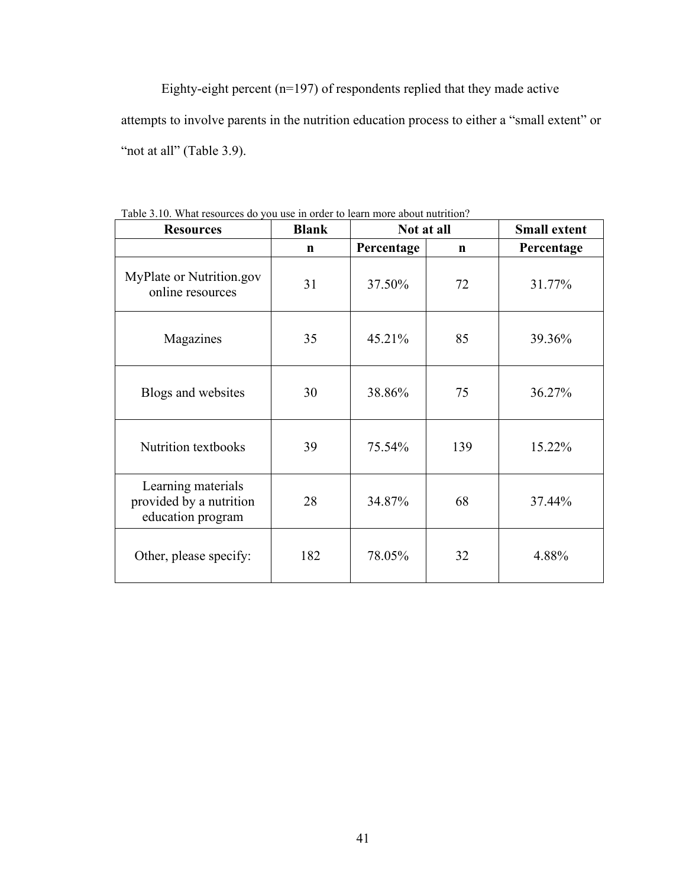Eighty-eight percent (n=197) of respondents replied that they made active attempts to involve parents in the nutrition education process to either a "small extent" or "not at all" (Table 3.9).

| <b>Resources</b>                                                   | <b>Blank</b> | Not at all |             | <b>Small extent</b> |
|--------------------------------------------------------------------|--------------|------------|-------------|---------------------|
|                                                                    | $\mathbf n$  | Percentage | $\mathbf n$ | Percentage          |
| MyPlate or Nutrition.gov<br>online resources                       | 31           | 37.50%     | 72          | 31.77%              |
| Magazines                                                          | 35           | 45.21%     | 85          | 39.36%              |
| Blogs and websites                                                 | 30           | 38.86%     | 75          | 36.27%              |
| <b>Nutrition textbooks</b>                                         | 39           | 75.54%     | 139         | 15.22%              |
| Learning materials<br>provided by a nutrition<br>education program | 28           | 34.87%     | 68          | 37.44%              |
| Other, please specify:                                             | 182          | 78.05%     | 32          | 4.88%               |

Table 3.10. What resources do you use in order to learn more about nutrition?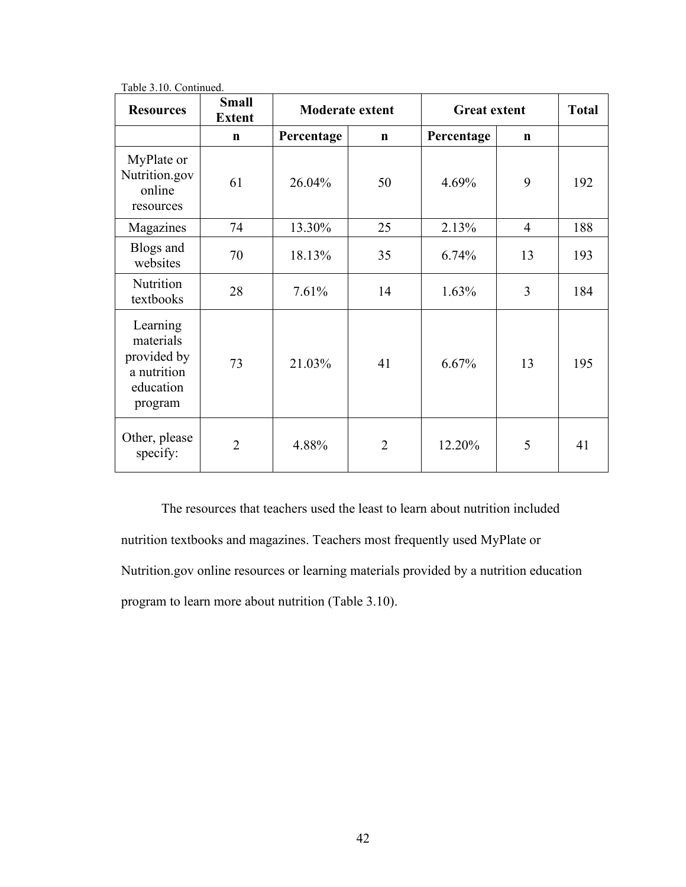| <b>Resources</b>                                                            | <b>Small</b><br><b>Extent</b> | <b>Moderate extent</b> |                | <b>Great extent</b> | <b>Total</b>   |     |
|-----------------------------------------------------------------------------|-------------------------------|------------------------|----------------|---------------------|----------------|-----|
|                                                                             | $\mathbf n$                   | Percentage             | $\mathbf n$    | Percentage          | $\mathbf n$    |     |
| MyPlate or<br>Nutrition.gov<br>online<br>resources                          | 61                            | 26.04%                 | 50             | 4.69%               | 9              | 192 |
| Magazines                                                                   | 74                            | 13.30%                 | 25             | 2.13%               | $\overline{4}$ | 188 |
| Blogs and<br>websites                                                       | 70                            | 18.13%                 | 35             | 6.74%               | 13             | 193 |
| Nutrition<br>textbooks                                                      | 28                            | 7.61%                  | 14             | 1.63%               | 3              | 184 |
| Learning<br>materials<br>provided by<br>a nutrition<br>education<br>program | 73                            | 21.03%                 | 41             | 6.67%               | 13             | 195 |
| Other, please<br>specify:                                                   | $\overline{2}$                | 4.88%                  | $\overline{2}$ | 12.20%              | 5              | 41  |

Table 3.10. Continued.

The resources that teachers used the least to learn about nutrition included nutrition textbooks and magazines. Teachers most frequently used MyPlate or Nutrition.gov online resources or learning materials provided by a nutrition education program to learn more about nutrition (Table 3.10).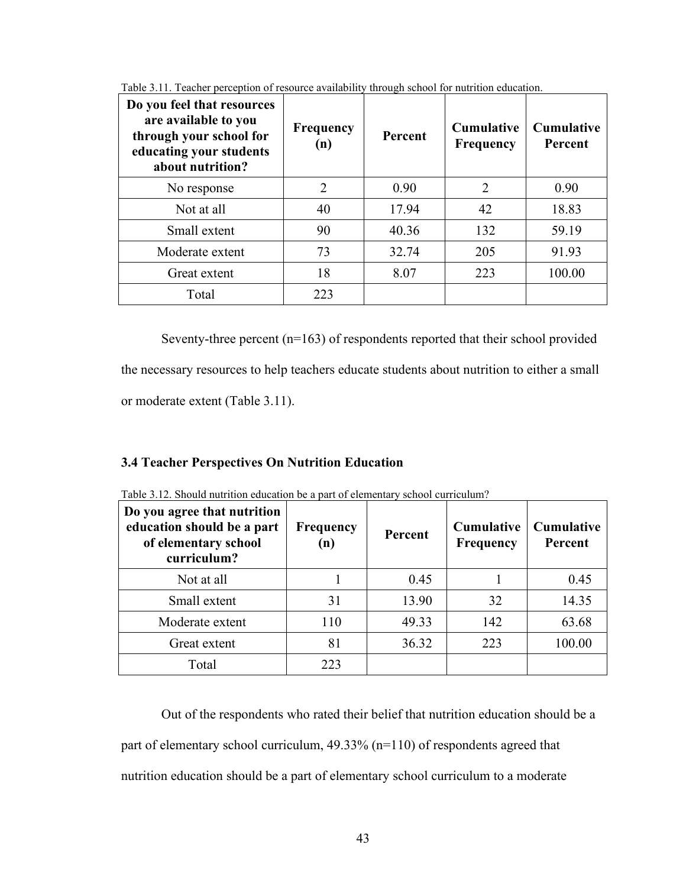| Do you feel that resources<br>are available to you<br>through your school for<br>educating your students<br>about nutrition? | Frequency<br>(n) | Percent | <b>Cumulative</b><br><b>Frequency</b> | <b>Cumulative</b><br>Percent |
|------------------------------------------------------------------------------------------------------------------------------|------------------|---------|---------------------------------------|------------------------------|
| No response                                                                                                                  | 2                | 0.90    | 2                                     | 0.90                         |
| Not at all                                                                                                                   | 40               | 17.94   | 42                                    | 18.83                        |
| Small extent                                                                                                                 | 90               | 40.36   | 132                                   | 59.19                        |
| Moderate extent                                                                                                              | 73               | 32.74   | 205                                   | 91.93                        |
| Great extent                                                                                                                 | 18               | 8.07    | 223                                   | 100.00                       |
| Total                                                                                                                        | 223              |         |                                       |                              |

Table 3.11. Teacher perception of resource availability through school for nutrition education.

Seventy-three percent (n=163) of respondents reported that their school provided the necessary resources to help teachers educate students about nutrition to either a small or moderate extent (Table 3.11).

## **3.4 Teacher Perspectives On Nutrition Education**

| Do you agree that nutrition<br>education should be a part<br>of elementary school<br>curriculum? | Frequency<br>(n) | Percent | <b>Cumulative</b><br><b>Frequency</b> | <b>Cumulative</b><br>Percent |
|--------------------------------------------------------------------------------------------------|------------------|---------|---------------------------------------|------------------------------|
| Not at all                                                                                       |                  | 0.45    |                                       | 0.45                         |
| Small extent                                                                                     | 31               | 13.90   | 32                                    | 14.35                        |
| Moderate extent                                                                                  | 110              | 49.33   | 142                                   | 63.68                        |
| Great extent                                                                                     | 81               | 36.32   | 223                                   | 100.00                       |
| Total                                                                                            | 223              |         |                                       |                              |

Table 3.12. Should nutrition education be a part of elementary school curriculum?

 Out of the respondents who rated their belief that nutrition education should be a part of elementary school curriculum, 49.33% (n=110) of respondents agreed that nutrition education should be a part of elementary school curriculum to a moderate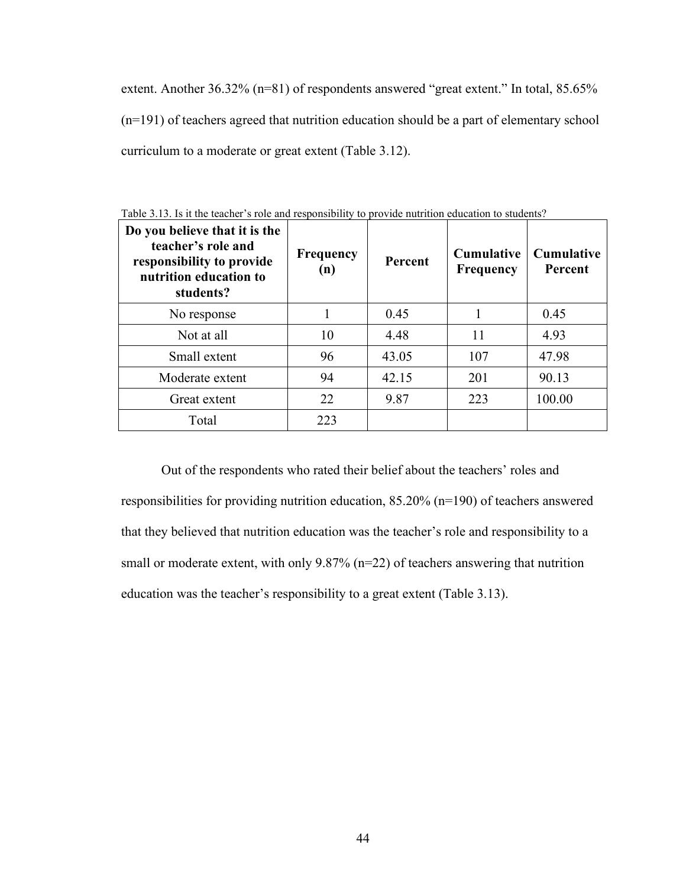extent. Another 36.32% (n=81) of respondents answered "great extent." In total, 85.65% (n=191) of teachers agreed that nutrition education should be a part of elementary school curriculum to a moderate or great extent (Table 3.12).

| Do you believe that it is the<br>teacher's role and<br>responsibility to provide<br>nutrition education to<br>students? | <b>Frequency</b><br>(n) | Percent | <b>Cumulative</b><br><b>Frequency</b> | <b>Cumulative</b><br>Percent |
|-------------------------------------------------------------------------------------------------------------------------|-------------------------|---------|---------------------------------------|------------------------------|
| No response                                                                                                             |                         | 0.45    |                                       | 0.45                         |
| Not at all                                                                                                              | 10                      | 4.48    | 11                                    | 4.93                         |
| Small extent                                                                                                            | 96                      | 43.05   | 107                                   | 47.98                        |
| Moderate extent                                                                                                         | 94                      | 42.15   | 201                                   | 90.13                        |
| Great extent                                                                                                            | 22                      | 9.87    | 223                                   | 100.00                       |
| Total                                                                                                                   | 223                     |         |                                       |                              |

Table 3.13. Is it the teacher's role and responsibility to provide nutrition education to students?

Out of the respondents who rated their belief about the teachers' roles and responsibilities for providing nutrition education, 85.20% (n=190) of teachers answered that they believed that nutrition education was the teacher's role and responsibility to a small or moderate extent, with only 9.87% (n=22) of teachers answering that nutrition education was the teacher's responsibility to a great extent (Table 3.13).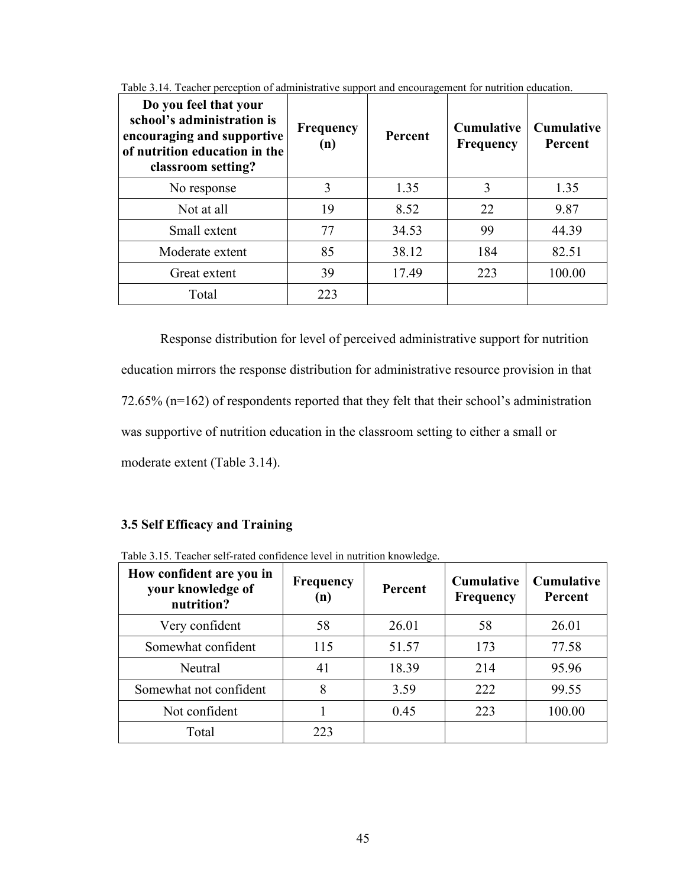| Do you feel that your<br>school's administration is<br>encouraging and supportive<br>of nutrition education in the<br>classroom setting? | <b>Frequency</b><br>(n) | <b>Percent</b> | <b>Cumulative</b><br><b>Frequency</b> | <b>Cumulative</b><br>Percent |
|------------------------------------------------------------------------------------------------------------------------------------------|-------------------------|----------------|---------------------------------------|------------------------------|
| No response                                                                                                                              | 3                       | 1.35           | 3                                     | 1.35                         |
| Not at all                                                                                                                               | 19                      | 8.52           | 22                                    | 9.87                         |
| Small extent                                                                                                                             | 77                      | 34.53          | 99                                    | 44.39                        |
| Moderate extent                                                                                                                          | 85                      | 38.12          | 184                                   | 82.51                        |
| Great extent                                                                                                                             | 39                      | 17.49          | 223                                   | 100.00                       |
| Total                                                                                                                                    | 223                     |                |                                       |                              |

Table 3.14. Teacher perception of administrative support and encouragement for nutrition education.

 Response distribution for level of perceived administrative support for nutrition education mirrors the response distribution for administrative resource provision in that 72.65% (n=162) of respondents reported that they felt that their school's administration was supportive of nutrition education in the classroom setting to either a small or moderate extent (Table 3.14).

# **3.5 Self Efficacy and Training**

| How confident are you in<br>your knowledge of<br>nutrition? | <b>Frequency</b><br>(n) | <b>Percent</b> | <b>Cumulative</b><br><b>Frequency</b> | <b>Cumulative</b><br>Percent |
|-------------------------------------------------------------|-------------------------|----------------|---------------------------------------|------------------------------|
| Very confident                                              | 58                      | 26.01          | 58                                    | 26.01                        |
| Somewhat confident                                          | 115                     | 51.57          | 173                                   | 77.58                        |
| Neutral                                                     | 41                      | 18.39          | 214                                   | 95.96                        |
| Somewhat not confident                                      | 8                       | 3.59           | 222                                   | 99.55                        |
| Not confident                                               |                         | 0.45           | 223                                   | 100.00                       |
| Total                                                       | 223                     |                |                                       |                              |

Table 3.15. Teacher self-rated confidence level in nutrition knowledge.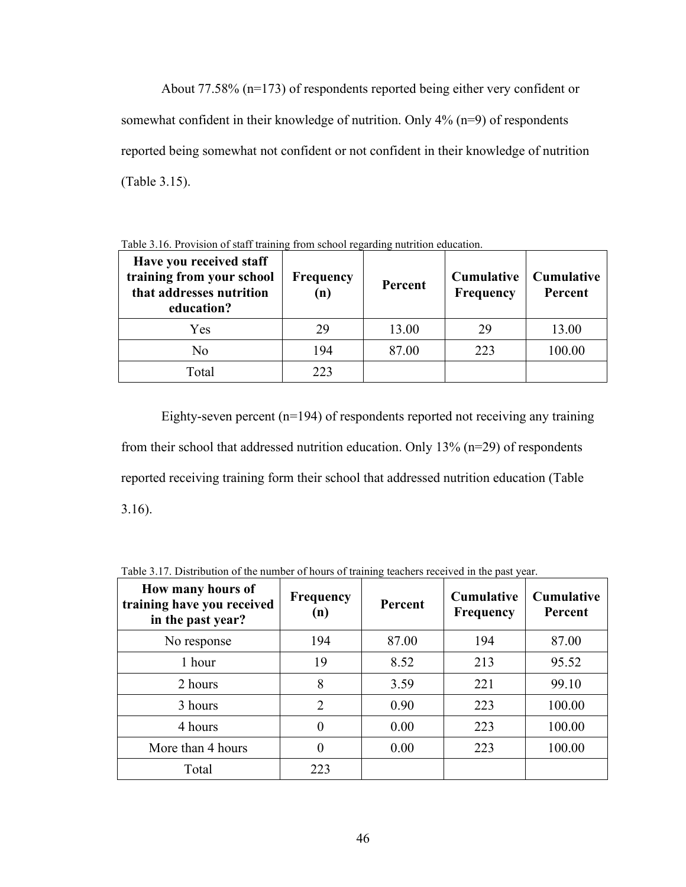About 77.58% (n=173) of respondents reported being either very confident or somewhat confident in their knowledge of nutrition. Only 4% (n=9) of respondents reported being somewhat not confident or not confident in their knowledge of nutrition (Table 3.15).

| Have you received staff<br>training from your school<br>that addresses nutrition<br>education? | <b>Frequency</b><br>(n) | Percent | <b>Cumulative</b><br><b>Frequency</b> | <b>Cumulative</b><br>Percent |
|------------------------------------------------------------------------------------------------|-------------------------|---------|---------------------------------------|------------------------------|
| Yes                                                                                            | 29                      | 13.00   | 29                                    | 13.00                        |
| No                                                                                             | 194                     | 87.00   | 223                                   | 100.00                       |
| Total                                                                                          | 223                     |         |                                       |                              |

Table 3.16. Provision of staff training from school regarding nutrition education.

Eighty-seven percent (n=194) of respondents reported not receiving any training from their school that addressed nutrition education. Only 13% (n=29) of respondents reported receiving training form their school that addressed nutrition education (Table 3.16).

| How many hours of<br>training have you received<br>in the past year? | <b>Frequency</b><br>(n) | Percent | <b>Cumulative</b><br><b>Frequency</b> | Cumulative<br>Percent |
|----------------------------------------------------------------------|-------------------------|---------|---------------------------------------|-----------------------|
| No response                                                          | 194                     | 87.00   | 194                                   | 87.00                 |
| 1 hour                                                               | 19                      | 8.52    | 213                                   | 95.52                 |
| 2 hours                                                              | 8                       | 3.59    | 221                                   | 99.10                 |
| 3 hours                                                              | $\overline{2}$          | 0.90    | 223                                   | 100.00                |
| 4 hours                                                              | $\Omega$                | 0.00    | 223                                   | 100.00                |
| More than 4 hours                                                    | $\theta$                | 0.00    | 223                                   | 100.00                |
| Total                                                                | 223                     |         |                                       |                       |

Table 3.17. Distribution of the number of hours of training teachers received in the past year.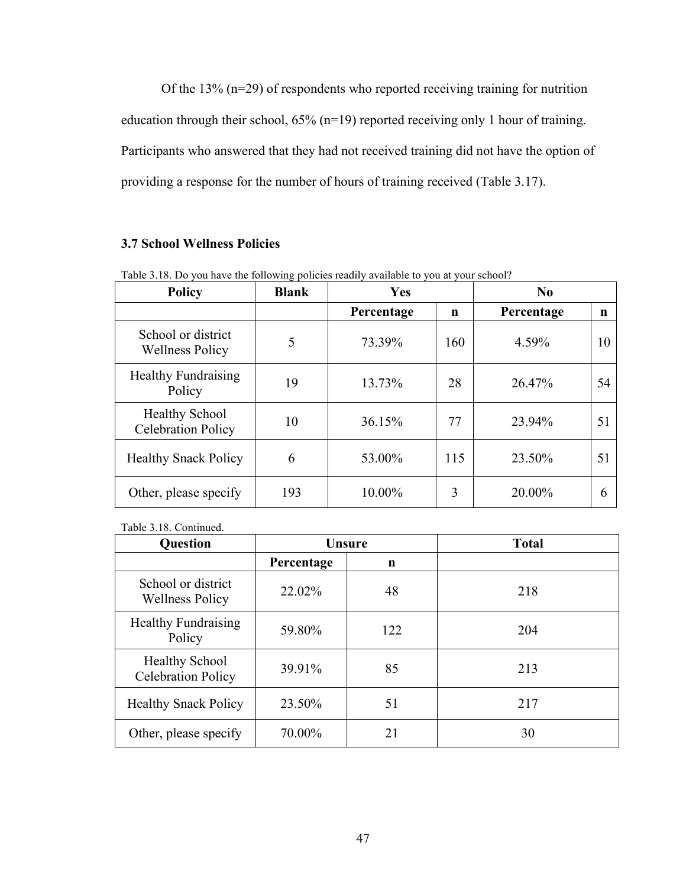Of the 13% (n=29) of respondents who reported receiving training for nutrition education through their school, 65% (n=19) reported receiving only 1 hour of training. Participants who answered that they had not received training did not have the option of providing a response for the number of hours of training received (Table 3.17).

# **3.7 School Wellness Policies**

| <b>Policy</b>                                      | <b>Blank</b> | <b>Yes</b> |     | No         |    |
|----------------------------------------------------|--------------|------------|-----|------------|----|
|                                                    |              | Percentage | n   | Percentage | n  |
| School or district<br><b>Wellness Policy</b>       | 5            | 73.39%     | 160 | 4.59%      | 10 |
| <b>Healthy Fundraising</b><br>Policy               | 19           | 13.73%     | 28  | 26.47%     | 54 |
| <b>Healthy School</b><br><b>Celebration Policy</b> | 10           | 36.15%     | 77  | 23.94%     | 51 |
| <b>Healthy Snack Policy</b>                        | 6            | 53.00%     | 115 | 23.50%     | 51 |
| Other, please specify                              | 193          | 10.00%     | 3   | 20.00%     | 6  |

Table 3.18. Do you have the following policies readily available to you at your school?

Table 3.18. Continued.

| Question                                           | <b>Unsure</b> |     | <b>Total</b> |
|----------------------------------------------------|---------------|-----|--------------|
|                                                    | Percentage    | n   |              |
| School or district<br><b>Wellness Policy</b>       | 22.02%        | 48  | 218          |
| <b>Healthy Fundraising</b><br>Policy               | 59.80%        | 122 | 204          |
| <b>Healthy School</b><br><b>Celebration Policy</b> | 39.91%        | 85  | 213          |
| <b>Healthy Snack Policy</b>                        | 23.50%        | 51  | 217          |
| Other, please specify                              | 70.00%        | 21  | 30           |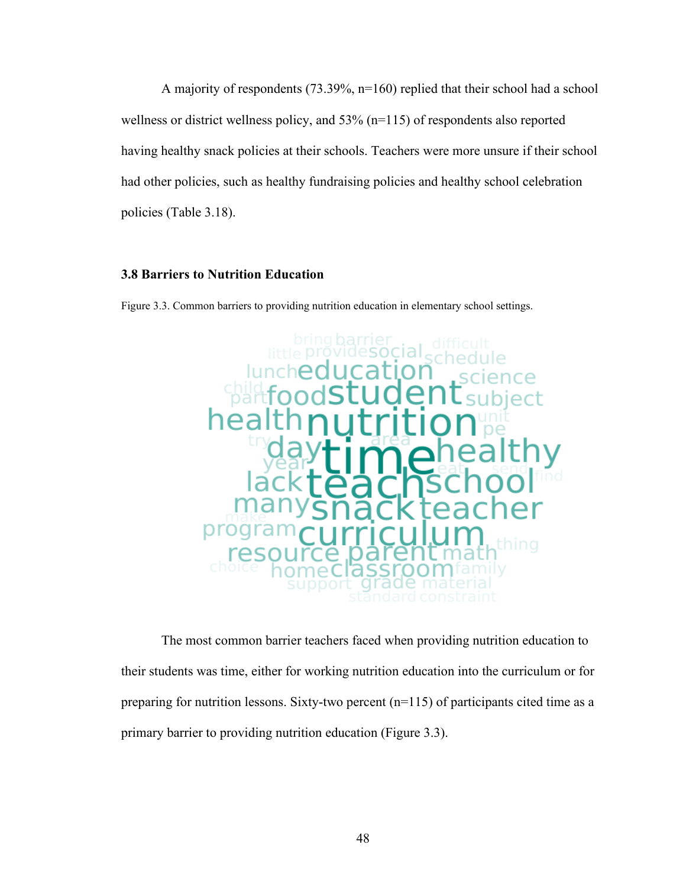A majority of respondents (73.39%, n=160) replied that their school had a school wellness or district wellness policy, and 53% (n=115) of respondents also reported having healthy snack policies at their schools. Teachers were more unsure if their school had other policies, such as healthy fundraising policies and healthy school celebration policies (Table 3.18).

## **3.8 Barriers to Nutrition Education**

Figure 3.3. Common barriers to providing nutrition education in elementary school settings.



The most common barrier teachers faced when providing nutrition education to their students was time, either for working nutrition education into the curriculum or for preparing for nutrition lessons. Sixty-two percent (n=115) of participants cited time as a primary barrier to providing nutrition education (Figure 3.3).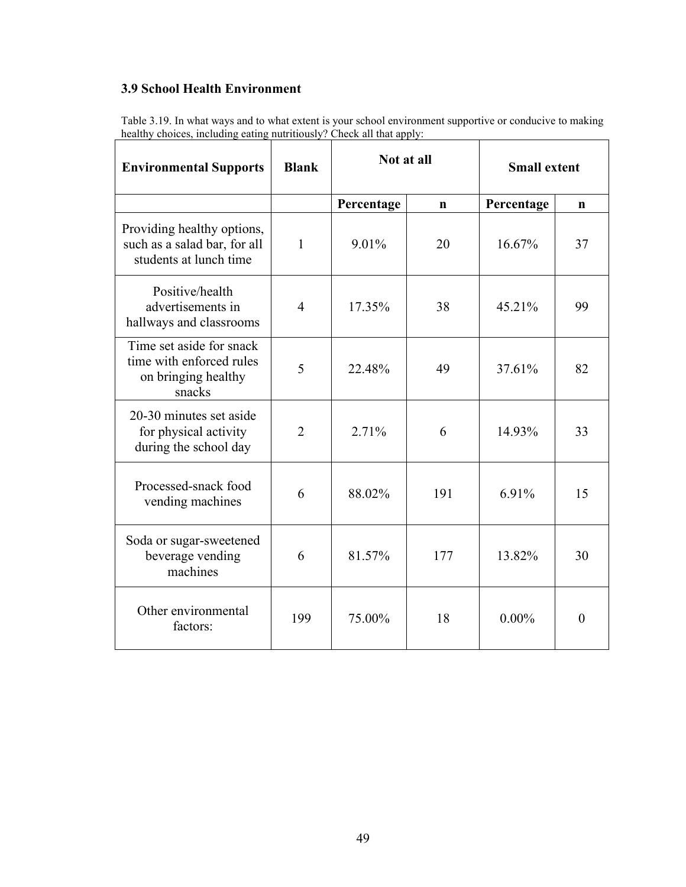# **3.9 School Health Environment**

Table 3.19. In what ways and to what extent is your school environment supportive or conducive to making healthy choices, including eating nutritiously? Check all that apply:

| <b>Environmental Supports</b>                                                         | <b>Blank</b>   | Not at all |             | <b>Small extent</b> |             |
|---------------------------------------------------------------------------------------|----------------|------------|-------------|---------------------|-------------|
|                                                                                       |                | Percentage | $\mathbf n$ | Percentage          | $\mathbf n$ |
| Providing healthy options,<br>such as a salad bar, for all<br>students at lunch time  | 1              | 9.01%      | 20          | 16.67%              | 37          |
| Positive/health<br>advertisements in<br>hallways and classrooms                       | $\overline{4}$ | 17.35%     | 38          | 45.21%              | 99          |
| Time set aside for snack<br>time with enforced rules<br>on bringing healthy<br>snacks | 5              | 22.48%     | 49          | 37.61%              | 82          |
| 20-30 minutes set aside<br>for physical activity<br>during the school day             | $\overline{2}$ | 2.71%      | 6           | 14.93%              | 33          |
| Processed-snack food<br>vending machines                                              | 6              | 88.02%     | 191         | 6.91%               | 15          |
| Soda or sugar-sweetened<br>beverage vending<br>machines                               | 6              | 81.57%     | 177         | 13.82%              | 30          |
| Other environmental<br>factors:                                                       | 199            | 75.00%     | 18          | $0.00\%$            | $\theta$    |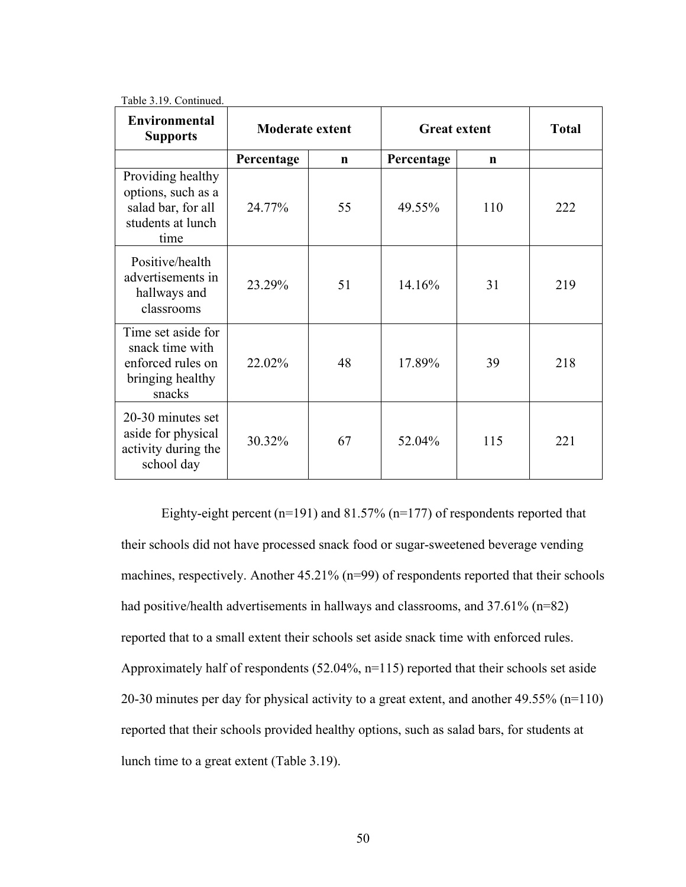| <b>Environmental</b><br><b>Supports</b>                                                    | <b>Moderate extent</b> |             | <b>Great extent</b> |     | <b>Total</b> |
|--------------------------------------------------------------------------------------------|------------------------|-------------|---------------------|-----|--------------|
|                                                                                            | Percentage             | $\mathbf n$ | Percentage          | n   |              |
| Providing healthy<br>options, such as a<br>salad bar, for all<br>students at lunch<br>time | 24.77%                 | 55          | 49.55%              | 110 | 222          |
| Positive/health<br>advertisements in<br>hallways and<br>classrooms                         | 23.29%                 | 51          | 14.16%              | 31  | 219          |
| Time set aside for<br>snack time with<br>enforced rules on<br>bringing healthy<br>snacks   | 22.02%                 | 48          | 17.89%              | 39  | 218          |
| 20-30 minutes set<br>aside for physical<br>activity during the<br>school day               | 30.32%                 | 67          | 52.04%              | 115 | 221          |

Table 3.19. Continued.

Eighty-eight percent (n=191) and 81.57% (n=177) of respondents reported that their schools did not have processed snack food or sugar-sweetened beverage vending machines, respectively. Another 45.21% (n=99) of respondents reported that their schools had positive/health advertisements in hallways and classrooms, and 37.61% (n=82) reported that to a small extent their schools set aside snack time with enforced rules. Approximately half of respondents (52.04%, n=115) reported that their schools set aside 20-30 minutes per day for physical activity to a great extent, and another 49.55% (n=110) reported that their schools provided healthy options, such as salad bars, for students at lunch time to a great extent (Table 3.19).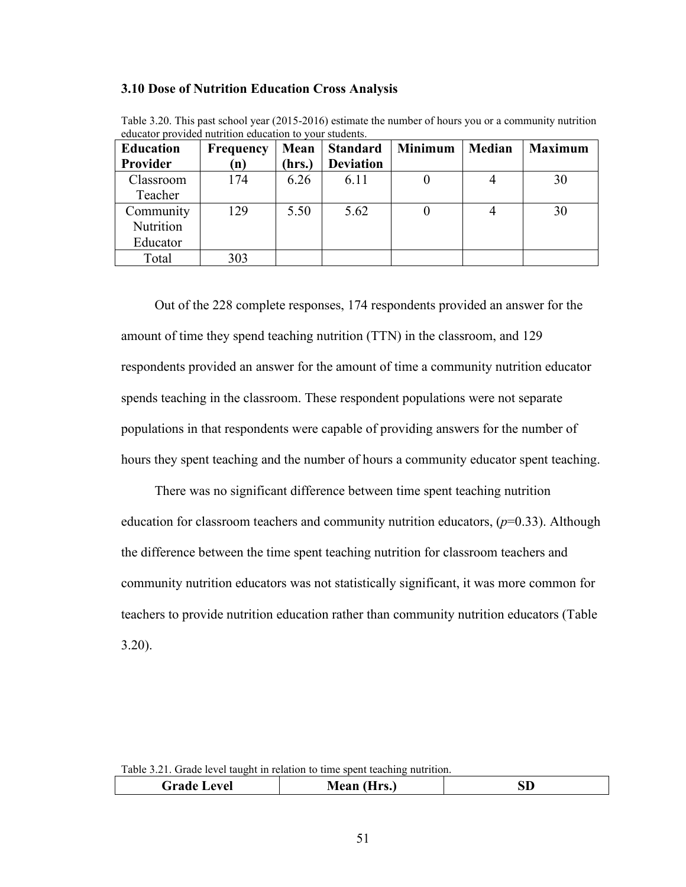#### **3.10 Dose of Nutrition Education Cross Analysis**

| <b>Education</b> | <b>Frequency</b> | Mean  | <b>Standard</b>  | <b>Minimum</b> | Median | <b>Maximum</b> |
|------------------|------------------|-------|------------------|----------------|--------|----------------|
| Provider         | (n)              | hrs.) | <b>Deviation</b> |                |        |                |
| Classroom        | 174              | 6.26  | 6.11             | 0              |        | 30             |
| Teacher          |                  |       |                  |                |        |                |
| Community        | 129              | 5.50  | 5.62             | 0              |        | 30             |
| Nutrition        |                  |       |                  |                |        |                |
| Educator         |                  |       |                  |                |        |                |
| Total            | 303              |       |                  |                |        |                |

Table 3.20. This past school year (2015-2016) estimate the number of hours you or a community nutrition educator provided nutrition education to your students.

 Out of the 228 complete responses, 174 respondents provided an answer for the amount of time they spend teaching nutrition (TTN) in the classroom, and 129 respondents provided an answer for the amount of time a community nutrition educator spends teaching in the classroom. These respondent populations were not separate populations in that respondents were capable of providing answers for the number of hours they spent teaching and the number of hours a community educator spent teaching.

 There was no significant difference between time spent teaching nutrition education for classroom teachers and community nutrition educators, (*p*=0.33). Although the difference between the time spent teaching nutrition for classroom teachers and community nutrition educators was not statistically significant, it was more common for teachers to provide nutrition education rather than community nutrition educators (Table 3.20).

Table 3.21. Grade level taught in relation to time spent teaching nutrition.

| Grade<br><b>Level</b> | Mean<br>Hrs.)<br>гисан | עפ |
|-----------------------|------------------------|----|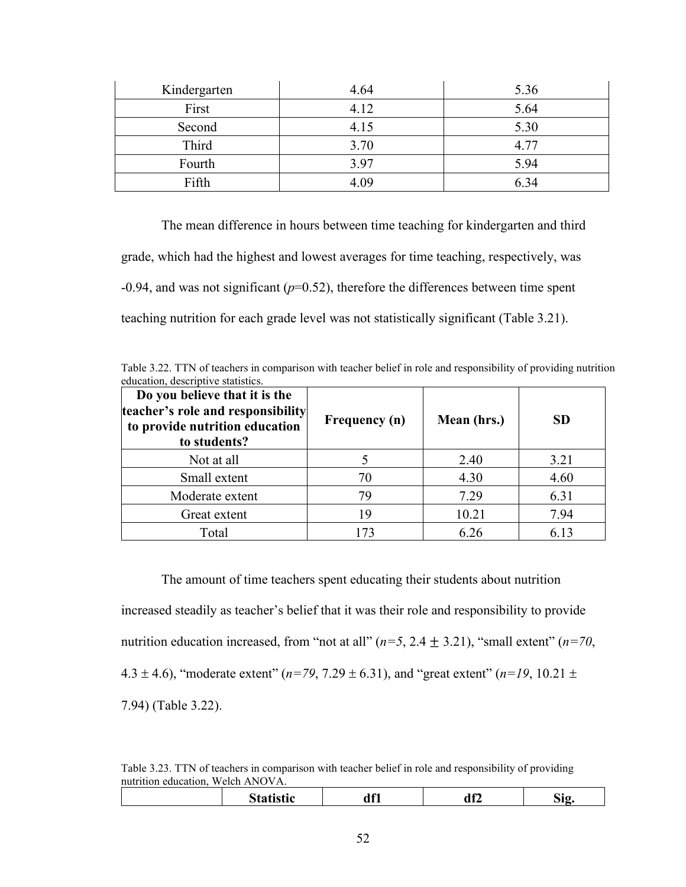| Kindergarten | 4.64 | 5.36 |
|--------------|------|------|
| First        | 4.12 | 5.64 |
| Second       | 4.15 | 5.30 |
| Third        | 3.70 | 4.77 |
| Fourth       | 3.97 | 5.94 |
| Fifth        | 4.09 | 6.34 |

The mean difference in hours between time teaching for kindergarten and third grade, which had the highest and lowest averages for time teaching, respectively, was  $-0.94$ , and was not significant ( $p=0.52$ ), therefore the differences between time spent teaching nutrition for each grade level was not statistically significant (Table 3.21).

Table 3.22. TTN of teachers in comparison with teacher belief in role and responsibility of providing nutrition education, descriptive statistics.

| Do you believe that it is the<br>teacher's role and responsibility<br>to provide nutrition education<br>to students? | Frequency (n) | Mean (hrs.) | <b>SD</b> |
|----------------------------------------------------------------------------------------------------------------------|---------------|-------------|-----------|
| Not at all                                                                                                           |               | 2.40        | 3.21      |
| Small extent                                                                                                         | 70            | 4.30        | 4.60      |
| Moderate extent                                                                                                      | 79            | 7.29        | 6.31      |
| Great extent                                                                                                         | 19            | 10.21       | 7.94      |
| Total                                                                                                                | 73            | 6.26        | 6.13      |

The amount of time teachers spent educating their students about nutrition increased steadily as teacher's belief that it was their role and responsibility to provide nutrition education increased, from "not at all"  $(n=5, 2.4 \pm 3.21)$ , "small extent"  $(n=70, 1.5 \pm 3.21)$ 4.3  $\pm$  4.6), "moderate extent" ( $n=79, 7.29 \pm 6.31$ ), and "great extent" ( $n=19, 10.21 \pm 1.6$ ) 7.94) (Table 3.22).

Table 3.23. TTN of teachers in comparison with teacher belief in role and responsibility of providing nutrition education, Welch ANOVA.

|  | $\sqrt{2}$ | I M<br>di∡ | ÷ю |
|--|------------|------------|----|
|  |            |            |    |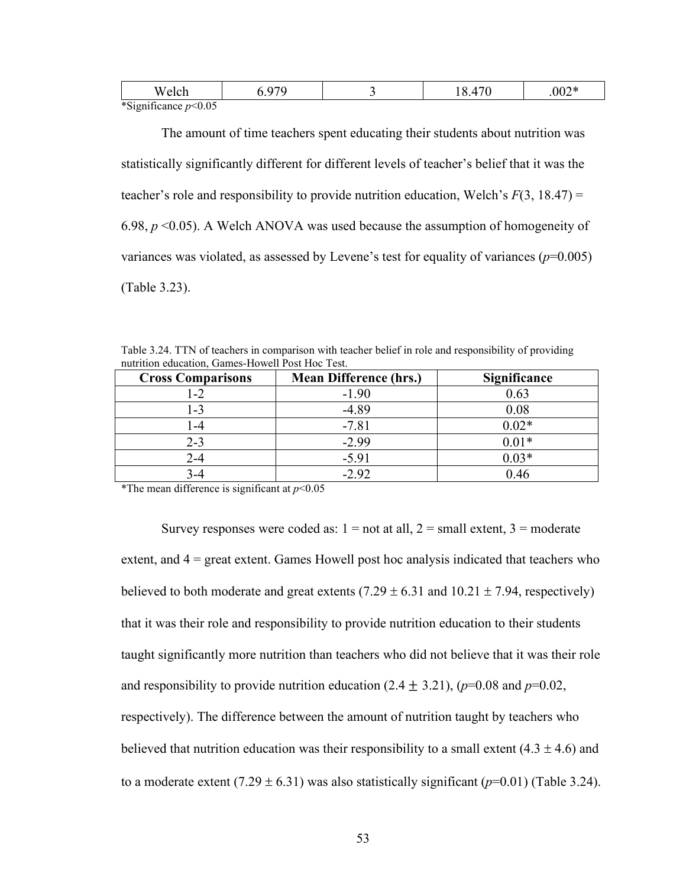|              | W<br>$\ddot{\phantom{a}}$             |  | , ,<br>$\mathsf{v}\mathsf{v}$ |
|--------------|---------------------------------------|--|-------------------------------|
| $+ \alpha$ . | $\sim$<br>$\sim$ $\sim$ $\sim$ $\sim$ |  |                               |

\*Significance *p*<0.05

The amount of time teachers spent educating their students about nutrition was statistically significantly different for different levels of teacher's belief that it was the teacher's role and responsibility to provide nutrition education, Welch's  $F(3, 18.47) =$ 6.98, *p* <0.05). A Welch ANOVA was used because the assumption of homogeneity of variances was violated, as assessed by Levene's test for equality of variances  $(p=0.005)$ (Table 3.23).

| Table 3.24. TTN of teachers in comparison with teacher belief in role and responsibility of providing |  |
|-------------------------------------------------------------------------------------------------------|--|
| nutrition education, Games-Howell Post Hoc Test.                                                      |  |

| <b>Cross Comparisons</b> | <b>Mean Difference (hrs.)</b> | Significance |
|--------------------------|-------------------------------|--------------|
| $1 - 2$                  | $-1.90$                       | 0.63         |
| 1-3                      | $-4.89$                       | 0.08         |
| -4                       | $-7.81$                       | $0.02*$      |
| $2 - 3$                  | $-2.99$                       | $0.01*$      |
| 2-4                      | $-5.91$                       | $0.03*$      |
|                          | $-2.92$                       | 0.46         |

\*The mean difference is significant at *p*<0.05

Survey responses were coded as:  $1 = not$  at all,  $2 = small$  extent,  $3 = moderate$ extent, and 4 = great extent. Games Howell post hoc analysis indicated that teachers who believed to both moderate and great extents  $(7.29 \pm 6.31$  and  $10.21 \pm 7.94$ , respectively) that it was their role and responsibility to provide nutrition education to their students taught significantly more nutrition than teachers who did not believe that it was their role and responsibility to provide nutrition education  $(2.4 \pm 3.21)$ ,  $(p=0.08$  and  $p=0.02$ , respectively). The difference between the amount of nutrition taught by teachers who believed that nutrition education was their responsibility to a small extent  $(4.3 \pm 4.6)$  and to a moderate extent  $(7.29 \pm 6.31)$  was also statistically significant  $(p=0.01)$  (Table 3.24).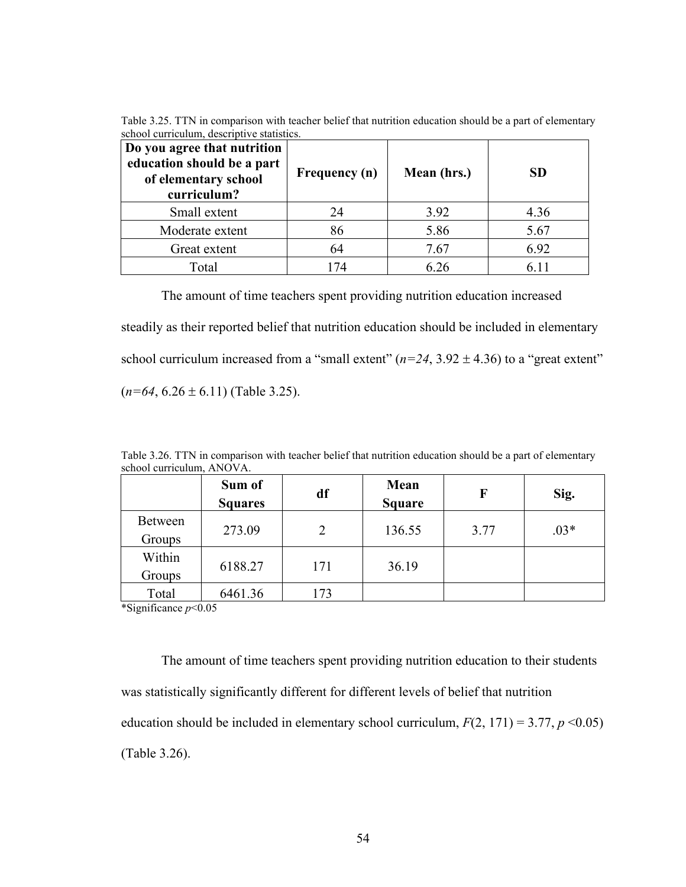Table 3.25. TTN in comparison with teacher belief that nutrition education should be a part of elementary school curriculum, descriptive statistics.

| Do you agree that nutrition<br>education should be a part<br>of elementary school<br>curriculum? | Frequency (n) | Mean (hrs.) | SD    |
|--------------------------------------------------------------------------------------------------|---------------|-------------|-------|
| Small extent                                                                                     | 24            | 3.92        | 4.36  |
| Moderate extent                                                                                  | 86            | 5.86        | 5.67  |
| Great extent                                                                                     | 64            | 7.67        | 6.92  |
| Total                                                                                            | 174           | 6 26        | 6 1 1 |

The amount of time teachers spent providing nutrition education increased steadily as their reported belief that nutrition education should be included in elementary school curriculum increased from a "small extent"  $(n=24, 3.92 \pm 4.36)$  to a "great extent"  $(n=64, 6.26 \pm 6.11)$  (Table 3.25).

| school curriculum, ANOVA. | Sum of<br><b>Squares</b> | df  | Mean<br><b>Square</b> | F    | Sig.   |
|---------------------------|--------------------------|-----|-----------------------|------|--------|
| Between<br>Groups         | 273.09                   | 2   | 136.55                | 3.77 | $.03*$ |
| Within<br>Groups          | 6188.27                  | 171 | 36.19                 |      |        |
| Total                     | 6461.36                  | 173 |                       |      |        |

Table 3.26. TTN in comparison with teacher belief that nutrition education should be a part of elementary school curriculum, ANOVA.

\*Significance *p*<0.05

The amount of time teachers spent providing nutrition education to their students was statistically significantly different for different levels of belief that nutrition education should be included in elementary school curriculum,  $F(2, 171) = 3.77$ ,  $p \le 0.05$ ) (Table 3.26).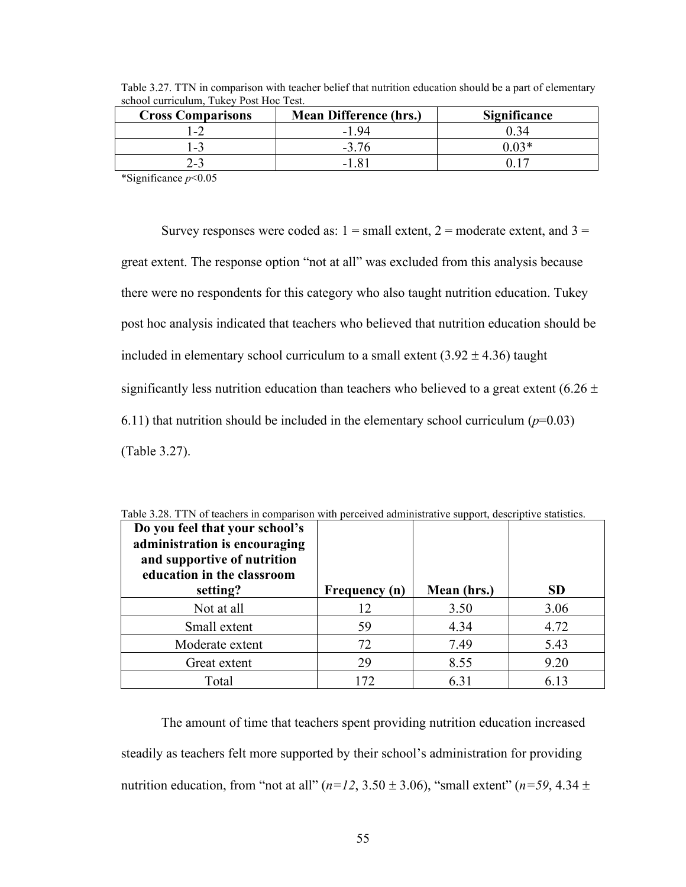| <b>Cross Comparisons</b> | <b>Mean Difference (hrs.)</b> | Significance |
|--------------------------|-------------------------------|--------------|
| $-2$                     | -194                          | 0 34         |
| $-3$                     | $-376$                        | በ በ3*        |
| $2 - 3$                  | $-181$                        |              |

Table 3.27. TTN in comparison with teacher belief that nutrition education should be a part of elementary school curriculum, Tukey Post Hoc Test.

\*Significance *p*<0.05

Survey responses were coded as:  $1 = \text{small extent}, 2 = \text{moderate extent}, \text{and } 3 = \text{mid}$ great extent. The response option "not at all" was excluded from this analysis because there were no respondents for this category who also taught nutrition education. Tukey post hoc analysis indicated that teachers who believed that nutrition education should be included in elementary school curriculum to a small extent  $(3.92 \pm 4.36)$  taught significantly less nutrition education than teachers who believed to a great extent (6.26  $\pm$ 6.11) that nutrition should be included in the elementary school curriculum  $(p=0.03)$ (Table 3.27).

| Do you feel that your school's<br>administration is encouraging<br>and supportive of nutrition<br>education in the classroom |                      |             |           |
|------------------------------------------------------------------------------------------------------------------------------|----------------------|-------------|-----------|
| setting?                                                                                                                     | <b>Frequency</b> (n) | Mean (hrs.) | <b>SD</b> |
| Not at all                                                                                                                   | 12                   | 3.50        | 3.06      |
| Small extent                                                                                                                 | 59                   | 4.34        | 4.72      |
| Moderate extent                                                                                                              | 72                   | 7.49        | 5.43      |
| Great extent                                                                                                                 | 29                   | 8.55        | 9.20      |
| Total                                                                                                                        | 172                  | 6.31        | 6 13      |

Table 3.28. TTN of teachers in comparison with perceived administrative support, descriptive statistics.

The amount of time that teachers spent providing nutrition education increased steadily as teachers felt more supported by their school's administration for providing nutrition education, from "not at all"  $(n=12, 3.50 \pm 3.06)$ , "small extent"  $(n=59, 4.34 \pm 1.06)$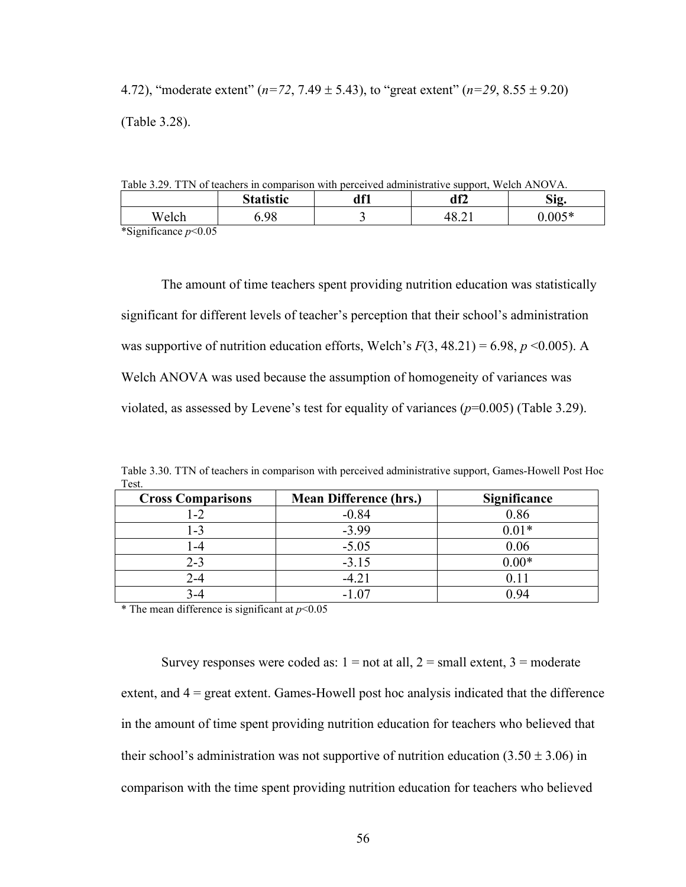4.72), "moderate extent" (*n=72*, 7.49 ± 5.43), to "great extent" (*n=29*, 8.55 ± 9.20) (Table 3.28).

Table 3.29. TTN of teachers in comparison with perceived administrative support, Welch ANOVA.

|                             | <b>Statistic</b> | 1 e4<br>ull | df2    | r.<br>S12     |
|-----------------------------|------------------|-------------|--------|---------------|
| Welch                       | 5.98             |             | T∪.∠ 1 | <u>ን በበ5*</u> |
| $\frac{\text{R}}{\text{S}}$ |                  |             |        |               |

\*Significance *p*<0.05

The amount of time teachers spent providing nutrition education was statistically significant for different levels of teacher's perception that their school's administration was supportive of nutrition education efforts, Welch's  $F(3, 48.21) = 6.98$ ,  $p \le 0.005$ ). A Welch ANOVA was used because the assumption of homogeneity of variances was violated, as assessed by Levene's test for equality of variances  $(p=0.005)$  (Table 3.29).

|       |  |  | Table 3.30. TTN of teachers in comparison with perceived administrative support, Games-Howell Post Hoc |  |
|-------|--|--|--------------------------------------------------------------------------------------------------------|--|
| Test. |  |  |                                                                                                        |  |

| <b>Cross Comparisons</b> | <b>Mean Difference (hrs.)</b> | <b>Significance</b> |
|--------------------------|-------------------------------|---------------------|
| 1-2                      | $-0.84$                       | 0.86                |
| 1-3                      | $-3.99$                       | $0.01*$             |
| -4                       | $-5.05$                       | 0.06                |
| $2 - 3$                  | $-3.15$                       | $0.00*$             |
| 2-4                      | $-4.21$                       |                     |
|                          | $-1.07$                       | ) 94                |

\* The mean difference is significant at  $p < 0.05$ 

Survey responses were coded as:  $1 = not$  at all,  $2 = small$  extent,  $3 = moderate$ extent, and 4 = great extent. Games-Howell post hoc analysis indicated that the difference in the amount of time spent providing nutrition education for teachers who believed that their school's administration was not supportive of nutrition education  $(3.50 \pm 3.06)$  in comparison with the time spent providing nutrition education for teachers who believed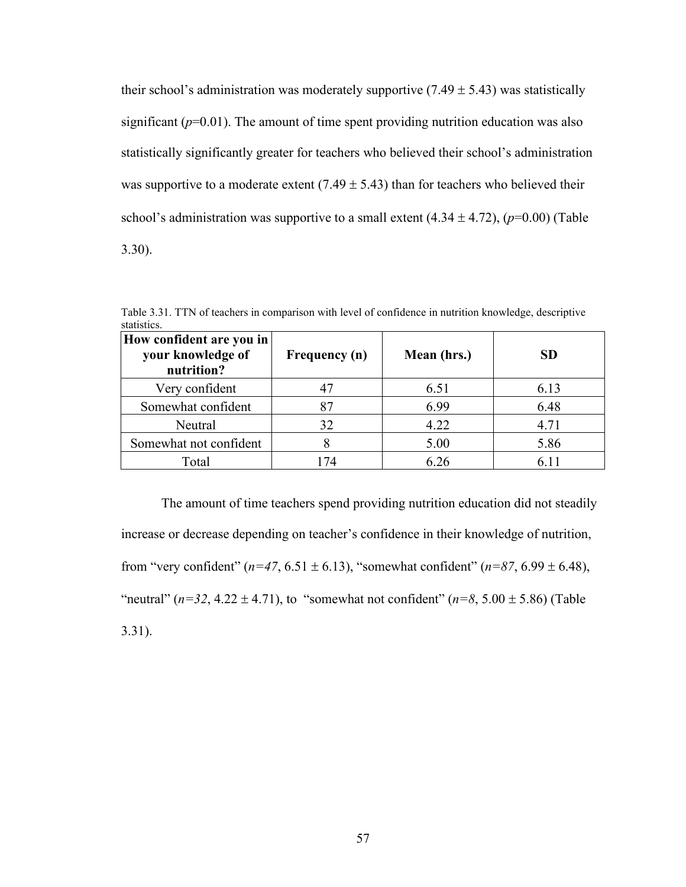their school's administration was moderately supportive  $(7.49 \pm 5.43)$  was statistically significant  $(p=0.01)$ . The amount of time spent providing nutrition education was also statistically significantly greater for teachers who believed their school's administration was supportive to a moderate extent  $(7.49 \pm 5.43)$  than for teachers who believed their school's administration was supportive to a small extent  $(4.34 \pm 4.72)$ ,  $(p=0.00)$  (Table 3.30).

| How confident are you in<br>your knowledge of<br>nutrition? | Frequency (n) | Mean (hrs.) | <b>SD</b> |
|-------------------------------------------------------------|---------------|-------------|-----------|
| Very confident                                              |               | 6.51        | 6.13      |
| Somewhat confident                                          | 87            | 6.99        | 6.48      |
| Neutral                                                     | 32            | 4.22        | 4.71      |
| Somewhat not confident                                      |               | 5.00        | 5.86      |
| Total                                                       | 174           | 6.26        |           |

Table 3.31. TTN of teachers in comparison with level of confidence in nutrition knowledge, descriptive statistics.

The amount of time teachers spend providing nutrition education did not steadily increase or decrease depending on teacher's confidence in their knowledge of nutrition, from "very confident" ( $n=47, 6.51 \pm 6.13$ ), "somewhat confident" ( $n=87, 6.99 \pm 6.48$ ), "neutral" ( $n=32, 4.22 \pm 4.71$ ), to "somewhat not confident" ( $n=8, 5.00 \pm 5.86$ ) (Table 3.31).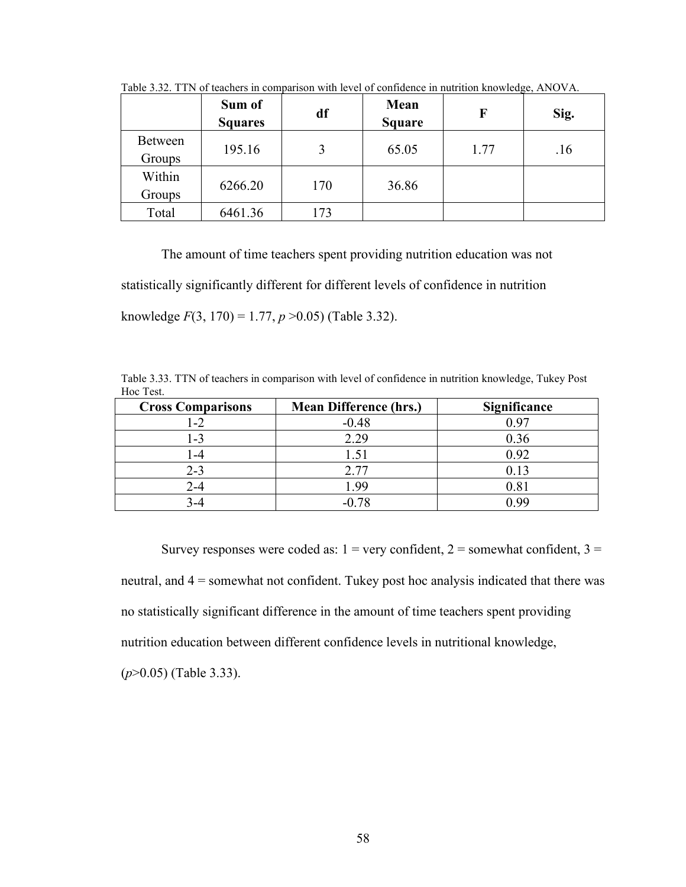|                          | Sum of<br><b>Squares</b> | df  | Mean<br><b>Square</b> | F    | $\sim$<br>Sig. |
|--------------------------|--------------------------|-----|-----------------------|------|----------------|
| <b>Between</b><br>Groups | 195.16                   |     | 65.05                 | 1.77 | .16            |
| Within<br>Groups         | 6266.20                  | 170 | 36.86                 |      |                |
| Total                    | 6461.36                  | 173 |                       |      |                |

Table 3.32. TTN of teachers in comparison with level of confidence in nutrition knowledge, ANOVA.

The amount of time teachers spent providing nutrition education was not

statistically significantly different for different levels of confidence in nutrition

knowledge *F*(3, 170) = 1.77, *p* >0.05) (Table 3.32).

Table 3.33. TTN of teachers in comparison with level of confidence in nutrition knowledge, Tukey Post Hoc Test.

| <b>Cross Comparisons</b> | <b>Mean Difference (hrs.)</b> | Significance |
|--------------------------|-------------------------------|--------------|
| $-2$                     | $-0.48$                       | ) 91         |
| -3                       | 2.29                          | 0.36         |
| -4                       |                               | 0.92         |
| $2 - 3$                  | 2.77                          | 0.13         |
| 2-4                      | 1.99                          | 0.81         |
|                          |                               | n aa         |

Survey responses were coded as:  $1 = \text{very confident}, 2 = \text{somewhat confident}, 3 = \text{?}$ neutral, and 4 = somewhat not confident. Tukey post hoc analysis indicated that there was no statistically significant difference in the amount of time teachers spent providing nutrition education between different confidence levels in nutritional knowledge, (*p*>0.05) (Table 3.33).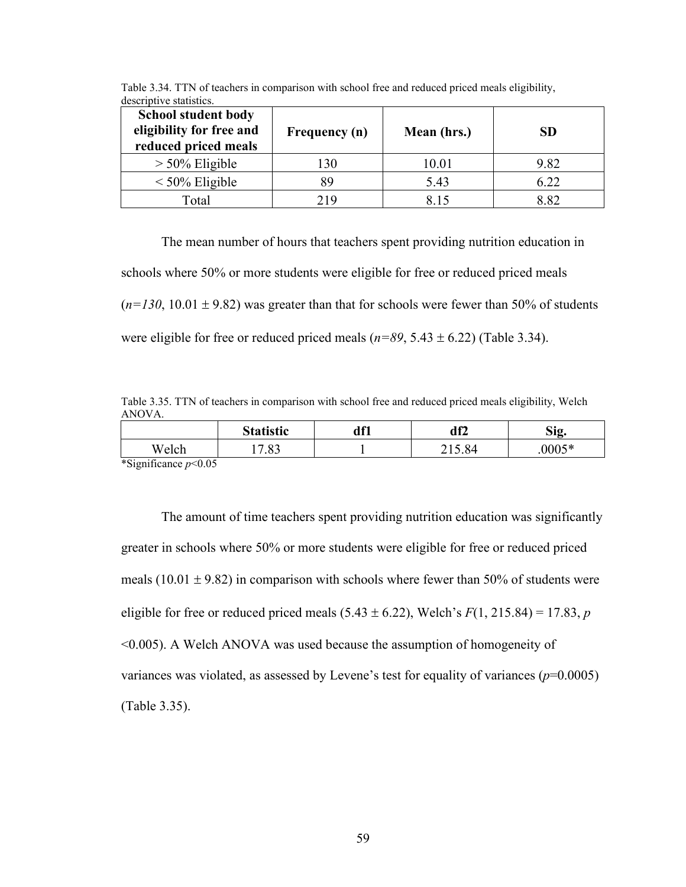| descriptive statistics.<br><b>School student body</b><br>eligibility for free and<br>reduced priced meals | Frequency (n) | Mean (hrs.) | <b>SD</b> |
|-----------------------------------------------------------------------------------------------------------|---------------|-------------|-----------|
| $> 50\%$ Eligible                                                                                         | 130           | 10.01       | 9.82      |
| $\leq 50\%$ Eligible                                                                                      | 89            | 5.43        | 6.22      |
| Total                                                                                                     | 219           | 815         | 8.82      |

Table 3.34. TTN of teachers in comparison with school free and reduced priced meals eligibility, descriptive statistics.

The mean number of hours that teachers spent providing nutrition education in schools where 50% or more students were eligible for free or reduced priced meals  $(n=130, 10.01 \pm 9.82)$  was greater than that for schools were fewer than 50% of students were eligible for free or reduced priced meals  $(n=89, 5.43 \pm 6.22)$  (Table 3.34).

Table 3.35. TTN of teachers in comparison with school free and reduced priced meals eligibility, Welch ANOVA.

|                                                                | <b>Statistic</b> | df1 | df2    | Sig.   |
|----------------------------------------------------------------|------------------|-----|--------|--------|
| Welch                                                          | $\circ$<br>ر ن.  |     | 215.84 | .0005* |
| $\sim$ $\sim$ $\sim$<br>$\cdot$ $\sim$<br>$\sim$ $\sim$ $\sim$ |                  |     |        |        |

\*Significance *p*<0.05

The amount of time teachers spent providing nutrition education was significantly greater in schools where 50% or more students were eligible for free or reduced priced meals  $(10.01 \pm 9.82)$  in comparison with schools where fewer than 50% of students were eligible for free or reduced priced meals  $(5.43 \pm 6.22)$ , Welch's  $F(1, 215.84) = 17.83$ , *p* <0.005). A Welch ANOVA was used because the assumption of homogeneity of variances was violated, as assessed by Levene's test for equality of variances  $(p=0.0005)$ (Table 3.35).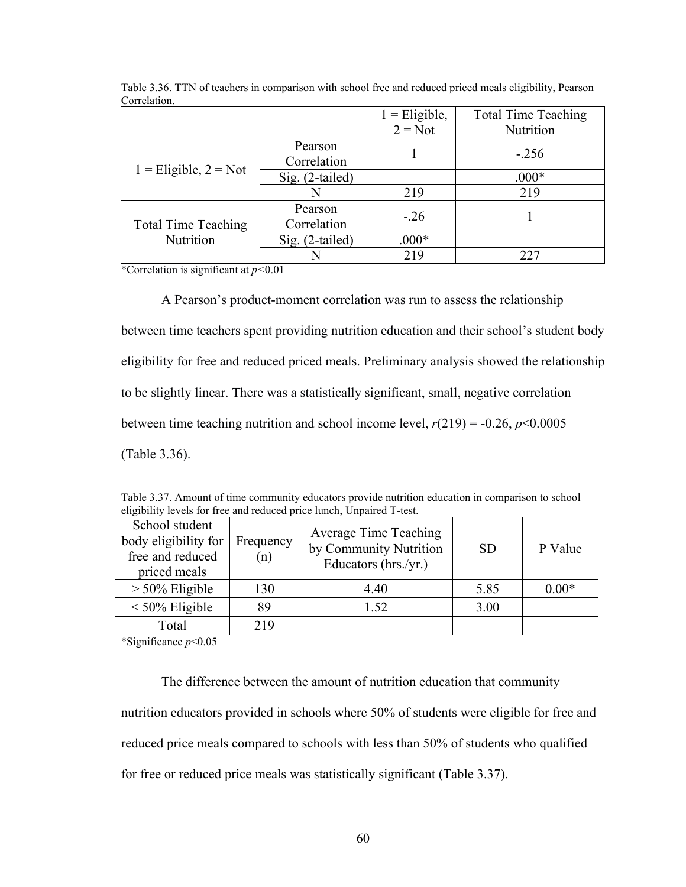|                            |                        | $1 =$ Eligible, | <b>Total Time Teaching</b> |
|----------------------------|------------------------|-----------------|----------------------------|
|                            |                        | $2 = Not$       | Nutrition                  |
|                            | Pearson<br>Correlation |                 | $-.256$                    |
| $1 =$ Eligible, $2 =$ Not  | Sig. (2-tailed)        |                 | $.000*$                    |
|                            | N                      | 219             | 219                        |
| <b>Total Time Teaching</b> | Pearson<br>Correlation | $-.26$          |                            |
| Nutrition                  | Sig. (2-tailed)        | $.000*$         |                            |
|                            |                        | 219             | 227                        |

Table 3.36. TTN of teachers in comparison with school free and reduced priced meals eligibility, Pearson Correlation.

\*Correlation is significant at *p<*0.01

A Pearson's product-moment correlation was run to assess the relationship between time teachers spent providing nutrition education and their school's student body eligibility for free and reduced priced meals. Preliminary analysis showed the relationship to be slightly linear. There was a statistically significant, small, negative correlation between time teaching nutrition and school income level,  $r(219) = -0.26$ ,  $p<0.0005$ (Table 3.36).

|                                                                            |                  | engrouply levels for free and request price funch, Unpaired 1-test.            |           |         |
|----------------------------------------------------------------------------|------------------|--------------------------------------------------------------------------------|-----------|---------|
| School student<br>body eligibility for<br>free and reduced<br>priced meals | Frequency<br>(n) | <b>Average Time Teaching</b><br>by Community Nutrition<br>Educators (hrs./yr.) | <b>SD</b> | P Value |
| $> 50\%$ Eligible                                                          | 130              | 4.40                                                                           | 5.85      | $0.00*$ |
| $\leq 50\%$ Eligible                                                       | 89               | 1.52                                                                           | 3.00      |         |
| Total                                                                      | 219              |                                                                                |           |         |

Table 3.37. Amount of time community educators provide nutrition education in comparison to school eligibility levels for free and reduced price lunch, Unpaired T-test.

\*Significance *p*<0.05

The difference between the amount of nutrition education that community nutrition educators provided in schools where 50% of students were eligible for free and reduced price meals compared to schools with less than 50% of students who qualified for free or reduced price meals was statistically significant (Table 3.37).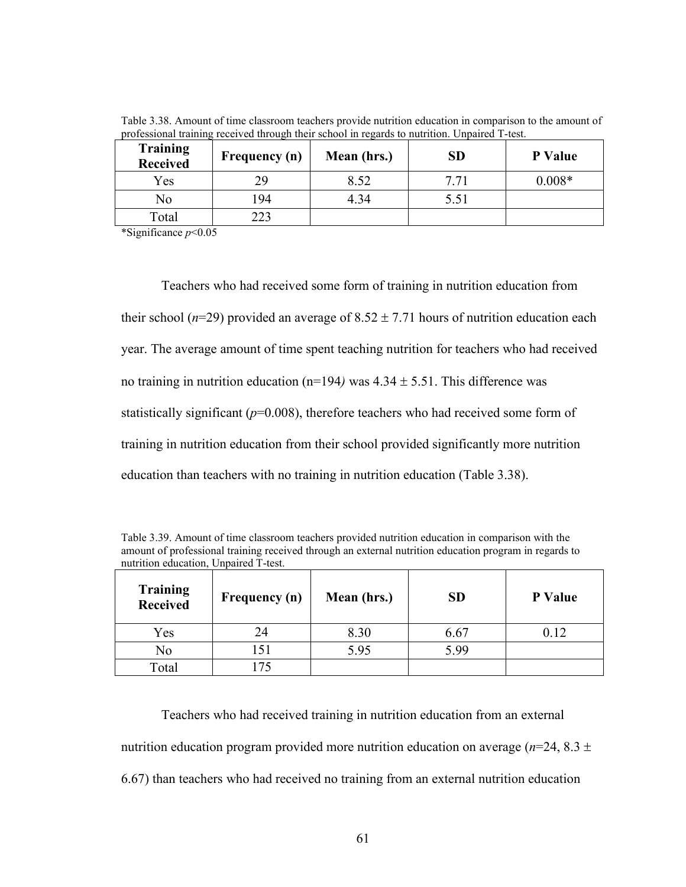| <b>Training</b><br><b>Received</b> | <b>Frequency</b> (n) | Mean (hrs.) | <b>SD</b> | <b>P</b> Value |
|------------------------------------|----------------------|-------------|-----------|----------------|
| Yes                                | 29                   | 8.52        | 7 7 1     | $0.008*$       |
| No                                 | 194                  | 4.34        | 5.51      |                |
| Total                              | າາາ                  |             |           |                |
| .                                  |                      |             |           |                |

Table 3.38. Amount of time classroom teachers provide nutrition education in comparison to the amount of professional training received through their school in regards to nutrition. Unpaired T-test.

\*Significance *p*<0.05

Teachers who had received some form of training in nutrition education from their school ( $n=29$ ) provided an average of  $8.52 \pm 7.71$  hours of nutrition education each year. The average amount of time spent teaching nutrition for teachers who had received no training in nutrition education ( $n=194$ ) was  $4.34 \pm 5.51$ . This difference was statistically significant  $(p=0.008)$ , therefore teachers who had received some form of training in nutrition education from their school provided significantly more nutrition education than teachers with no training in nutrition education (Table 3.38).

Table 3.39. Amount of time classroom teachers provided nutrition education in comparison with the amount of professional training received through an external nutrition education program in regards to nutrition education, Unpaired T-test.

| <b>Training</b><br>Received | Frequency (n) | Mean (hrs.) | <b>SD</b> | P Value |
|-----------------------------|---------------|-------------|-----------|---------|
| Yes                         | 24            | 8.30        | 6.67      | 0.12    |
| No                          | .51           | 5.95        | 5.99      |         |
| Total                       |               |             |           |         |

Teachers who had received training in nutrition education from an external nutrition education program provided more nutrition education on average ( $n=24$ , 8.3  $\pm$ 6.67) than teachers who had received no training from an external nutrition education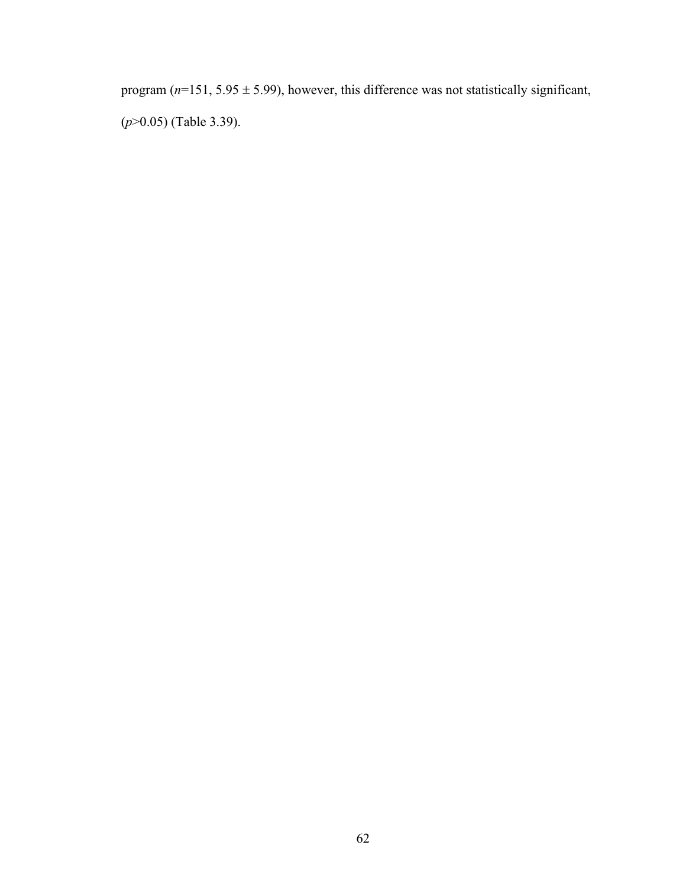program  $(n=151, 5.95 \pm 5.99)$ , however, this difference was not statistically significant, (*p*>0.05) (Table 3.39).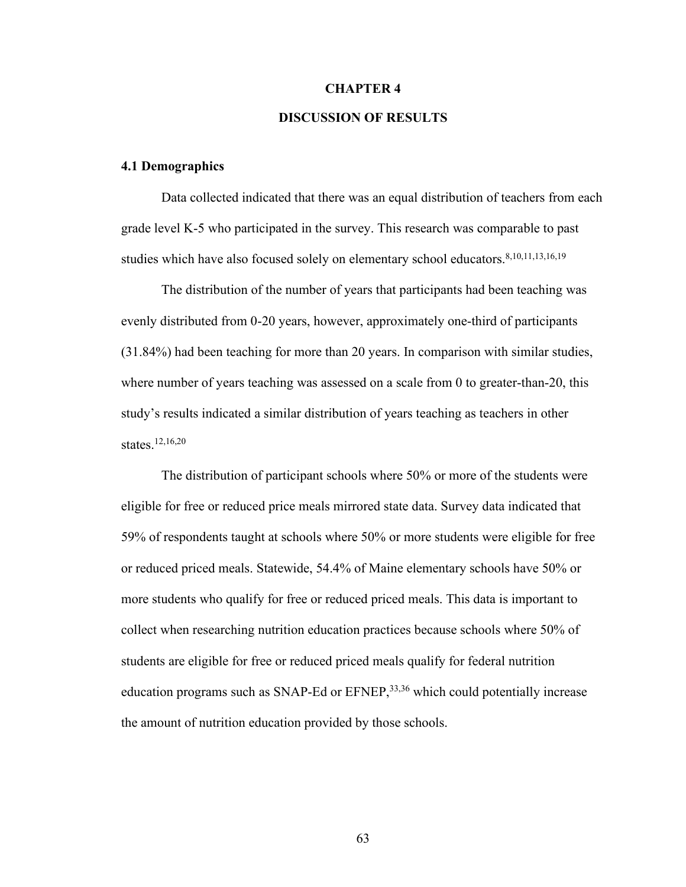## **CHAPTER 4**

## **DISCUSSION OF RESULTS**

#### **4.1 Demographics**

Data collected indicated that there was an equal distribution of teachers from each grade level K-5 who participated in the survey. This research was comparable to past studies which have also focused solely on elementary school educators.<sup>8,10,11,13,16,19</sup>

The distribution of the number of years that participants had been teaching was evenly distributed from 0-20 years, however, approximately one-third of participants (31.84%) had been teaching for more than 20 years. In comparison with similar studies, where number of years teaching was assessed on a scale from 0 to greater-than-20, this study's results indicated a similar distribution of years teaching as teachers in other states. 12,16,20

The distribution of participant schools where 50% or more of the students were eligible for free or reduced price meals mirrored state data. Survey data indicated that 59% of respondents taught at schools where 50% or more students were eligible for free or reduced priced meals. Statewide, 54.4% of Maine elementary schools have 50% or more students who qualify for free or reduced priced meals. This data is important to collect when researching nutrition education practices because schools where 50% of students are eligible for free or reduced priced meals qualify for federal nutrition education programs such as SNAP-Ed or EFNEP,<sup>33,36</sup> which could potentially increase the amount of nutrition education provided by those schools.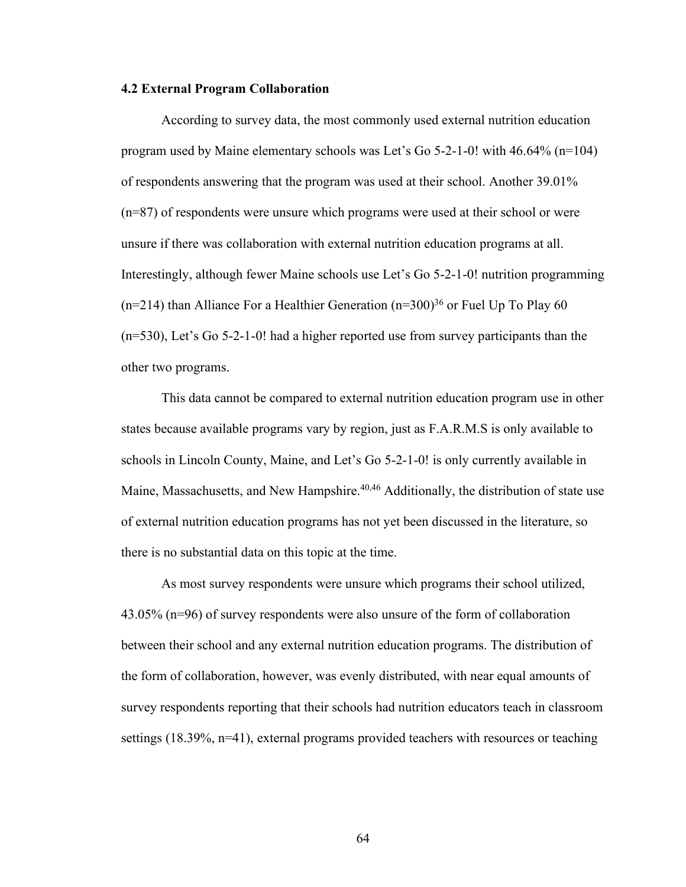#### **4.2 External Program Collaboration**

According to survey data, the most commonly used external nutrition education program used by Maine elementary schools was Let's Go 5-2-1-0! with 46.64% (n=104) of respondents answering that the program was used at their school. Another 39.01% (n=87) of respondents were unsure which programs were used at their school or were unsure if there was collaboration with external nutrition education programs at all. Interestingly, although fewer Maine schools use Let's Go 5-2-1-0! nutrition programming  $(n=214)$  than Alliance For a Healthier Generation  $(n=300)^{36}$  or Fuel Up To Play 60 (n=530), Let's Go 5-2-1-0! had a higher reported use from survey participants than the other two programs.

This data cannot be compared to external nutrition education program use in other states because available programs vary by region, just as F.A.R.M.S is only available to schools in Lincoln County, Maine, and Let's Go 5-2-1-0! is only currently available in Maine, Massachusetts, and New Hampshire.<sup>40,46</sup> Additionally, the distribution of state use of external nutrition education programs has not yet been discussed in the literature, so there is no substantial data on this topic at the time.

As most survey respondents were unsure which programs their school utilized, 43.05% (n=96) of survey respondents were also unsure of the form of collaboration between their school and any external nutrition education programs. The distribution of the form of collaboration, however, was evenly distributed, with near equal amounts of survey respondents reporting that their schools had nutrition educators teach in classroom settings (18.39%, n=41), external programs provided teachers with resources or teaching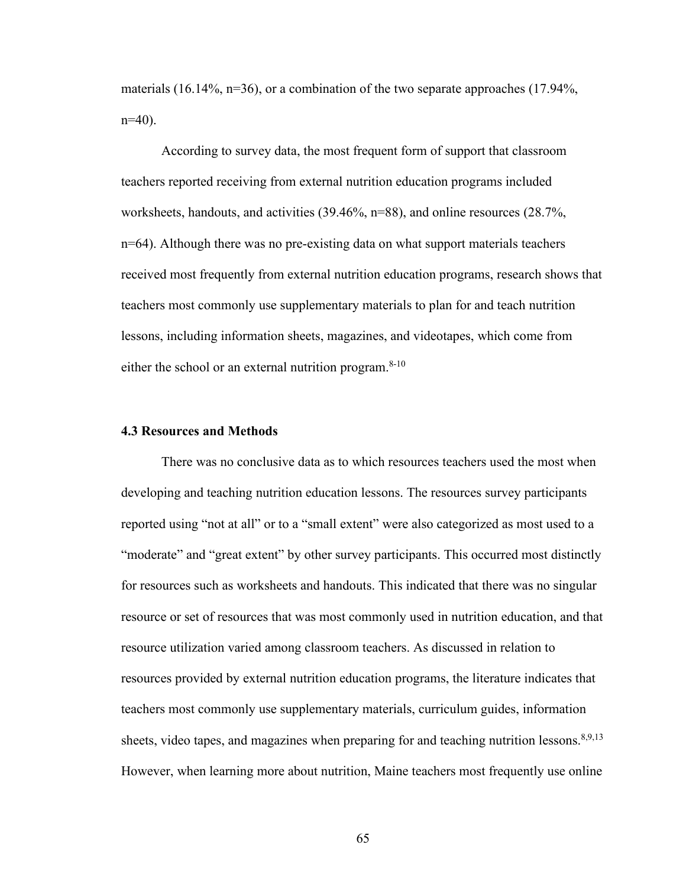materials  $(16.14\%, n=36)$ , or a combination of the two separate approaches  $(17.94\%$ ,  $n=40$ ).

According to survey data, the most frequent form of support that classroom teachers reported receiving from external nutrition education programs included worksheets, handouts, and activities (39.46%, n=88), and online resources (28.7%, n=64). Although there was no pre-existing data on what support materials teachers received most frequently from external nutrition education programs, research shows that teachers most commonly use supplementary materials to plan for and teach nutrition lessons, including information sheets, magazines, and videotapes, which come from either the school or an external nutrition program.<sup>8-10</sup>

## **4.3 Resources and Methods**

There was no conclusive data as to which resources teachers used the most when developing and teaching nutrition education lessons. The resources survey participants reported using "not at all" or to a "small extent" were also categorized as most used to a "moderate" and "great extent" by other survey participants. This occurred most distinctly for resources such as worksheets and handouts. This indicated that there was no singular resource or set of resources that was most commonly used in nutrition education, and that resource utilization varied among classroom teachers. As discussed in relation to resources provided by external nutrition education programs, the literature indicates that teachers most commonly use supplementary materials, curriculum guides, information sheets, video tapes, and magazines when preparing for and teaching nutrition lessons.<sup>8,9,13</sup> However, when learning more about nutrition, Maine teachers most frequently use online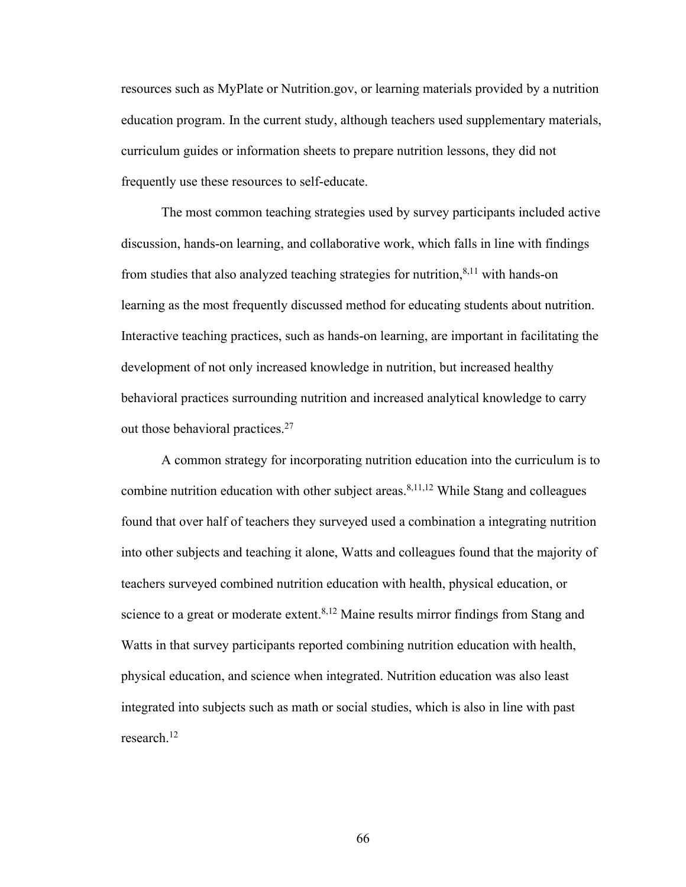resources such as MyPlate or Nutrition.gov, or learning materials provided by a nutrition education program. In the current study, although teachers used supplementary materials, curriculum guides or information sheets to prepare nutrition lessons, they did not frequently use these resources to self-educate.

The most common teaching strategies used by survey participants included active discussion, hands-on learning, and collaborative work, which falls in line with findings from studies that also analyzed teaching strategies for nutrition,<sup>8,11</sup> with hands-on learning as the most frequently discussed method for educating students about nutrition. Interactive teaching practices, such as hands-on learning, are important in facilitating the development of not only increased knowledge in nutrition, but increased healthy behavioral practices surrounding nutrition and increased analytical knowledge to carry out those behavioral practices.27

A common strategy for incorporating nutrition education into the curriculum is to combine nutrition education with other subject areas.<sup>8,11,12</sup> While Stang and colleagues found that over half of teachers they surveyed used a combination a integrating nutrition into other subjects and teaching it alone, Watts and colleagues found that the majority of teachers surveyed combined nutrition education with health, physical education, or science to a great or moderate extent.<sup>8,12</sup> Maine results mirror findings from Stang and Watts in that survey participants reported combining nutrition education with health, physical education, and science when integrated. Nutrition education was also least integrated into subjects such as math or social studies, which is also in line with past research. 12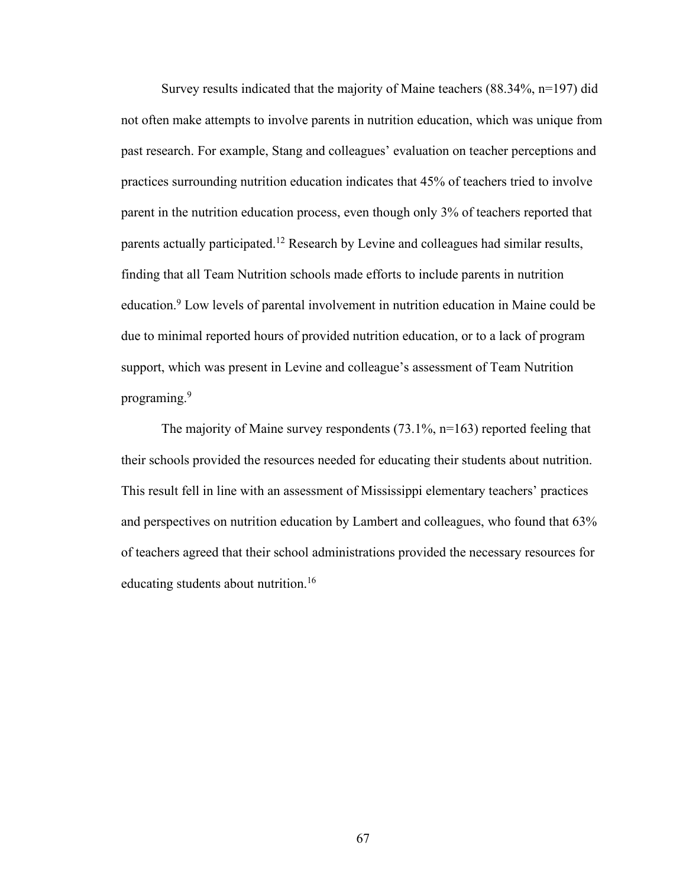Survey results indicated that the majority of Maine teachers (88.34%, n=197) did not often make attempts to involve parents in nutrition education, which was unique from past research. For example, Stang and colleagues' evaluation on teacher perceptions and practices surrounding nutrition education indicates that 45% of teachers tried to involve parent in the nutrition education process, even though only 3% of teachers reported that parents actually participated.<sup>12</sup> Research by Levine and colleagues had similar results, finding that all Team Nutrition schools made efforts to include parents in nutrition education. <sup>9</sup> Low levels of parental involvement in nutrition education in Maine could be due to minimal reported hours of provided nutrition education, or to a lack of program support, which was present in Levine and colleague's assessment of Team Nutrition programing. 9

The majority of Maine survey respondents (73.1%, n=163) reported feeling that their schools provided the resources needed for educating their students about nutrition. This result fell in line with an assessment of Mississippi elementary teachers' practices and perspectives on nutrition education by Lambert and colleagues, who found that 63% of teachers agreed that their school administrations provided the necessary resources for educating students about nutrition. 16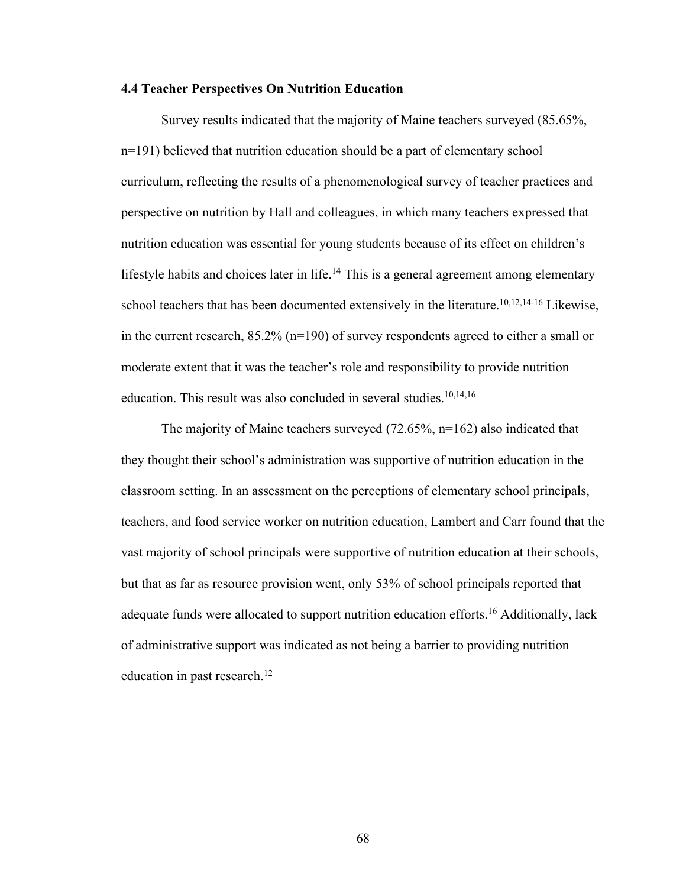#### **4.4 Teacher Perspectives On Nutrition Education**

Survey results indicated that the majority of Maine teachers surveyed (85.65%, n=191) believed that nutrition education should be a part of elementary school curriculum, reflecting the results of a phenomenological survey of teacher practices and perspective on nutrition by Hall and colleagues, in which many teachers expressed that nutrition education was essential for young students because of its effect on children's lifestyle habits and choices later in life.<sup>14</sup> This is a general agreement among elementary school teachers that has been documented extensively in the literature.<sup>10,12,14-16</sup> Likewise, in the current research, 85.2% (n=190) of survey respondents agreed to either a small or moderate extent that it was the teacher's role and responsibility to provide nutrition education. This result was also concluded in several studies. 10,14,16

The majority of Maine teachers surveyed (72.65%, n=162) also indicated that they thought their school's administration was supportive of nutrition education in the classroom setting. In an assessment on the perceptions of elementary school principals, teachers, and food service worker on nutrition education, Lambert and Carr found that the vast majority of school principals were supportive of nutrition education at their schools, but that as far as resource provision went, only 53% of school principals reported that adequate funds were allocated to support nutrition education efforts. <sup>16</sup> Additionally, lack of administrative support was indicated as not being a barrier to providing nutrition education in past research. 12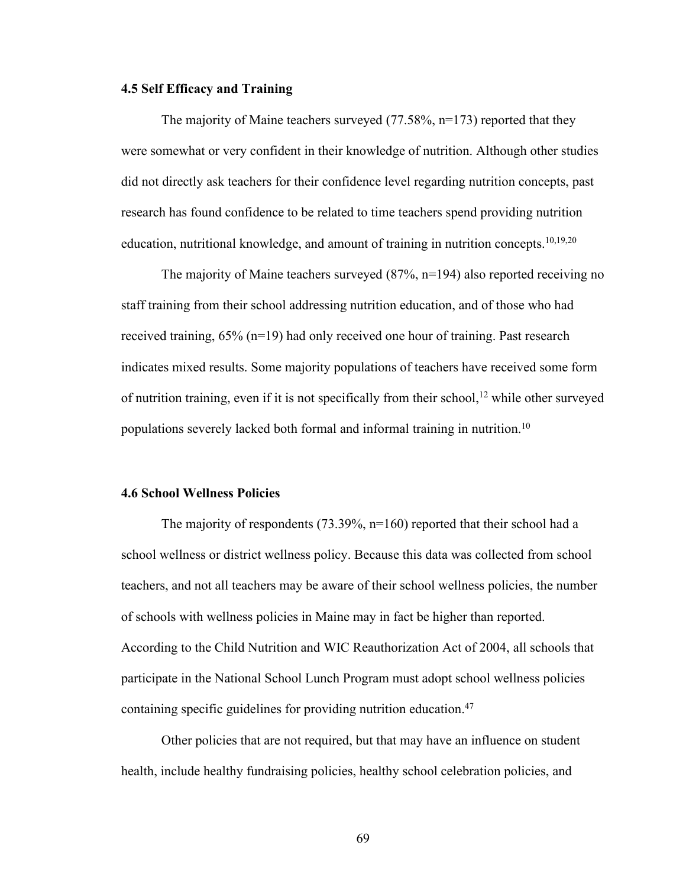#### **4.5 Self Efficacy and Training**

The majority of Maine teachers surveyed (77.58%, n=173) reported that they were somewhat or very confident in their knowledge of nutrition. Although other studies did not directly ask teachers for their confidence level regarding nutrition concepts, past research has found confidence to be related to time teachers spend providing nutrition education, nutritional knowledge, and amount of training in nutrition concepts.<sup>10,19,20</sup>

The majority of Maine teachers surveyed (87%, n=194) also reported receiving no staff training from their school addressing nutrition education, and of those who had received training, 65% (n=19) had only received one hour of training. Past research indicates mixed results. Some majority populations of teachers have received some form of nutrition training, even if it is not specifically from their school, <sup>12</sup> while other surveyed populations severely lacked both formal and informal training in nutrition. 10

## **4.6 School Wellness Policies**

The majority of respondents (73.39%, n=160) reported that their school had a school wellness or district wellness policy. Because this data was collected from school teachers, and not all teachers may be aware of their school wellness policies, the number of schools with wellness policies in Maine may in fact be higher than reported. According to the Child Nutrition and WIC Reauthorization Act of 2004, all schools that participate in the National School Lunch Program must adopt school wellness policies containing specific guidelines for providing nutrition education. 47

Other policies that are not required, but that may have an influence on student health, include healthy fundraising policies, healthy school celebration policies, and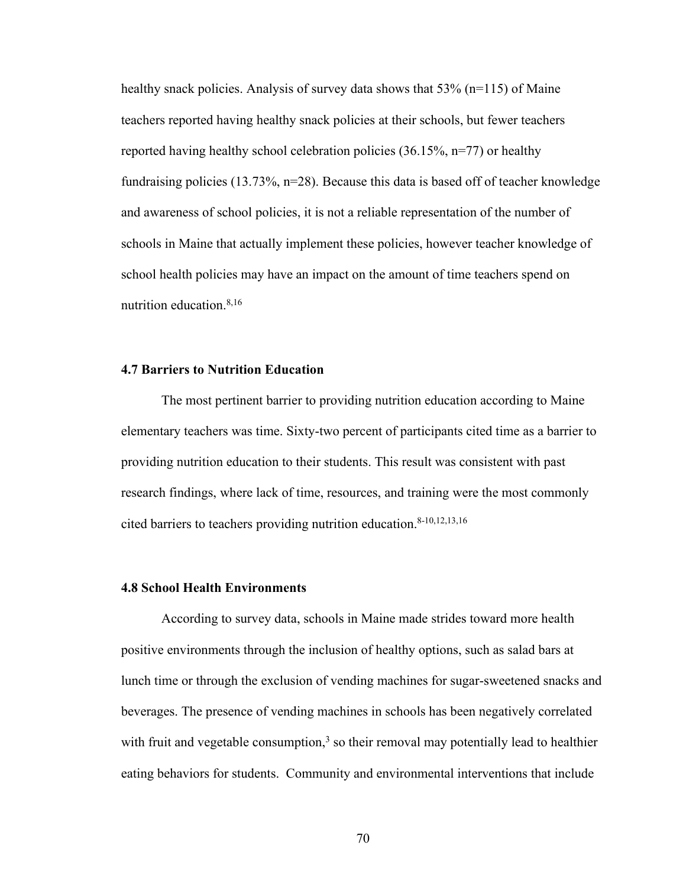healthy snack policies. Analysis of survey data shows that 53% (n=115) of Maine teachers reported having healthy snack policies at their schools, but fewer teachers reported having healthy school celebration policies  $(36.15\%, n=77)$  or healthy fundraising policies (13.73%, n=28). Because this data is based off of teacher knowledge and awareness of school policies, it is not a reliable representation of the number of schools in Maine that actually implement these policies, however teacher knowledge of school health policies may have an impact on the amount of time teachers spend on nutrition education. 8,16

# **4.7 Barriers to Nutrition Education**

The most pertinent barrier to providing nutrition education according to Maine elementary teachers was time. Sixty-two percent of participants cited time as a barrier to providing nutrition education to their students. This result was consistent with past research findings, where lack of time, resources, and training were the most commonly cited barriers to teachers providing nutrition education. 8-10,12,13,16

### **4.8 School Health Environments**

According to survey data, schools in Maine made strides toward more health positive environments through the inclusion of healthy options, such as salad bars at lunch time or through the exclusion of vending machines for sugar-sweetened snacks and beverages. The presence of vending machines in schools has been negatively correlated with fruit and vegetable consumption,<sup>3</sup> so their removal may potentially lead to healthier eating behaviors for students. Community and environmental interventions that include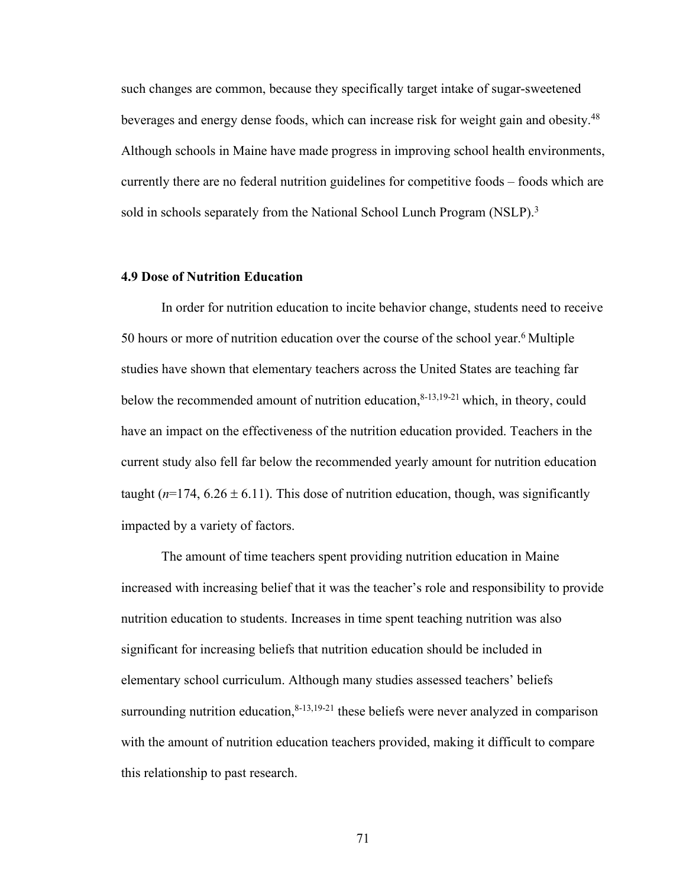such changes are common, because they specifically target intake of sugar-sweetened beverages and energy dense foods, which can increase risk for weight gain and obesity.<sup>48</sup> Although schools in Maine have made progress in improving school health environments, currently there are no federal nutrition guidelines for competitive foods – foods which are sold in schools separately from the National School Lunch Program (NSLP).<sup>3</sup>

# **4.9 Dose of Nutrition Education**

In order for nutrition education to incite behavior change, students need to receive 50 hours or more of nutrition education over the course of the school year.<sup>6</sup> Multiple studies have shown that elementary teachers across the United States are teaching far below the recommended amount of nutrition education, $8-13,19-21$  which, in theory, could have an impact on the effectiveness of the nutrition education provided. Teachers in the current study also fell far below the recommended yearly amount for nutrition education taught  $(n=174, 6.26 \pm 6.11)$ . This dose of nutrition education, though, was significantly impacted by a variety of factors.

The amount of time teachers spent providing nutrition education in Maine increased with increasing belief that it was the teacher's role and responsibility to provide nutrition education to students. Increases in time spent teaching nutrition was also significant for increasing beliefs that nutrition education should be included in elementary school curriculum. Although many studies assessed teachers' beliefs surrounding nutrition education,  $8-13,19-21$  these beliefs were never analyzed in comparison with the amount of nutrition education teachers provided, making it difficult to compare this relationship to past research.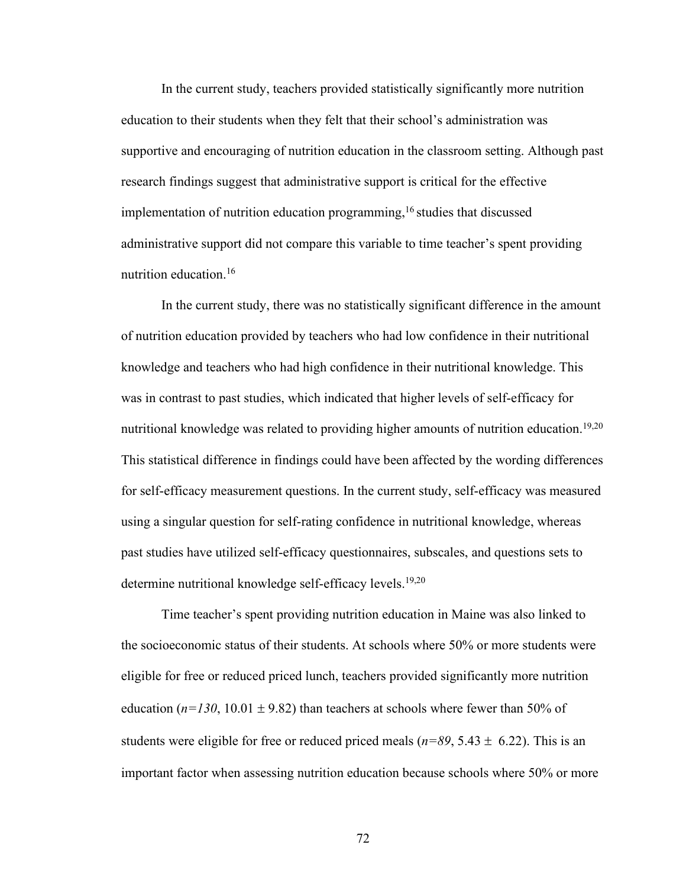In the current study, teachers provided statistically significantly more nutrition education to their students when they felt that their school's administration was supportive and encouraging of nutrition education in the classroom setting. Although past research findings suggest that administrative support is critical for the effective implementation of nutrition education programming,<sup>16</sup> studies that discussed administrative support did not compare this variable to time teacher's spent providing nutrition education.16

In the current study, there was no statistically significant difference in the amount of nutrition education provided by teachers who had low confidence in their nutritional knowledge and teachers who had high confidence in their nutritional knowledge. This was in contrast to past studies, which indicated that higher levels of self-efficacy for nutritional knowledge was related to providing higher amounts of nutrition education.<sup>19,20</sup> This statistical difference in findings could have been affected by the wording differences for self-efficacy measurement questions. In the current study, self-efficacy was measured using a singular question for self-rating confidence in nutritional knowledge, whereas past studies have utilized self-efficacy questionnaires, subscales, and questions sets to determine nutritional knowledge self-efficacy levels.<sup>19,20</sup>

Time teacher's spent providing nutrition education in Maine was also linked to the socioeconomic status of their students. At schools where 50% or more students were eligible for free or reduced priced lunch, teachers provided significantly more nutrition education  $(n=130, 10.01 \pm 9.82)$  than teachers at schools where fewer than 50% of students were eligible for free or reduced priced meals ( $n=89, 5.43 \pm 6.22$ ). This is an important factor when assessing nutrition education because schools where 50% or more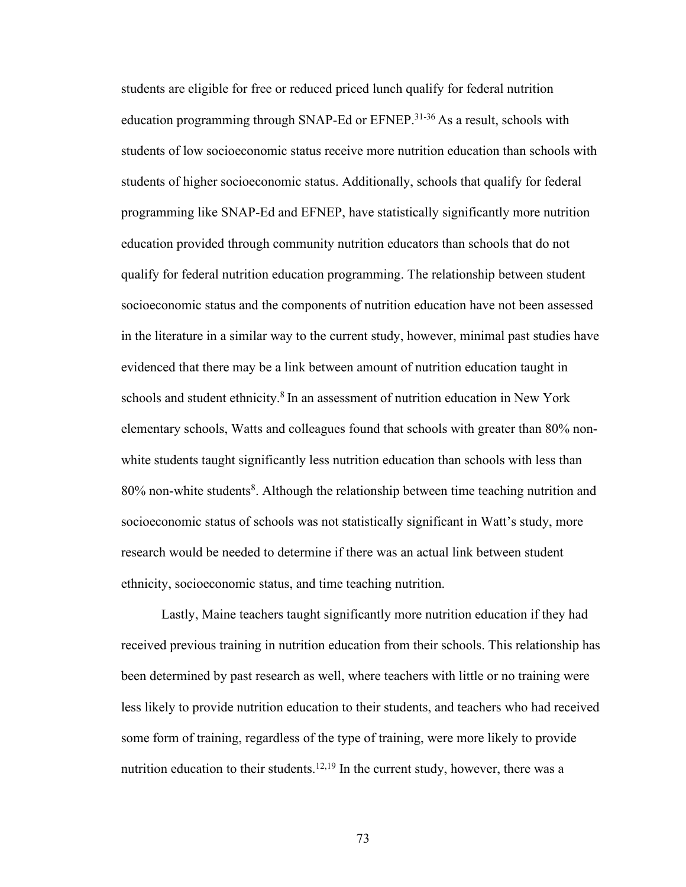students are eligible for free or reduced priced lunch qualify for federal nutrition education programming through SNAP-Ed or EFNEP.<sup>31-36</sup> As a result, schools with students of low socioeconomic status receive more nutrition education than schools with students of higher socioeconomic status. Additionally, schools that qualify for federal programming like SNAP-Ed and EFNEP, have statistically significantly more nutrition education provided through community nutrition educators than schools that do not qualify for federal nutrition education programming. The relationship between student socioeconomic status and the components of nutrition education have not been assessed in the literature in a similar way to the current study, however, minimal past studies have evidenced that there may be a link between amount of nutrition education taught in schools and student ethnicity.<sup>8</sup> In an assessment of nutrition education in New York elementary schools, Watts and colleagues found that schools with greater than 80% nonwhite students taught significantly less nutrition education than schools with less than 80% non-white students<sup>8</sup>. Although the relationship between time teaching nutrition and socioeconomic status of schools was not statistically significant in Watt's study, more research would be needed to determine if there was an actual link between student ethnicity, socioeconomic status, and time teaching nutrition.

Lastly, Maine teachers taught significantly more nutrition education if they had received previous training in nutrition education from their schools. This relationship has been determined by past research as well, where teachers with little or no training were less likely to provide nutrition education to their students, and teachers who had received some form of training, regardless of the type of training, were more likely to provide nutrition education to their students.<sup>12,19</sup> In the current study, however, there was a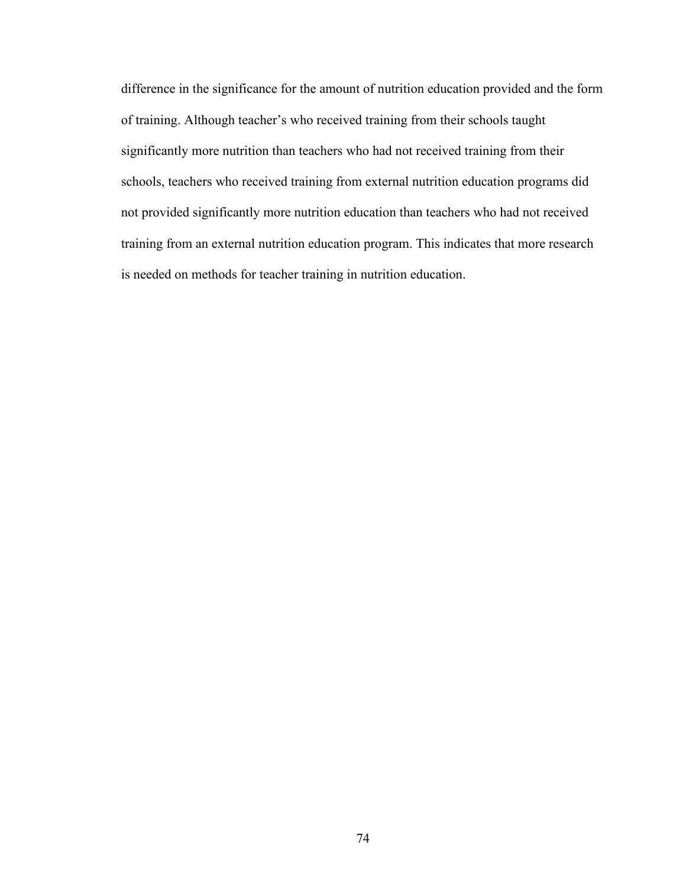difference in the significance for the amount of nutrition education provided and the form of training. Although teacher's who received training from their schools taught significantly more nutrition than teachers who had not received training from their schools, teachers who received training from external nutrition education programs did not provided significantly more nutrition education than teachers who had not received training from an external nutrition education program. This indicates that more research is needed on methods for teacher training in nutrition education.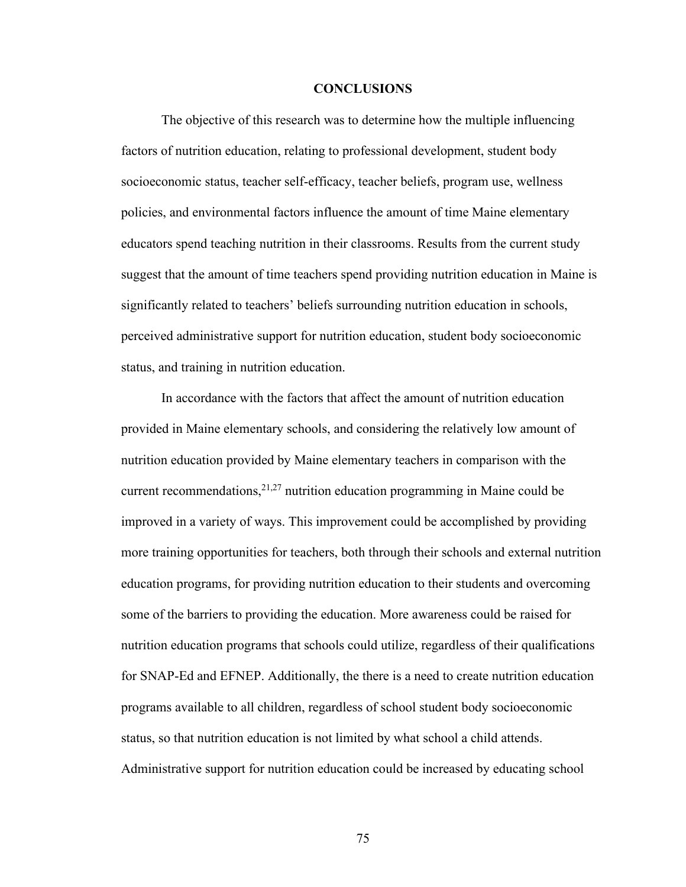#### **CONCLUSIONS**

The objective of this research was to determine how the multiple influencing factors of nutrition education, relating to professional development, student body socioeconomic status, teacher self-efficacy, teacher beliefs, program use, wellness policies, and environmental factors influence the amount of time Maine elementary educators spend teaching nutrition in their classrooms. Results from the current study suggest that the amount of time teachers spend providing nutrition education in Maine is significantly related to teachers' beliefs surrounding nutrition education in schools, perceived administrative support for nutrition education, student body socioeconomic status, and training in nutrition education.

In accordance with the factors that affect the amount of nutrition education provided in Maine elementary schools, and considering the relatively low amount of nutrition education provided by Maine elementary teachers in comparison with the current recommendations,  $2^{1,27}$  nutrition education programming in Maine could be improved in a variety of ways. This improvement could be accomplished by providing more training opportunities for teachers, both through their schools and external nutrition education programs, for providing nutrition education to their students and overcoming some of the barriers to providing the education. More awareness could be raised for nutrition education programs that schools could utilize, regardless of their qualifications for SNAP-Ed and EFNEP. Additionally, the there is a need to create nutrition education programs available to all children, regardless of school student body socioeconomic status, so that nutrition education is not limited by what school a child attends. Administrative support for nutrition education could be increased by educating school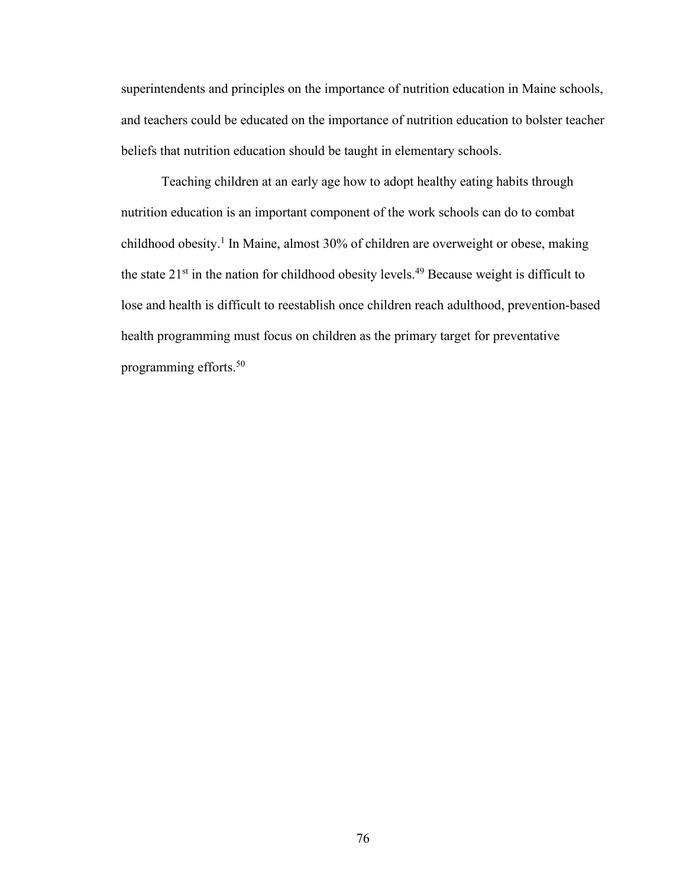superintendents and principles on the importance of nutrition education in Maine schools, and teachers could be educated on the importance of nutrition education to bolster teacher beliefs that nutrition education should be taught in elementary schools.

Teaching children at an early age how to adopt healthy eating habits through nutrition education is an important component of the work schools can do to combat childhood obesity.1 In Maine, almost 30% of children are overweight or obese, making the state  $21^{st}$  in the nation for childhood obesity levels.<sup>49</sup> Because weight is difficult to lose and health is difficult to reestablish once children reach adulthood, prevention-based health programming must focus on children as the primary target for preventative programming efforts.50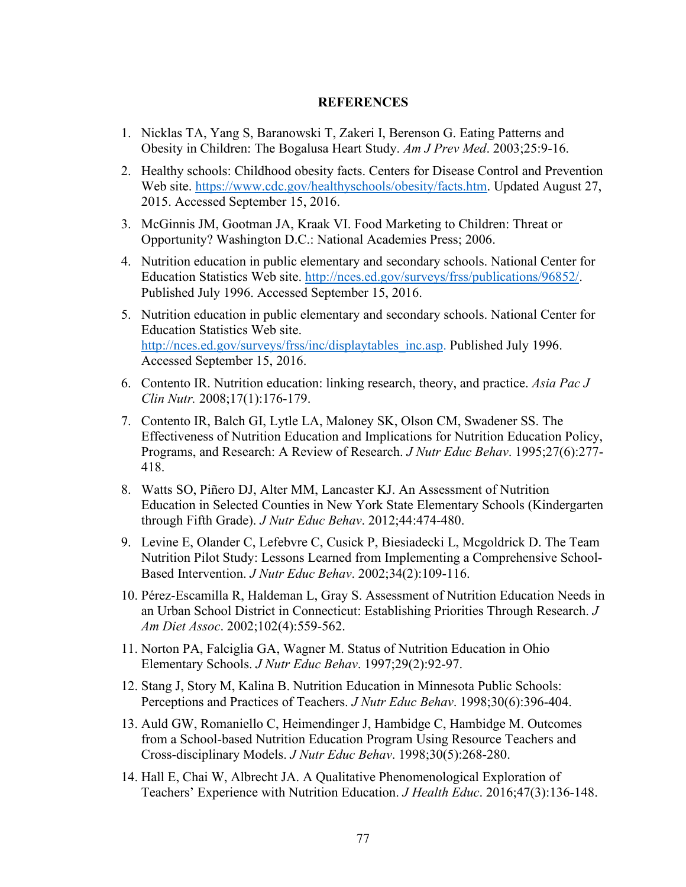## **REFERENCES**

- 1. Nicklas TA, Yang S, Baranowski T, Zakeri I, Berenson G. Eating Patterns and Obesity in Children: The Bogalusa Heart Study. *Am J Prev Med*. 2003;25:9-16.
- 2. Healthy schools: Childhood obesity facts. Centers for Disease Control and Prevention Web site. https://www.cdc.gov/healthyschools/obesity/facts.htm. Updated August 27, 2015. Accessed September 15, 2016.
- 3. McGinnis JM, Gootman JA, Kraak VI. Food Marketing to Children: Threat or Opportunity? Washington D.C.: National Academies Press; 2006.
- 4. Nutrition education in public elementary and secondary schools. National Center for Education Statistics Web site. http://nces.ed.gov/surveys/frss/publications/96852/. Published July 1996. Accessed September 15, 2016.
- 5. Nutrition education in public elementary and secondary schools. National Center for Education Statistics Web site. http://nces.ed.gov/surveys/frss/inc/displaytables\_inc.asp. Published July 1996. Accessed September 15, 2016.
- 6. Contento IR. Nutrition education: linking research, theory, and practice. *Asia Pac J Clin Nutr.* 2008;17(1):176-179.
- 7. Contento IR, Balch GI, Lytle LA, Maloney SK, Olson CM, Swadener SS. The Effectiveness of Nutrition Education and Implications for Nutrition Education Policy, Programs, and Research: A Review of Research. *J Nutr Educ Behav*. 1995;27(6):277- 418.
- 8. Watts SO, Piñero DJ, Alter MM, Lancaster KJ. An Assessment of Nutrition Education in Selected Counties in New York State Elementary Schools (Kindergarten through Fifth Grade). *J Nutr Educ Behav*. 2012;44:474-480.
- 9. Levine E, Olander C, Lefebvre C, Cusick P, Biesiadecki L, Mcgoldrick D. The Team Nutrition Pilot Study: Lessons Learned from Implementing a Comprehensive School-Based Intervention. *J Nutr Educ Behav*. 2002;34(2):109-116.
- 10. Pérez-Escamilla R, Haldeman L, Gray S. Assessment of Nutrition Education Needs in an Urban School District in Connecticut: Establishing Priorities Through Research. *J Am Diet Assoc*. 2002;102(4):559-562.
- 11. Norton PA, Falciglia GA, Wagner M. Status of Nutrition Education in Ohio Elementary Schools. *J Nutr Educ Behav*. 1997;29(2):92-97.
- 12. Stang J, Story M, Kalina B. Nutrition Education in Minnesota Public Schools: Perceptions and Practices of Teachers. *J Nutr Educ Behav*. 1998;30(6):396-404.
- 13. Auld GW, Romaniello C, Heimendinger J, Hambidge C, Hambidge M. Outcomes from a School-based Nutrition Education Program Using Resource Teachers and Cross-disciplinary Models. *J Nutr Educ Behav*. 1998;30(5):268-280.
- 14. Hall E, Chai W, Albrecht JA. A Qualitative Phenomenological Exploration of Teachers' Experience with Nutrition Education. *J Health Educ*. 2016;47(3):136-148.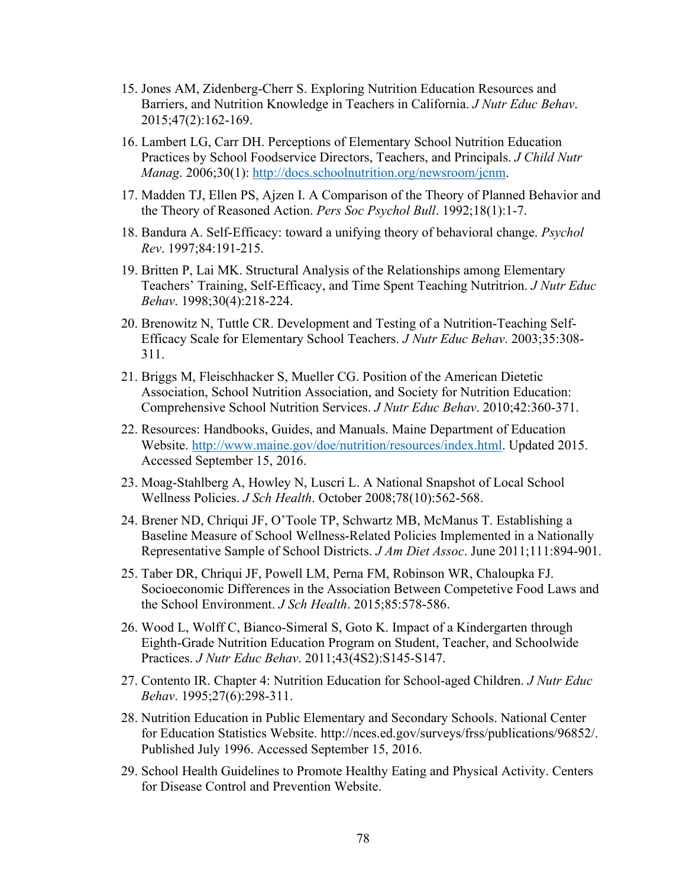- 15. Jones AM, Zidenberg-Cherr S. Exploring Nutrition Education Resources and Barriers, and Nutrition Knowledge in Teachers in California. *J Nutr Educ Behav*. 2015;47(2):162-169.
- 16. Lambert LG, Carr DH. Perceptions of Elementary School Nutrition Education Practices by School Foodservice Directors, Teachers, and Principals. *J Child Nutr Manag*. 2006;30(1): http://docs.schoolnutrition.org/newsroom/jcnm.
- 17. Madden TJ, Ellen PS, Ajzen I. A Comparison of the Theory of Planned Behavior and the Theory of Reasoned Action. *Pers Soc Psychol Bull*. 1992;18(1):1-7.
- 18. Bandura A. Self-Efficacy: toward a unifying theory of behavioral change. *Psychol Rev*. 1997;84:191-215.
- 19. Britten P, Lai MK. Structural Analysis of the Relationships among Elementary Teachers' Training, Self-Efficacy, and Time Spent Teaching Nutritrion. *J Nutr Educ Behav*. 1998;30(4):218-224.
- 20. Brenowitz N, Tuttle CR. Development and Testing of a Nutrition-Teaching Self-Efficacy Scale for Elementary School Teachers. *J Nutr Educ Behav*. 2003;35:308- 311.
- 21. Briggs M, Fleischhacker S, Mueller CG. Position of the American Dietetic Association, School Nutrition Association, and Society for Nutrition Education: Comprehensive School Nutrition Services. *J Nutr Educ Behav*. 2010;42:360-371.
- 22. Resources: Handbooks, Guides, and Manuals. Maine Department of Education Website. http://www.maine.gov/doe/nutrition/resources/index.html. Updated 2015. Accessed September 15, 2016.
- 23. Moag-Stahlberg A, Howley N, Luscri L. A National Snapshot of Local School Wellness Policies. *J Sch Health*. October 2008;78(10):562-568.
- 24. Brener ND, Chriqui JF, O'Toole TP, Schwartz MB, McManus T. Establishing a Baseline Measure of School Wellness-Related Policies Implemented in a Nationally Representative Sample of School Districts. *J Am Diet Assoc*. June 2011;111:894-901.
- 25. Taber DR, Chriqui JF, Powell LM, Perna FM, Robinson WR, Chaloupka FJ. Socioeconomic Differences in the Association Between Competetive Food Laws and the School Environment. *J Sch Health*. 2015;85:578-586.
- 26. Wood L, Wolff C, Bianco-Simeral S, Goto K. Impact of a Kindergarten through Eighth-Grade Nutrition Education Program on Student, Teacher, and Schoolwide Practices. *J Nutr Educ Behav*. 2011;43(4S2):S145-S147.
- 27. Contento IR. Chapter 4: Nutrition Education for School-aged Children. *J Nutr Educ Behav*. 1995;27(6):298-311.
- 28. Nutrition Education in Public Elementary and Secondary Schools. National Center for Education Statistics Website. http://nces.ed.gov/surveys/frss/publications/96852/. Published July 1996. Accessed September 15, 2016.
- 29. School Health Guidelines to Promote Healthy Eating and Physical Activity. Centers for Disease Control and Prevention Website.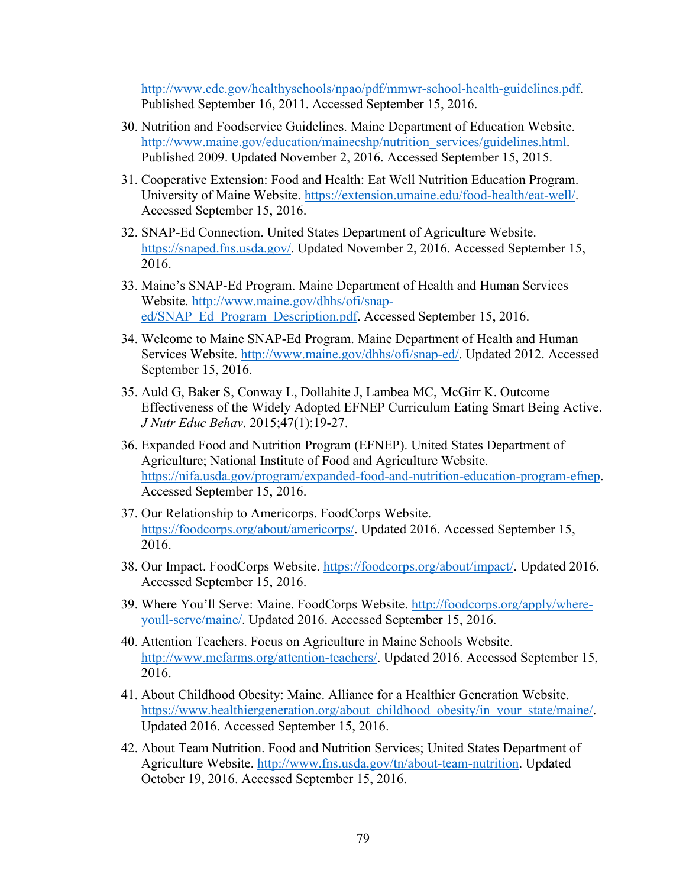http://www.cdc.gov/healthyschools/npao/pdf/mmwr-school-health-guidelines.pdf. Published September 16, 2011. Accessed September 15, 2016.

- 30. Nutrition and Foodservice Guidelines. Maine Department of Education Website. http://www.maine.gov/education/mainecshp/nutrition\_services/guidelines.html. Published 2009. Updated November 2, 2016. Accessed September 15, 2015.
- 31. Cooperative Extension: Food and Health: Eat Well Nutrition Education Program. University of Maine Website. https://extension.umaine.edu/food-health/eat-well/. Accessed September 15, 2016.
- 32. SNAP-Ed Connection. United States Department of Agriculture Website. https://snaped.fns.usda.gov/. Updated November 2, 2016. Accessed September 15, 2016.
- 33. Maine's SNAP-Ed Program. Maine Department of Health and Human Services Website. http://www.maine.gov/dhhs/ofi/snaped/SNAP\_Ed\_Program\_Description.pdf. Accessed September 15, 2016.
- 34. Welcome to Maine SNAP-Ed Program. Maine Department of Health and Human Services Website. http://www.maine.gov/dhhs/ofi/snap-ed/. Updated 2012. Accessed September 15, 2016.
- 35. Auld G, Baker S, Conway L, Dollahite J, Lambea MC, McGirr K. Outcome Effectiveness of the Widely Adopted EFNEP Curriculum Eating Smart Being Active. *J Nutr Educ Behav*. 2015;47(1):19-27.
- 36. Expanded Food and Nutrition Program (EFNEP). United States Department of Agriculture; National Institute of Food and Agriculture Website. https://nifa.usda.gov/program/expanded-food-and-nutrition-education-program-efnep. Accessed September 15, 2016.
- 37. Our Relationship to Americorps. FoodCorps Website. https://foodcorps.org/about/americorps/. Updated 2016. Accessed September 15, 2016.
- 38. Our Impact. FoodCorps Website. https://foodcorps.org/about/impact/. Updated 2016. Accessed September 15, 2016.
- 39. Where You'll Serve: Maine. FoodCorps Website. http://foodcorps.org/apply/whereyoull-serve/maine/. Updated 2016. Accessed September 15, 2016.
- 40. Attention Teachers. Focus on Agriculture in Maine Schools Website. http://www.mefarms.org/attention-teachers/. Updated 2016. Accessed September 15, 2016.
- 41. About Childhood Obesity: Maine. Alliance for a Healthier Generation Website. https://www.healthiergeneration.org/about\_childhood\_obesity/in\_your\_state/maine/. Updated 2016. Accessed September 15, 2016.
- 42. About Team Nutrition. Food and Nutrition Services; United States Department of Agriculture Website. http://www.fns.usda.gov/tn/about-team-nutrition. Updated October 19, 2016. Accessed September 15, 2016.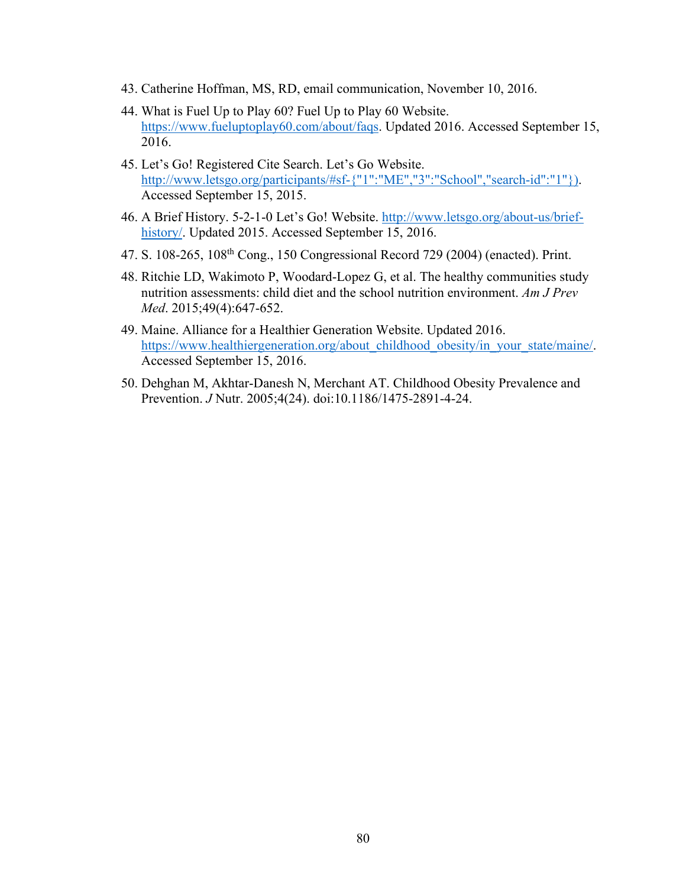- 43. Catherine Hoffman, MS, RD, email communication, November 10, 2016.
- 44. What is Fuel Up to Play 60? Fuel Up to Play 60 Website. https://www.fueluptoplay60.com/about/faqs. Updated 2016. Accessed September 15, 2016.
- 45. Let's Go! Registered Cite Search. Let's Go Website. http://www.letsgo.org/participants/#sf-{"1":"ME","3":"School","search-id":"1"}). Accessed September 15, 2015.
- 46. A Brief History. 5-2-1-0 Let's Go! Website. http://www.letsgo.org/about-us/briefhistory/. Updated 2015. Accessed September 15, 2016.
- 47. S. 108-265, 108th Cong., 150 Congressional Record 729 (2004) (enacted). Print.
- 48. Ritchie LD, Wakimoto P, Woodard-Lopez G, et al. The healthy communities study nutrition assessments: child diet and the school nutrition environment. *Am J Prev Med*. 2015;49(4):647-652.
- 49. Maine. Alliance for a Healthier Generation Website. Updated 2016. https://www.healthiergeneration.org/about\_childhood\_obesity/in\_your\_state/maine/. Accessed September 15, 2016.
- 50. Dehghan M, Akhtar-Danesh N, Merchant AT. Childhood Obesity Prevalence and Prevention. *J* Nutr. 2005;4(24). doi:10.1186/1475-2891-4-24.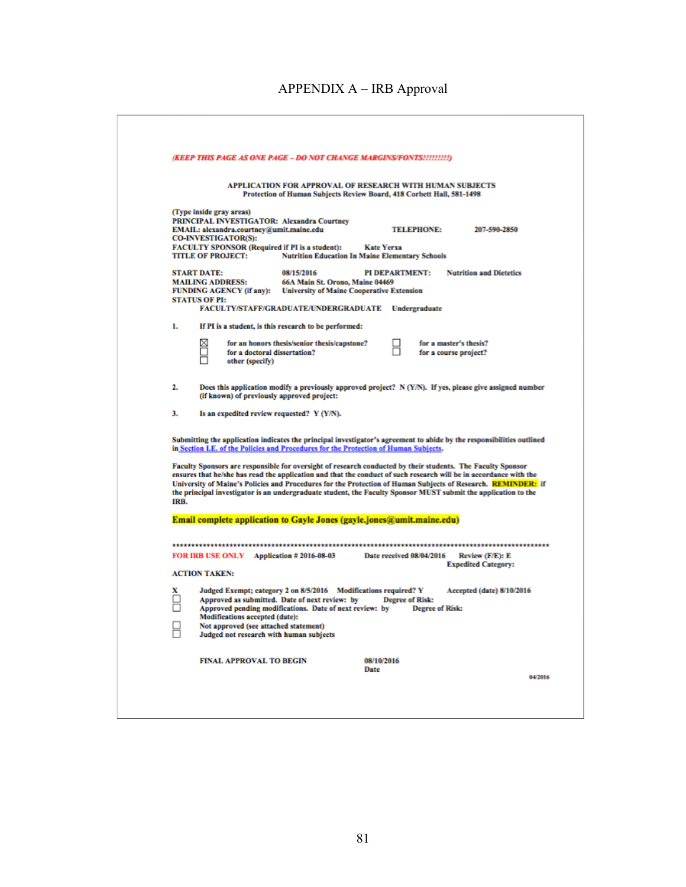|        | (KEEP THIS PAGE AS ONE PAGE – DO NOT CHANGE MARGINS/FONTS!!!!!!!!!)                                                                                                                                                                                                                                                                                                                                                                                                                                                                                                                                                                                                                 |                                                                                     |                          |                                                 |                                |
|--------|-------------------------------------------------------------------------------------------------------------------------------------------------------------------------------------------------------------------------------------------------------------------------------------------------------------------------------------------------------------------------------------------------------------------------------------------------------------------------------------------------------------------------------------------------------------------------------------------------------------------------------------------------------------------------------------|-------------------------------------------------------------------------------------|--------------------------|-------------------------------------------------|--------------------------------|
|        | APPLICATION FOR APPROVAL OF RESEARCH WITH HUMAN SUBJECTS                                                                                                                                                                                                                                                                                                                                                                                                                                                                                                                                                                                                                            | Protection of Human Subjects Review Board, 418 Corbett Hall, 581-1498               |                          |                                                 |                                |
|        | (Type inside gray areas)                                                                                                                                                                                                                                                                                                                                                                                                                                                                                                                                                                                                                                                            |                                                                                     |                          |                                                 |                                |
|        | <b>PRINCIPAL INVESTIGATOR: Alexandra Courtney</b><br>EMAIL: alexandra.courtney@umit.maine.edu<br><b>CO-INVESTIGATOR(S):</b>                                                                                                                                                                                                                                                                                                                                                                                                                                                                                                                                                         |                                                                                     |                          | <b>TELEPHONE:</b>                               | 207-590-2850                   |
|        | <b>FACULTY SPONSOR (Required if PI is a student):</b><br><b>TITLE OF PROJECT:</b>                                                                                                                                                                                                                                                                                                                                                                                                                                                                                                                                                                                                   | <b>Nutrition Education In Maine Elementary Schools</b>                              | <b>Kate Yerxa</b>        |                                                 |                                |
|        | <b>START DATE:</b>                                                                                                                                                                                                                                                                                                                                                                                                                                                                                                                                                                                                                                                                  | 08/15/2016                                                                          | <b>PI DEPARTMENT:</b>    |                                                 | <b>Nutrition and Dietetics</b> |
|        | <b>MAILING ADDRESS:</b><br><b>FUNDING AGENCY (if any):</b>                                                                                                                                                                                                                                                                                                                                                                                                                                                                                                                                                                                                                          | 66A Main St. Orono, Maine 04469<br><b>University of Maine Cooperative Extension</b> |                          |                                                 |                                |
|        | <b>STATUS OF PI:</b><br>FACULTY/STAFF/GRADUATE/UNDERGRADUATE Undergraduate                                                                                                                                                                                                                                                                                                                                                                                                                                                                                                                                                                                                          |                                                                                     |                          |                                                 |                                |
| 1.     | If PI is a student, is this research to be performed:                                                                                                                                                                                                                                                                                                                                                                                                                                                                                                                                                                                                                               |                                                                                     |                          |                                                 |                                |
|        | ⊠<br>for an honors thesis/senior thesis/capstone?<br>п<br>for a doctoral dissertation?<br>other (specify)                                                                                                                                                                                                                                                                                                                                                                                                                                                                                                                                                                           |                                                                                     |                          | for a master's thesis?<br>for a course project? |                                |
| 2.     | Does this application modify a previously approved project? N (Y/N). If yes, please give assigned number<br>(if known) of previously approved project:                                                                                                                                                                                                                                                                                                                                                                                                                                                                                                                              |                                                                                     |                          |                                                 |                                |
| 3.     | Is an expedited review requested? Y (Y/N).                                                                                                                                                                                                                                                                                                                                                                                                                                                                                                                                                                                                                                          |                                                                                     |                          |                                                 |                                |
|        |                                                                                                                                                                                                                                                                                                                                                                                                                                                                                                                                                                                                                                                                                     |                                                                                     |                          |                                                 |                                |
| IRB.   | Submitting the application indicates the principal investigator's agreement to abide by the responsibilities outlined<br>in Section I.E. of the Policies and Procedures for the Protection of Human Subjects.<br>Faculty Sponsors are responsible for oversight of research conducted by their students. The Faculty Sponsor<br>ensures that he/she has read the application and that the conduct of such research will be in accordance with the<br>University of Maine's Policies and Procedures for the Protection of Human Subjects of Research. REMINDER: if<br>the principal investigator is an undergraduate student, the Faculty Sponsor MUST submit the application to the |                                                                                     |                          |                                                 |                                |
|        | <b>Email complete application to Gayle Jones (gayle.jones@umit.maine.edu)</b>                                                                                                                                                                                                                                                                                                                                                                                                                                                                                                                                                                                                       |                                                                                     |                          |                                                 |                                |
|        | FOR IRB USE ONLY Application #2016-08-03                                                                                                                                                                                                                                                                                                                                                                                                                                                                                                                                                                                                                                            |                                                                                     | Date received 08/04/2016 |                                                 | Review (F/E): E                |
|        | <b>ACTION TAKEN:</b>                                                                                                                                                                                                                                                                                                                                                                                                                                                                                                                                                                                                                                                                |                                                                                     |                          |                                                 | <b>Expedited Category:</b>     |
| x<br>п | Judged Exempt; category 2 on 8/5/2016 Modifications required? Y<br>Approved as submitted. Date of next review: by<br>Approved pending modifications. Date of next review: by<br>Modifications accepted (date):<br>Not approved (see attached statement)<br>Judged not research with human subjects                                                                                                                                                                                                                                                                                                                                                                                  |                                                                                     | <b>Degree of Risk:</b>   | <b>Degree of Risk:</b>                          | Accepted (date) 8/10/2016      |
|        | <b>FINAL APPROVAL TO BEGIN</b>                                                                                                                                                                                                                                                                                                                                                                                                                                                                                                                                                                                                                                                      |                                                                                     | 08/10/2016<br>Date       |                                                 |                                |